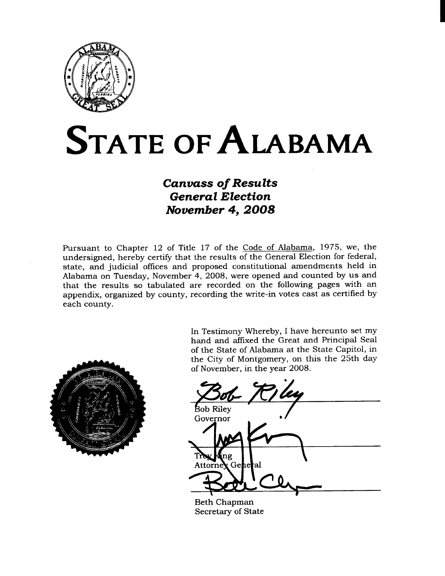

# **STATE OF ALABAMA**

# **Canvass of Results General Election** November 4, 2008

Pursuant to Chapter 12 of Title 17 of the Code of Alabama, 1975, we, the undersigned, hereby certify that the results of the General Election for federal, state, and judicial offices and proposed constitutional amendments held in Alabama on Tuesday, November 4, 2008, were opened and counted by us and that the results so tabulated are recorded on the following pages with an appendix, organized by county, recording the write-in votes cast as certified by each county.



In Testimony Whereby, I have hereunto set my hand and affixed the Great and Principal Seal of the State of Alabama at the State Capitol, in the City of Montgomery, on this the 25th day of November, in the year 2008.

Bob Riley Governor ing Attorney : Gehe ŀal

**Beth Chapman** Secretary of State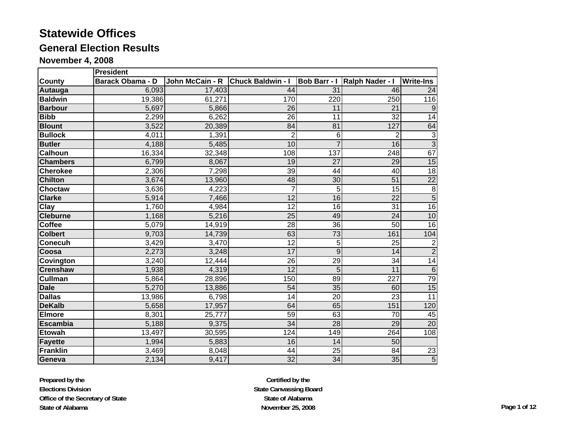#### **General Election Results**

**November 4, 2008**

|                 | <b>President</b>        |                 |                          |                     |                  |                     |  |  |  |  |  |  |
|-----------------|-------------------------|-----------------|--------------------------|---------------------|------------------|---------------------|--|--|--|--|--|--|
| <b>County</b>   | <b>Barack Obama - D</b> | John McCain - R | <b>Chuck Baldwin - I</b> | <b>Bob Barr - I</b> | Ralph Nader - I  | <b>Write-Ins</b>    |  |  |  |  |  |  |
| Autauga         | 6,093                   | 17,403          | 44                       | 31                  | 46               | 24                  |  |  |  |  |  |  |
| <b>Baldwin</b>  | 19,386                  | 61,271          | 170                      | 220                 | 250              | 116                 |  |  |  |  |  |  |
| <b>Barbour</b>  | 5,697                   | 5,866           | $\overline{26}$          | 11                  | 21               | 9                   |  |  |  |  |  |  |
| <b>Bibb</b>     | 2,299                   | 6,262           | 26                       | 11                  | $\overline{32}$  | $\overline{14}$     |  |  |  |  |  |  |
| <b>Blount</b>   | 3,522                   | 20,389          | 84                       | 81                  | 127              | 64                  |  |  |  |  |  |  |
| <b>Bullock</b>  | 4,011                   | 1,391           | $\overline{2}$           | 6                   | $\overline{2}$   | $\overline{\omega}$ |  |  |  |  |  |  |
| <b>Butler</b>   | 4,188                   | 5,485           | 10                       | $\overline{7}$      | 16               | $\overline{3}$      |  |  |  |  |  |  |
| <b>Calhoun</b>  | 16,334                  | 32,348          | 108                      | 137                 | 248              | 67                  |  |  |  |  |  |  |
| <b>Chambers</b> | 6,799                   | 8,067           | 19                       | 27                  | 29               | 15                  |  |  |  |  |  |  |
| <b>Cherokee</b> | 2,306                   | 7,298           | 39                       | 44                  | 40               | 18                  |  |  |  |  |  |  |
| <b>Chilton</b>  | 3,674                   | 13,960          | 48                       | 30                  | $\overline{51}$  | $\overline{22}$     |  |  |  |  |  |  |
| <b>Choctaw</b>  | 3,636                   | 4,223           | $\overline{7}$           | 5                   | $\overline{15}$  | $\overline{8}$      |  |  |  |  |  |  |
| <b>Clarke</b>   | 5,914                   | 7,466           | $\overline{12}$          | $\overline{16}$     | $\overline{22}$  | $\overline{5}$      |  |  |  |  |  |  |
| Clay            | 1,760                   | 4,984           | $\overline{12}$          | $\overline{16}$     | 31               | 16                  |  |  |  |  |  |  |
| <b>Cleburne</b> | 1,168                   | 5,216           | 25                       | 49                  | 24               | 10                  |  |  |  |  |  |  |
| <b>Coffee</b>   | 5,079                   | 14,919          | 28                       | 36                  | 50               | 16                  |  |  |  |  |  |  |
| <b>Colbert</b>  | 9,703                   | 14,739          | 63                       | $\overline{73}$     | 161              | 104                 |  |  |  |  |  |  |
| <b>Conecuh</b>  | 3,429                   | 3,470           | $\overline{12}$          | $\overline{5}$      | $\overline{25}$  | $\overline{2}$      |  |  |  |  |  |  |
| Coosa           | 2,273                   | 3,248           | 17                       | $\overline{9}$      | $\overline{14}$  | $\overline{2}$      |  |  |  |  |  |  |
| Covington       | 3,240                   | 12,444          | 26                       | 29                  | 34               | 14                  |  |  |  |  |  |  |
| <b>Crenshaw</b> | 1,938                   | 4,319           | $\overline{12}$          | $\overline{5}$      | $\overline{11}$  | 6                   |  |  |  |  |  |  |
| <b>Cullman</b>  | 5,864                   | 28,896          | 150                      | 89                  | $\overline{227}$ | 79                  |  |  |  |  |  |  |
| <b>Dale</b>     | 5,270                   | 13,886          | 54                       | 35                  | 60               | 15                  |  |  |  |  |  |  |
| <b>Dallas</b>   | 13,986                  | 6,798           | 14                       | 20                  | 23               | 11                  |  |  |  |  |  |  |
| <b>DeKalb</b>   | 5,658                   | 17,957          | 64                       | 65                  | 151              | 120                 |  |  |  |  |  |  |
| <b>Elmore</b>   | 8,301                   | 25,777          | 59                       | 63                  | 70               | 45                  |  |  |  |  |  |  |
| Escambia        | 5,188                   | 9,375           | $\overline{34}$          | $\overline{28}$     | 29               | 20                  |  |  |  |  |  |  |
| <b>Etowah</b>   | 13,497                  | 30,595          | 124                      | 149                 | 264              | 108                 |  |  |  |  |  |  |
| Fayette         | 1,994                   | 5,883           | 16                       | 14                  | 50               |                     |  |  |  |  |  |  |
| Franklin        | 3,469                   | 8,048           | 44                       | 25                  | 84               | $\overline{23}$     |  |  |  |  |  |  |
| Geneva          | 2,134                   | 9,417           | 32                       | 34                  | 35               | $\overline{5}$      |  |  |  |  |  |  |

**Prepared by the Elections Division Office of the Secretary of State State of Alabama**

**Certified by the State Canvassing Board State of AlabamaNovember 25, 2008 Page 1 of 12**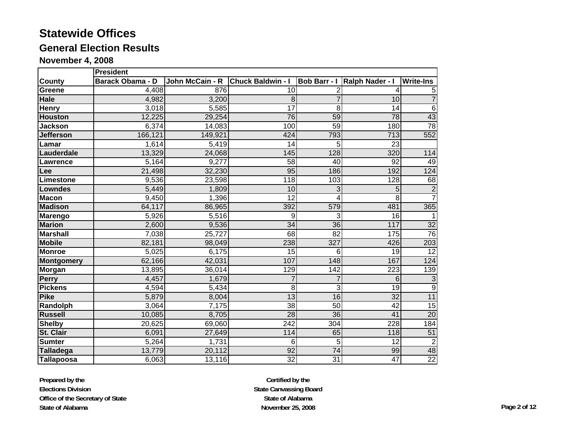# **General Election Results**

**November 4, 2008**

|                   | <b>President</b>        |                 |                          |                     |                  |                  |  |  |  |  |  |
|-------------------|-------------------------|-----------------|--------------------------|---------------------|------------------|------------------|--|--|--|--|--|
| County            | <b>Barack Obama - D</b> | John McCain - R | <b>Chuck Baldwin - I</b> | <b>Bob Barr - I</b> | Ralph Nader - I  | <b>Write-Ins</b> |  |  |  |  |  |
| Greene            | 4,408                   | 876             | 10                       | $\overline{c}$      |                  |                  |  |  |  |  |  |
| Hale              | 4,982                   | 3,200           | 8                        |                     | 10               |                  |  |  |  |  |  |
| <b>Henry</b>      | 3,018                   | 5,585           | $\overline{17}$          | 8                   | $\overline{14}$  | $\,6$            |  |  |  |  |  |
| <b>Houston</b>    | 12,225                  | 29,254          | 76                       | 59                  | 78               | $\frac{43}{78}$  |  |  |  |  |  |
| <b>Jackson</b>    | 6,374                   | 14,083          | 100                      | 59                  | 180              |                  |  |  |  |  |  |
| <b>Jefferson</b>  | 166,121                 | 149,921         | 424                      | 793                 | $\overline{713}$ | 552              |  |  |  |  |  |
| Lamar             | 1,614                   | 5,419           | 14                       | 5                   | 23               |                  |  |  |  |  |  |
| Lauderdale        | 13,329                  | 24,068          | 145                      | 128                 | 320              | 114              |  |  |  |  |  |
| Lawrence          | 5,164                   | 9,277           | $\overline{58}$          | 40                  | $\overline{92}$  | 49               |  |  |  |  |  |
| <b>Lee</b>        | 21,498                  | 32,230          | 95                       | 186                 | 192              | 124              |  |  |  |  |  |
| Limestone         | 9,536                   | 23,598          | 118                      | 103                 | 128              | 68               |  |  |  |  |  |
| <b>Lowndes</b>    | 5,449                   | 1,809           | 10                       | 3                   | 5                | $\overline{2}$   |  |  |  |  |  |
| <b>Macon</b>      | 9,450                   | 1,396           | $\overline{12}$          | 4                   | 8                | $\overline{7}$   |  |  |  |  |  |
| <b>Madison</b>    | 64,117                  | 86,965          | 392                      | 579                 | 481              | 365              |  |  |  |  |  |
| <b>Marengo</b>    | 5,926                   | 5,516           | 9                        | 3                   | 16               |                  |  |  |  |  |  |
| <b>Marion</b>     | 2,600                   | 9,536           | $\overline{34}$          | 36                  | 117              | $\overline{32}$  |  |  |  |  |  |
| <b>Marshall</b>   | 7,038                   | 25,727          | 68                       | $\overline{82}$     | 175              | 76               |  |  |  |  |  |
| <b>Mobile</b>     | 82,181                  | 98,049          | 238                      | 327                 | 426              | 203              |  |  |  |  |  |
| <b>Monroe</b>     | 5,025                   | 6,175           | 15                       | 6                   | 19               | $\overline{12}$  |  |  |  |  |  |
| <b>Montgomery</b> | 62,166                  | 42,031          | 107                      | 148                 | 167              | 124              |  |  |  |  |  |
| Morgan            | 13,895                  | 36,014          | 129                      | $\overline{142}$    | $\overline{223}$ | 139              |  |  |  |  |  |
| Perry             | 4,457                   | 1,679           |                          |                     | $\overline{6}$   | $\overline{3}$   |  |  |  |  |  |
| <b>Pickens</b>    | 4,594                   | 5,434           | 8                        | 3                   | 19               | $\overline{9}$   |  |  |  |  |  |
| <b>Pike</b>       | 5,879                   | 8,004           | $\overline{13}$          | 16                  | $\overline{32}$  | 11               |  |  |  |  |  |
| Randolph          | 3,064                   | 7,175           | 38                       | $\overline{50}$     | $\overline{42}$  | 15               |  |  |  |  |  |
| <b>Russell</b>    | 10,085                  | 8,705           | 28                       | 36                  | 41               | 20               |  |  |  |  |  |
| <b>Shelby</b>     | 20,625                  | 69,060          | $\overline{242}$         | 304                 | 228              | $\overline{184}$ |  |  |  |  |  |
| St. Clair         | 6,091                   | 27,649          | 114                      | 65                  | 118              | $\overline{51}$  |  |  |  |  |  |
| <b>Sumter</b>     | 5,264                   | 1,731           | 6                        | 5                   | 12               | $\overline{2}$   |  |  |  |  |  |
| <b>Talladega</b>  | 13,779                  | 20,112          | 92                       | $\overline{74}$     | 99               | 48               |  |  |  |  |  |
| <b>Tallapoosa</b> | 6,063                   | 13,116          | $\overline{32}$          | 31                  | $\overline{47}$  | 22               |  |  |  |  |  |

**Prepared by the Elections Division Office of the Secretary of State State of Alabama**

**Certified by the State Canvassing Board State of AlabamaNovember 25, 2008 Page 2 of 12**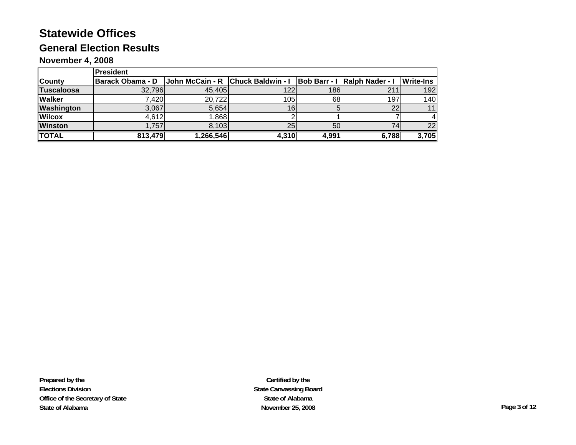## **General Election Results**

#### **November 4, 2008**

|                   | <b>President</b>                                                                        |          |       |       |       |                  |  |  |
|-------------------|-----------------------------------------------------------------------------------------|----------|-------|-------|-------|------------------|--|--|
| <b>County</b>     | Barack Obama - D   John McCain - R   Chuck Baldwin - I   Bob Barr - I   Ralph Nader - I |          |       |       |       | <b>Write-Ins</b> |  |  |
| <b>Tuscaloosa</b> | 32,796                                                                                  | 45,405   | 122   | 1861  | 211   | 192              |  |  |
| <b>Walker</b>     | 7,420                                                                                   | 20,722   | 105   | 68    | 197   | 140              |  |  |
| <b>Washington</b> | 3,067                                                                                   | 5,654    | 16    |       |       | 11               |  |  |
| <b>Wilcox</b>     | 4,612                                                                                   | .868     |       |       |       |                  |  |  |
| <b>Winston</b>    | 1,757                                                                                   | 8.103    | 25    | 50    |       | 22               |  |  |
| <b>TOTAL</b>      | 813,479                                                                                 | 266,546, | 4,310 | 4,991 | 6,788 | 3,705            |  |  |

**Prepared by the Elections Division Office of the Secretary of State State of Alabama**

**Certified by the State Canvassing Board State of AlabamaNovember 25, 2008 Page 3 of 12**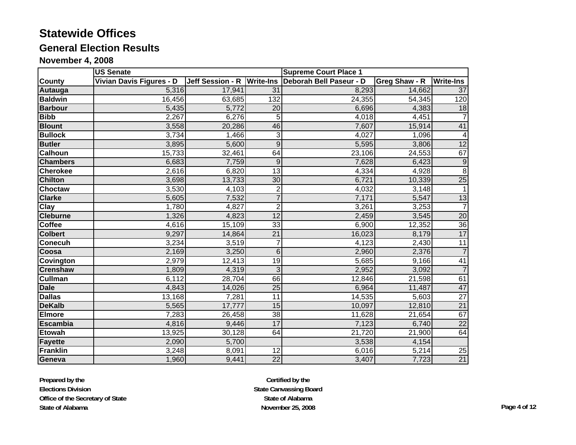# **General Election Results**

**November 4, 2008**

|                 | <b>US Senate</b>         |                            |                 | <b>Supreme Court Place 1</b> |               |                          |
|-----------------|--------------------------|----------------------------|-----------------|------------------------------|---------------|--------------------------|
| <b>County</b>   | Vivian Davis Figures - D | Jeff Session - R Write-Ins |                 | Deborah Bell Paseur - D      | Greg Shaw - R | <b>Write-Ins</b>         |
| Autauga         | 5,316                    | 17,941                     | 31              | 8,293                        | 14,662        | 37                       |
| <b>Baldwin</b>  | 16,456                   | 63,685                     | 132             | 24,355                       | 54,345        | 120                      |
| <b>Barbour</b>  | 5,435                    | 5,772                      | 20              | 6,696                        | 4,383         | $\overline{18}$          |
| <b>Bibb</b>     | 2,267                    | 6,276                      | 5               | 4,018                        | 4,451         | $\overline{7}$           |
| <b>Blount</b>   | 3,558                    | 20,286                     | 46              | 7,607                        | 15,914        | 41                       |
| <b>Bullock</b>  | 3,734                    | 1,466                      | 3               | 4,027                        | 1,096         | $\overline{\mathcal{A}}$ |
| <b>Butler</b>   | 3,895                    | 5,600                      | 9               | 5,595                        | 3,806         | 12                       |
| <b>Calhoun</b>  | 15,733                   | 32,461                     | 64              | 23,106                       | 24,553        | 67                       |
| <b>Chambers</b> | 6,683                    | 7,759                      | 9               | 7,628                        | 6,423         | $\overline{9}$           |
| <b>Cherokee</b> | 2,616                    | 6,820                      | $\overline{13}$ | 4,334                        | 4,928         | $\overline{8}$           |
| <b>Chilton</b>  | 3,698                    | 13,733                     | 30              | 6,721                        | 10,339        | $\overline{25}$          |
| Choctaw         | 3,530                    | 4,103                      | $\overline{2}$  | 4,032                        | 3,148         | $\mathbf{1}$             |
| <b>Clarke</b>   | 5,605                    | 7,532                      |                 | 7,171                        | 5,547         | 13                       |
| <b>Clay</b>     | 1,780                    | 4,827                      | $\overline{2}$  | 3,261                        | 3,253         | $\overline{7}$           |
| <b>Cleburne</b> | 1,326                    | 4,823                      | 12              | 2,459                        | 3,545         | $\overline{20}$          |
| Coffee          | 4,616                    | 15,109                     | 33              | 6,900                        | 12,352        | 36                       |
| <b>Colbert</b>  | 9,297                    | 14,864                     | 21              | 16,023                       | 8,179         | 17                       |
| <b>Conecuh</b>  | 3,234                    | 3,519                      | $\overline{7}$  | 4,123                        | 2,430         | $\overline{11}$          |
| Coosa           | 2,169                    | 3,250                      | $6\overline{6}$ | 2,960                        | 2,376         | $\overline{7}$           |
| Covington       | 2,979                    | 12,413                     | 19              | 5,685                        | 9,166         | 41                       |
| <b>Crenshaw</b> | 1,809                    | 4,319                      | 3               | 2,952                        | 3,092         | $\overline{7}$           |
| <b>Cullman</b>  | 6,112                    | 28,704                     | 66              | 12,846                       | 21,598        | 61                       |
| <b>Dale</b>     | 4,843                    | 14,026                     | $\overline{25}$ | 6,964                        | 11,487        | 47                       |
| <b>Dallas</b>   | 13,168                   | 7,281                      | $\overline{11}$ | 14,535                       | 5,603         | $\overline{27}$          |
| <b>DeKalb</b>   | 5,565                    | 17,777                     | 15              | 10,097                       | 12,810        | 21                       |
| Elmore          | 7,283                    | 26,458                     | 38              | 11,628                       | 21,654        | 67                       |
| <b>Escambia</b> | 4,816                    | 9,446                      | 17              | 7,123                        | 6,740         | $\overline{22}$          |
| <b>Etowah</b>   | 13,925                   | 30,128                     | 64              | 21,720                       | 21,900        | 64                       |
| Fayette         | 2,090                    | 5,700                      |                 | 3,538                        | 4,154         |                          |
| Franklin        | 3,248                    | 8,091                      | 12              | 6,016                        | 5,214         | 25                       |
| Geneva          | 1,960                    | 9,441                      | $\overline{22}$ | 3,407                        | 7,723         | 21                       |

**Prepared by the Elections Division Office of the Secretary of State State of Alabama**

**Certified by the State Canvassing Board State of AlabamaNovember 25, 2008 Page 4 of 12**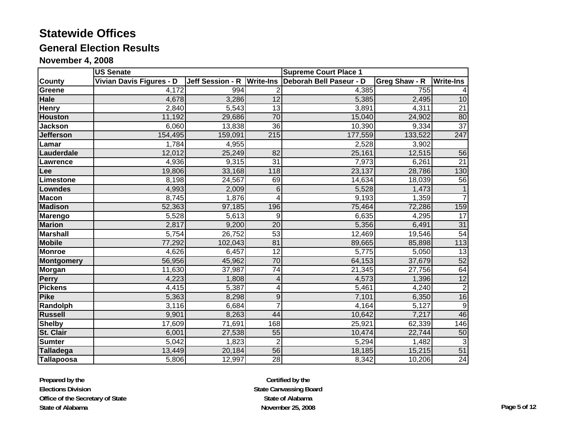# **General Election Results**

**November 4, 2008**

|                   | <b>US Senate</b>         |                            |                 | <b>Supreme Court Place 1</b> |               |                  |  |
|-------------------|--------------------------|----------------------------|-----------------|------------------------------|---------------|------------------|--|
| <b>County</b>     | Vivian Davis Figures - D | Jeff Session - R Write-Ins |                 | Deborah Bell Paseur - D      | Greg Shaw - R | <b>Write-Ins</b> |  |
| <b>Greene</b>     | 4,172                    | 994                        |                 | 4,385                        | 755           |                  |  |
| Hale              | 4,678                    | 3,286                      | 12              | 5,385                        | 2,495         | 10               |  |
| <b>Henry</b>      | 2,840                    | 5,543                      | $\overline{13}$ | 3,891                        | 4,311         | $\overline{21}$  |  |
| <b>Houston</b>    | 11,192                   | 29,686                     | $\overline{70}$ | 15,040                       | 24,902        | 80               |  |
| <b>Jackson</b>    | 6,060                    | 13,838                     | 36              | 10,390                       | 9,334         | $\overline{37}$  |  |
| <b>Jefferson</b>  | 154,495                  | 159,091                    | 215             | 177,559                      | 133,522       | 247              |  |
| Lamar             | 1,784                    | 4,955                      |                 | 2,528                        | 3,902         |                  |  |
| Lauderdale        | 12,012                   | 25,249                     | 82              | 25,161                       | 12,515        | 56               |  |
| Lawrence          | 4,936                    | 9,315                      | 31              | 7,973                        | 6,261         | $\overline{21}$  |  |
| Lee               | 19,806                   | 33,168                     | 118             | 23,137                       | 28,786        | 130              |  |
| Limestone         | 8,198                    | 24,567                     | 69              | 14,634                       | 18,039        | 56               |  |
| <b>Lowndes</b>    | 4,993                    | 2,009                      | 6               | 5,528                        | 1,473         |                  |  |
| <b>Macon</b>      | 8,745                    | 1,876                      |                 | 9,193                        | 1,359         |                  |  |
| <b>Madison</b>    | 52,363                   | 97,185                     | 196             | 75,464                       | 72,286        | 159              |  |
| <b>Marengo</b>    | 5,528                    | 5,613                      | 9               | 6,635                        | 4,295         | 17               |  |
| <b>Marion</b>     | 2,817                    | 9,200                      | $\overline{20}$ | 5,356                        | 6,491         | 31               |  |
| <b>Marshall</b>   | 5,754                    | 26,752                     | 53              | 12,469                       | 19,546        | 54               |  |
| <b>Mobile</b>     | 77,292                   | 102,043                    | 81              | 89,665                       | 85,898        | 113              |  |
| <b>Monroe</b>     | 4,626                    | 6,457                      | $\overline{12}$ | 5,775                        | 5,050         | 13               |  |
| <b>Montgomery</b> | 56,956                   | 45,962                     | 70              | 64,153                       | 37,679        | 52               |  |
| <b>Morgan</b>     | 11,630                   | 37,987                     | 74              | 21,345                       | 27,756        | 64               |  |
| <b>Perry</b>      | 4,223                    | 1,808                      | 4               | 4,573                        | 1,396         | $\overline{12}$  |  |
| <b>Pickens</b>    | 4,415                    | 5,387                      | 4               | 5,461                        | 4,240         | $\overline{2}$   |  |
| <b>Pike</b>       | 5,363                    | 8,298                      | 9               | 7,101                        | 6,350         | 16               |  |
| Randolph          | 3,116                    | 6,684                      |                 | 4,164                        | 5,127         | $9\,$            |  |
| <b>Russell</b>    | 9,901                    | 8,263                      | 44              | 10,642                       | 7,217         | 46               |  |
| <b>Shelby</b>     | 17,609                   | 71,691                     | 168             | 25,921                       | 62,339        | 146              |  |
| <b>St. Clair</b>  | 6,001                    | 27,538                     | 55              | 10,474                       | 22,744        | 50               |  |
| <b>Sumter</b>     | 5,042                    | 1,823                      | $\overline{2}$  | 5,294                        | 1,482         | $\overline{3}$   |  |
| <b>Talladega</b>  | 13,449                   | 20,184                     | 56              | 18,185                       | 15,215        | 51               |  |
| Tallapoosa        | 5,806                    | 12,997                     | 28              | 8,342                        | 10,206        | 24               |  |

**Prepared by the Elections Division Office of the Secretary of State State of Alabama**

**Certified by the State Canvassing Board State of AlabamaNovember 25, 2008 Page 5 of 12**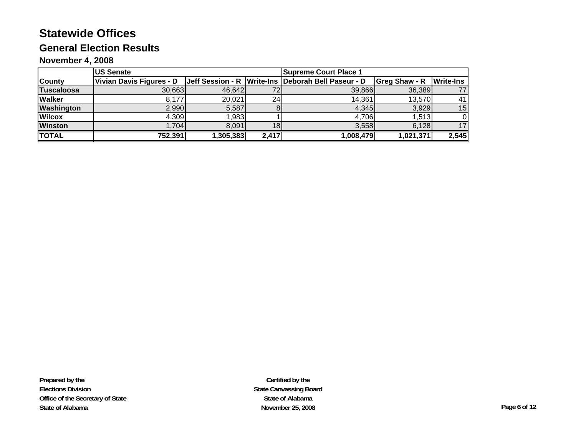## **General Election Results**

#### **November 4, 2008**

|                   | <b>US Senate</b>         |          | <b>Supreme Court Place 1</b> |                                                    |                      |                  |
|-------------------|--------------------------|----------|------------------------------|----------------------------------------------------|----------------------|------------------|
| <b>County</b>     | Vivian Davis Figures - D |          |                              | Jeff Session - R Write-Ins Deborah Bell Paseur - D | <b>Greg Shaw - R</b> | <b>Write-Ins</b> |
| <b>Tuscaloosa</b> | 30,663                   | 46,642   |                              | 39,866                                             | 36,389               |                  |
| <b>Walker</b>     | 8,177                    | 20,021   | 24 <sub>1</sub>              | 14,361                                             | 13,570               | 41               |
| Washington        | 2,990                    | 5,587    |                              | 4,345                                              | 3,929                | 15               |
| <b>Wilcox</b>     | 4,309                    | .983     |                              | 4,706                                              | 1,513                |                  |
| <b>Winston</b>    | .704                     | 8,091    |                              | 3,558                                              | 6,128                | 17               |
| <b>TOTAL</b>      | 752,391                  | ,305,383 | 2,417                        | 1,008,479                                          | 1,021,371            | 2,545            |

**Prepared by the Elections Division Office of the Secretary of State State of Alabama**

**Certified by the State Canvassing Board State of AlabamaNovember 25, 2008 Page 6 of 12**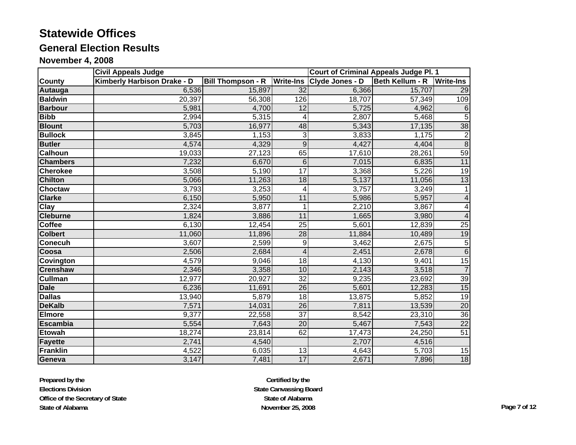# **General Election Results**

**November 4, 2008**

|                  | <b>Civil Appeals Judge</b>  |                                    |                         | <b>Court of Criminal Appeals Judge Pl. 1</b> |                 |                  |
|------------------|-----------------------------|------------------------------------|-------------------------|----------------------------------------------|-----------------|------------------|
| <b>County</b>    | Kimberly Harbison Drake - D | <b>Bill Thompson - R</b> Write-Ins |                         | Clyde Jones - D                              | Beth Kellum - R | <b>Write-Ins</b> |
| Autauga          | 6,536                       | 15,897                             | 32                      | 6,366                                        | 15,707          | 29               |
| <b>Baldwin</b>   | 20,397                      | 56,308                             | 126                     | 18,707                                       | 57,349          | 109              |
| <b>Barbour</b>   | 5,981                       | 4,700                              | 12                      | 5,725                                        | 4,962           | 6                |
| <b>Bibb</b>      | 2,994                       | 5,315                              | 4                       | 2,807                                        | 5,468           | $\overline{5}$   |
| <b>Blount</b>    | 5,703                       | 16,977                             | 48                      | 5,343                                        | 17,135          | 38               |
| <b>Bullock</b>   | 3,845                       | 1,153                              | 3                       | 3,833                                        | 1,175           | $\boldsymbol{2}$ |
| <b>Butler</b>    | 4,574                       | 4,329                              | $\overline{9}$          | 4,427                                        | 4,404           | $\overline{8}$   |
| <b>Calhoun</b>   | 19,033                      | 27,123                             | 65                      | 17,610                                       | 28,261          | 59               |
| <b>Chambers</b>  | 7,232                       | 6,670                              | 6                       | 7,015                                        | 6,835           | 11               |
| <b>Cherokee</b>  | 3,508                       | 5,190                              | 17                      | 3,368                                        | 5,226           | 19               |
| <b>Chilton</b>   | 5,066                       | 11,263                             | 18                      | 5,137                                        | 11,056          | 13               |
| <b>Choctaw</b>   | 3,793                       | 3,253                              | 4                       | 3,757                                        | 3,249           |                  |
| <b>Clarke</b>    | 6,150                       | 5,950                              | 11                      | 5,986                                        | 5,957           | 4                |
| <b>Clay</b>      | 2,324                       | 3,877                              | 1                       | 2,210                                        | 3,867           | 4                |
| <b>Cleburne</b>  | 1,824                       | 3,886                              | 11                      | 1,665                                        | 3,980           | $\overline{4}$   |
| <b>Coffee</b>    | 6,130                       | 12,454                             | 25                      | 5,601                                        | 12,839          | $\overline{25}$  |
| <b>Colbert</b>   | 11,060                      | 11,896                             | 28                      | 11,884                                       | 10,489          | 19               |
| <b>Conecuh</b>   | 3,607                       | 2,599                              | $\overline{9}$          | 3,462                                        | 2,675           | $\overline{5}$   |
| Coosa            | 2,506                       | 2,684                              | $\overline{\mathbf{4}}$ | 2,451                                        | 2,678           | $\overline{6}$   |
| <b>Covington</b> | 4,579                       | 9,046                              | $\overline{18}$         | 4,130                                        | 9,401           | 15               |
| <b>Crenshaw</b>  | 2,346                       | 3,358                              | 10                      | 2,143                                        | 3,518           | $\overline{7}$   |
| <b>Cullman</b>   | 12,977                      | 20,927                             | $\overline{32}$         | 9,235                                        | 23,692          | 39               |
| <b>Dale</b>      | 6,236                       | 11,691                             | 26                      | 5,601                                        | 12,283          | 15               |
| <b>Dallas</b>    | 13,940                      | 5,879                              | 18                      | 13,875                                       | 5,852           | 19               |
| <b>DeKalb</b>    | 7,571                       | 14,031                             | $\overline{26}$         | 7,811                                        | 13,539          | $\overline{20}$  |
| <b>Elmore</b>    | 9,377                       | 22,558                             | $\overline{37}$         | 8,542                                        | 23,310          | $\overline{36}$  |
| <b>Escambia</b>  | 5,554                       | 7,643                              | $\overline{20}$         | 5,467                                        | 7,543           | $\overline{22}$  |
| <b>Etowah</b>    | 18,274                      | 23,814                             | 62                      | 17,473                                       | 24,250          | 51               |
| <b>Fayette</b>   | 2,741                       | 4,540                              |                         | 2,707                                        | 4,516           |                  |
| Franklin         | 4,522                       | 6,035                              | 13                      | 4,643                                        | 5,703           | 15               |
| Geneva           | 3,147                       | 7,481                              | 17                      | 2,671                                        | 7,896           | 18               |

**Prepared by the Elections Division Office of the Secretary of State State of Alabama**

**Certified by the State Canvassing Board State of AlabamaNovember 25, 2008 Page 7 of 12**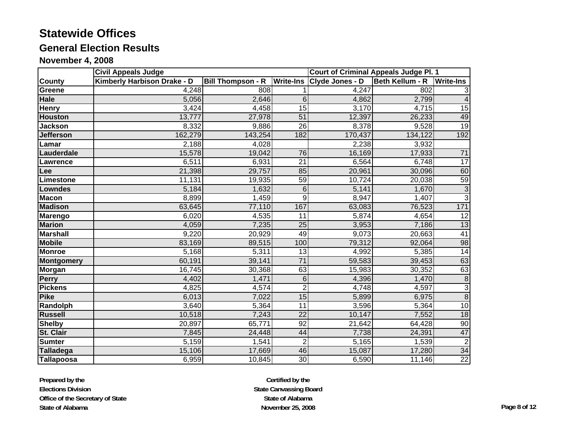# **General Election Results**

**November 4, 2008**

|                   | <b>Civil Appeals Judge</b>  |                          |                  | <b>Court of Criminal Appeals Judge Pl. 1</b> |                           |                 |
|-------------------|-----------------------------|--------------------------|------------------|----------------------------------------------|---------------------------|-----------------|
| <b>County</b>     | Kimberly Harbison Drake - D | <b>Bill Thompson - R</b> | <b>Write-Ins</b> | Clyde Jones - D                              | Beth Kellum - R Write-Ins |                 |
| <b>Greene</b>     | 4,248                       | 808                      |                  | 4,247                                        | 802                       |                 |
| Hale              | 5,056                       | 2,646                    | 6                | 4,862                                        | 2,799                     |                 |
| Henry             | 3,424                       | 4,458                    | $\overline{15}$  | 3,170                                        | 4,715                     | 15              |
| <b>Houston</b>    | 13,777                      | 27,978                   | $\overline{51}$  | 12,397                                       | 26,233                    | 49              |
| <b>Jackson</b>    | 8,332                       | 9,886                    | 26               | 8,378                                        | 9,528                     | 19              |
| <b>Jefferson</b>  | 162,279                     | 143,254                  | 182              | 170,437                                      | 134,122                   | 192             |
| Lamar             | 2,188                       | 4,028                    |                  | 2,238                                        | 3,932                     |                 |
| Lauderdale        | 15,578                      | 19,042                   | 76               | 16,169                                       | 17,933                    | 71              |
| <b>Lawrence</b>   | 6,511                       | 6,931                    | $\overline{21}$  | 6,564                                        | 6,748                     | 17              |
| Lee               | 21,398                      | 29,757                   | 85               | 20,961                                       | 30,096                    | 60              |
| Limestone         | 11,131                      | 19,935                   | 59               | 10,724                                       | 20,038                    | 59              |
| <b>Lowndes</b>    | 5,184                       | 1,632                    | 6                | 5,141                                        | 1,670                     | $\overline{3}$  |
| <b>Macon</b>      | 8,899                       | 1,459                    | 9                | 8,947                                        | 1,407                     | $\overline{3}$  |
| <b>Madison</b>    | 63,645                      | 77,110                   | 167              | 63,083                                       | 76,523                    | 171             |
| <b>Marengo</b>    | 6,020                       | 4,535                    | 11               | 5,874                                        | 4,654                     | 12              |
| <b>Marion</b>     | 4,059                       | 7,235                    | 25               | 3,953                                        | 7,186                     | 13              |
| <b>Marshall</b>   | 9,220                       | 20,929                   | 49               | 9,073                                        | 20,663                    | 41              |
| <b>Mobile</b>     | 83,169                      | 89,515                   | 100              | 79,312                                       | 92,064                    | 98              |
| <b>Monroe</b>     | 5,168                       | 5,311                    | $\overline{13}$  | 4,992                                        | 5,385                     | 14              |
| <b>Montgomery</b> | 60,191                      | 39,141                   | $\overline{71}$  | 59,583                                       | 39,453                    | 63              |
| <b>Morgan</b>     | 16,745                      | 30,368                   | 63               | 15,983                                       | 30,352                    | 63              |
| Perry             | 4,402                       | 1,471                    | $\overline{6}$   | 4,396                                        | 1,470                     | $\overline{8}$  |
| <b>Pickens</b>    | 4,825                       | 4,574                    | $\overline{2}$   | 4,748                                        | 4,597                     | $\overline{3}$  |
| <b>Pike</b>       | 6,013                       | 7,022                    | 15               | 5,899                                        | 6,975                     | $\overline{8}$  |
| Randolph          | 3,640                       | 5,364                    | 11               | 3,596                                        | 5,364                     | 10              |
| <b>Russell</b>    | 10,518                      | 7,243                    | 22               | 10,147                                       | 7,552                     | 18              |
| <b>Shelby</b>     | 20,897                      | 65,771                   | 92               | 21,642                                       | 64,428                    | $\overline{9}$  |
| St. Clair         | 7,845                       | 24,448                   | 44               | 7,738                                        | 24,391                    | 47              |
| <b>Sumter</b>     | 5,159                       | 1,541                    | $\boldsymbol{2}$ | 5,165                                        | 1,539                     | $\overline{2}$  |
| <b>Talladega</b>  | 15,106                      | 17,669                   | 46               | 15,087                                       | 17,280                    | 34              |
| <b>Tallapoosa</b> | 6,959                       | 10,845                   | 30               | 6,590                                        | 11,146                    | $\overline{22}$ |

**Prepared by the Elections Division Office of the Secretary of State State of Alabama**

**Certified by the State Canvassing Board State of AlabamaNovember 25, 2008 Page 8 of 12**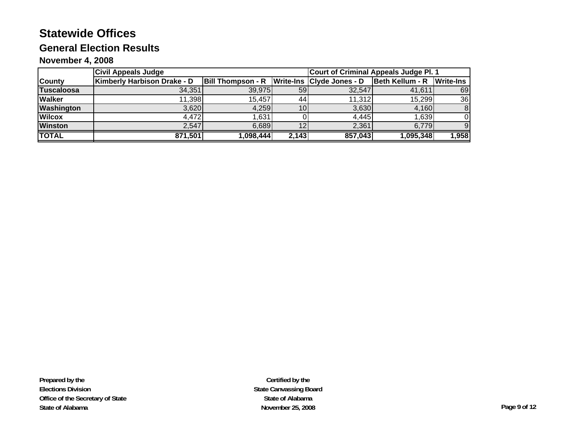## **General Election Results**

#### **November 4, 2008**

|                   | <b>Civil Appeals Judge</b>  |                          | Court of Criminal Appeals Judge Pl. 1 |                           |                 |                  |
|-------------------|-----------------------------|--------------------------|---------------------------------------|---------------------------|-----------------|------------------|
| <b>County</b>     | Kimberly Harbison Drake - D | <b>Bill Thompson - R</b> |                                       | Write-Ins Clyde Jones - D | Beth Kellum - R | <b>Write-Ins</b> |
| <b>Tuscaloosa</b> | 34,351                      | 39,975                   | 59 <sub>l</sub>                       | 32.547                    | 41,611          | 69               |
| <b>Walker</b>     | 11,398                      | 15,457                   | 441                                   | 11,312                    | 15,299          | 36               |
| Washington        | 3,620                       | 4,259                    | 10 <sup>1</sup>                       | 3,630                     | 4,160           |                  |
| <b>Wilcox</b>     | 4,472                       | 631. ا                   |                                       | 4,445                     | 1,639           |                  |
| <b>Winston</b>    | 2,547                       | 6,689                    | 12                                    | 2,361                     | 6,779           | 9                |
| <b>TOTAL</b>      | 871,501                     | ,098,444                 | 2,143                                 | 857,043                   | 1,095,348       | 1,958            |

**Prepared by the Elections Division Office of the Secretary of State State of Alabama**

**Certified by the State Canvassing Board State of AlabamaNovember 25, 2008 Page 9 of 12**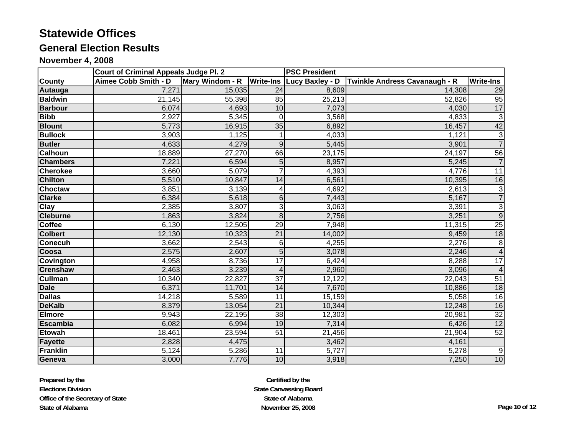# **General Election Results**

#### **November 4, 2008**

|                          | <b>Court of Criminal Appeals Judge Pl. 2</b> |                 |                  | <b>PSC President</b> |                               |                  |
|--------------------------|----------------------------------------------|-----------------|------------------|----------------------|-------------------------------|------------------|
| <b>County</b>            | <b>Aimee Cobb Smith - D</b>                  | Mary Windom - R | <b>Write-Ins</b> | Lucy Baxley - D      | Twinkle Andress Cavanaugh - R | <b>Write-Ins</b> |
| Autauga                  | 7,271                                        | 15,035          | 24               | 8,609                | 14,308                        | 29               |
| <b>Baldwin</b>           | 21,145                                       | 55,398          | 85               | 25,213               | 52,826                        | 95               |
| <b>Barbour</b>           | 6,074                                        | 4,693           | 10               | 7,073                | 4,030                         | 17               |
| <b>Bibb</b>              | 2,927                                        | 5,345           | $\Omega$         | 3,568                | 4,833                         | $\overline{3}$   |
| <b>Blount</b>            | 5,773                                        | 16,915          | 35               | 6,892                | 16,457                        | 42               |
| <b>Bullock</b>           | 3,903                                        | 1,125           |                  | 4,033                | 1,121                         | $\frac{3}{7}$    |
| <b>Butler</b>            | 4,633                                        | 4,279           | $\mathsf g$      | 5,445                | 3,901                         |                  |
| <b>Calhoun</b>           | 18,889                                       | 27,270          | 66               | 23,175               | 24,197                        | 56               |
| <b>Chambers</b>          | 7,221                                        | 6,594           | 5                | 8,957                | 5,245                         | $\overline{7}$   |
| <b>Cherokee</b>          | 3,660                                        | 5,079           | $\overline{7}$   | 4,393                | 4,776                         | $\overline{11}$  |
| <b>Chilton</b>           | 5,510                                        | 10,847          | 14               | 6,561                | 10,395                        | 16               |
| <b>Choctaw</b>           | 3,851                                        | 3,139           | 4                | 4,692                | 2,613                         | $\frac{3}{7}$    |
| <b>Clarke</b>            | 6,384                                        | 5,618           | 6                | 7,443                | 5,167                         |                  |
| $\overline{\text{Clay}}$ | 2,385                                        | 3,807           | 3                | 3,063                | 3,391                         | $\overline{3}$   |
| <b>Cleburne</b>          | 1,863                                        | 3,824           | $\overline{8}$   | 2,756                | 3,251                         | $\overline{9}$   |
| Coffee                   | 6,130                                        | 12,505          | 29               | 7,948                | $\overline{11,315}$           | $\overline{25}$  |
| <b>Colbert</b>           | 12,130                                       | 10,323          | $\overline{21}$  | 14,002               | 9,459                         | 18               |
| <b>Conecuh</b>           | 3,662                                        | 2,543           | 6                | 4,255                | 2,276                         | $\overline{8}$   |
| Coosa                    | 2,575                                        | 2,607           | $\overline{5}$   | 3,078                | 2,246                         | $\overline{4}$   |
| <b>Covington</b>         | 4,958                                        | 8,736           | 17               | 6,424                | 8,288                         | 17               |
| <b>Crenshaw</b>          | 2,463                                        | 3,239           | 4                | 2,960                | 3,096                         | $\overline{4}$   |
| <b>Cullman</b>           | 10,340                                       | 22,827          | $\overline{37}$  | 12,122               | 22,043                        | 51               |
| <b>Dale</b>              | 6,371                                        | 11,701          | $\overline{14}$  | 7,670                | 10,886                        | 18               |
| <b>Dallas</b>            | 14,218                                       | 5,589           | 11               | 15,159               | 5,058                         | 16               |
| <b>DeKalb</b>            | 8,379                                        | 13,054          | $\overline{21}$  | 10,344               | 12,248                        | 16               |
| <b>Elmore</b>            | 9,943                                        | 22,195          | $\overline{38}$  | 12,303               | 20,981                        | 32               |
| <b>Escambia</b>          | 6,082                                        | 6,994           | 19               | 7,314                | 6,426                         | 12               |
| <b>Etowah</b>            | 18,461                                       | 23,594          | 51               | 21,456               | 21,904                        | 52               |
| <b>Fayette</b>           | 2,828                                        | 4,475           |                  | 3,462                | 4,161                         |                  |
| Franklin                 | 5,124                                        | 5,286           | 11               | 5,727                | 5,278                         | 9                |
| Geneva                   | 3,000                                        | 7,776           | 10               | 3,918                | 7,250                         | 10               |

**Prepared by the Elections Division Office of the Secretary of State State of Alabama**

**Certified by the State Canvassing Board State of AlabamaNovember 25, 2008 Page 10 of 12**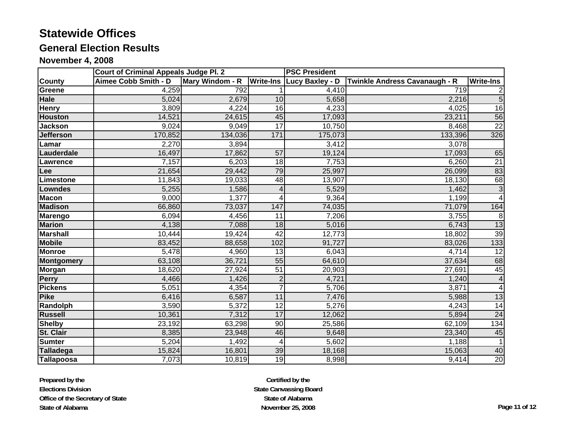# **General Election Results**

#### **November 4, 2008**

|                   | <b>Court of Criminal Appeals Judge Pl. 2</b> |                 |                  | <b>PSC President</b>             |                               |                           |
|-------------------|----------------------------------------------|-----------------|------------------|----------------------------------|-------------------------------|---------------------------|
| <b>County</b>     | Aimee Cobb Smith - D                         | Mary Windom - R |                  | <b>Write-Ins Lucy Baxley - D</b> | Twinkle Andress Cavanaugh - R | <b>Write-Ins</b>          |
| Greene            | 4,259                                        | 792             |                  | 4,410                            | 719                           | 2                         |
| <b>Hale</b>       | 5,024                                        | 2,679           | 10               | 5,658                            | 2,216                         | $\overline{5}$            |
| <b>Henry</b>      | 3,809                                        | 4,224           | 16               | 4,233                            | 4,025                         | 16                        |
| <b>Houston</b>    | 14,521                                       | 24,615          | 45               | 17,093                           | 23,211                        | 56                        |
| <b>Jackson</b>    | 9,024                                        | 9,049           | 17               | 10,750                           | 8,468                         | 22                        |
| <b>Jefferson</b>  | 170,852                                      | 134,036         | $\overline{171}$ | 175,073                          | 133,396                       | 326                       |
| Lamar             | 2,270                                        | 3,894           |                  | 3,412                            | 3,078                         |                           |
| Lauderdale        | 16,497                                       | 17,862          | $\overline{57}$  | 19,124                           | 17,093                        | 65                        |
| Lawrence          | 7,157                                        | 6,203           | 18               | 7,753                            | 6,260                         | $\overline{21}$           |
| Lee               | 21,654                                       | 29,442          | 79               | 25,997                           | 26,099                        | 83                        |
| Limestone         | 11,843                                       | 19,033          | 48               | 13,907                           | 18,130                        | 68                        |
| Lowndes           | 5,255                                        | 1,586           | 4                | 5,529                            | 1,462                         | $\ensuremath{\mathsf{3}}$ |
| <b>Macon</b>      | 9,000                                        | 1,377           | 4                | 9,364                            | 1,199                         | $\overline{4}$            |
| <b>Madison</b>    | 66,860                                       | 73,037          | 147              | 74,035                           | 71,079                        | 164                       |
| <b>Marengo</b>    | 6,094                                        | 4,456           | 11               | 7,206                            | 3,755                         | 8                         |
| <b>Marion</b>     | 4,138                                        | 7,088           | $\overline{18}$  | 5,016                            | 6,743                         | 13                        |
| <b>Marshall</b>   | 10,444                                       | 19,424          | $\overline{42}$  | 12,773                           | 18,802                        | 39                        |
| <b>Mobile</b>     | 83,452                                       | 88,658          | 102              | 91,727                           | 83,026                        | 133                       |
| <b>Monroe</b>     | 5,478                                        | 4,960           | 13               | 6,043                            | 4,714                         | 12                        |
| <b>Montgomery</b> | 63,108                                       | 36,721          | $\overline{55}$  | 64,610                           | 37,634                        | 68                        |
| <b>Morgan</b>     | 18,620                                       | 27,924          | $\overline{51}$  | 20,903                           | 27,691                        | 45                        |
| <b>Perry</b>      | 4,466                                        | 1,426           | $\overline{c}$   | 4,721                            | 1,240                         | $\overline{\mathbf{4}}$   |
| <b>Pickens</b>    | 5,051                                        | 4,354           | $\overline{7}$   | 5,706                            | 3,871                         | 4                         |
| <b>Pike</b>       | 6,416                                        | 6,587           | 11               | 7,476                            | 5,988                         | 13                        |
| Randolph          | 3,590                                        | 5,372           | 12               | 5,276                            | 4,243                         | 14                        |
| <b>Russell</b>    | 10,361                                       | 7,312           | 17               | 12,062                           | 5,894                         | $\overline{24}$           |
| <b>Shelby</b>     | 23,192                                       | 63,298          | 90               | 25,586                           | 62,109                        | 134                       |
| <b>St. Clair</b>  | 8,385                                        | 23,948          | 46               | 9,648                            | 23,340                        | 45                        |
| <b>Sumter</b>     | 5,204                                        | 1,492           | 4                | 5,602                            | 1,188                         | $\mathbf 1$               |
| <b>Talladega</b>  | 15,824                                       | 16,801          | 39               | 18,168                           | 15,063                        | 40                        |
| Tallapoosa        | 7,073                                        | 10,819          | 19               | 8,998                            | 9,414                         | 20                        |

**Certified by the State Canvassing Board State of AlabamaNovember 25, 2008 Page 11 of 12**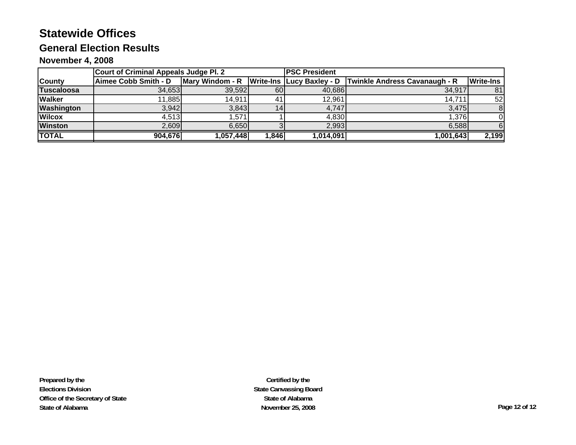## **General Election Results**

#### **November 4, 2008**

|                   | <b>Court of Criminal Appeals Judge Pl. 2</b> |                                               |              | <b>IPSC President</b> |                                      |                  |
|-------------------|----------------------------------------------|-----------------------------------------------|--------------|-----------------------|--------------------------------------|------------------|
| <b>County</b>     | Aimee Cobb Smith - D                         | Mary Windom - R   Write-Ins   Lucy Baxley - D |              |                       | <b>Twinkle Andress Cavanaugh - R</b> | <b>Write-Ins</b> |
| <b>Tuscaloosa</b> | 34.653                                       | 39,592                                        | 60           | 40,686                | 34,917                               | 81               |
| <b>Walker</b>     | 11,885                                       | 14,911                                        | -41          | 12,961                | 14,711                               | 52               |
| Washington        | 3,942                                        | 3,843                                         |              | 4,747                 | 3,475                                | 8                |
| <b>Wilcox</b>     | 4,513                                        | .571                                          |              | 4,830                 | 1,376                                |                  |
| <b>Winston</b>    | 2,609                                        | 6,650                                         |              | 2,993                 | 6,588                                |                  |
| <b>TOTAL</b>      | 904,676                                      | 1,057,448                                     | <b>1,846</b> | 1,014,091             | 1,001,643                            | 2,199            |

**Prepared by the Elections Division Office of the Secretary of State State of Alabama**

**Certified by the State Canvassing Board State of AlabamaNovember 25, 2008 Page 12 of 12**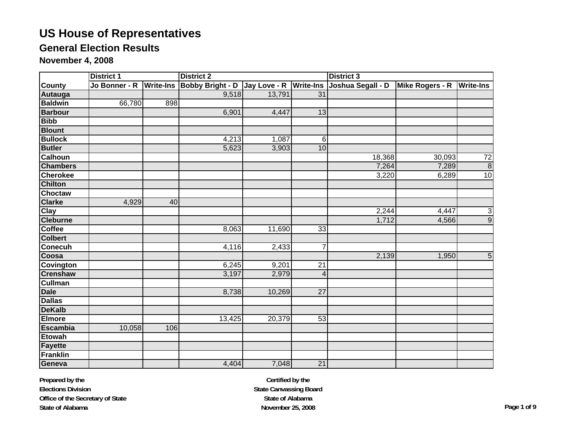## **General Election Results**

**November 4, 2008**

|                 | <b>District 1</b> |     | <b>District 2</b>                                               |        |                 |                   | <b>District 3</b>         |                 |  |  |
|-----------------|-------------------|-----|-----------------------------------------------------------------|--------|-----------------|-------------------|---------------------------|-----------------|--|--|
| <b>County</b>   |                   |     | Jo Bonner - R Write-Ins Bobby Bright - D Jay Love - R Write-Ins |        |                 | Joshua Segall - D | Mike Rogers - R Write-Ins |                 |  |  |
| <b>Autauga</b>  |                   |     | 9,518                                                           | 13,791 | 31              |                   |                           |                 |  |  |
| <b>Baldwin</b>  | 66,780            | 898 |                                                                 |        |                 |                   |                           |                 |  |  |
| <b>Barbour</b>  |                   |     | 6,901                                                           | 4,447  | 13              |                   |                           |                 |  |  |
| <b>Bibb</b>     |                   |     |                                                                 |        |                 |                   |                           |                 |  |  |
| <b>Blount</b>   |                   |     |                                                                 |        |                 |                   |                           |                 |  |  |
| <b>Bullock</b>  |                   |     | 4,213                                                           | 1,087  | 6               |                   |                           |                 |  |  |
| <b>Butler</b>   |                   |     | 5,623                                                           | 3,903  | 10              |                   |                           |                 |  |  |
| <b>Calhoun</b>  |                   |     |                                                                 |        |                 | 18,368            | 30,093                    | $\overline{72}$ |  |  |
| <b>Chambers</b> |                   |     |                                                                 |        |                 | 7,264             | 7,289                     | $\overline{8}$  |  |  |
| <b>Cherokee</b> |                   |     |                                                                 |        |                 | 3,220             | 6,289                     | 10              |  |  |
| <b>Chilton</b>  |                   |     |                                                                 |        |                 |                   |                           |                 |  |  |
| Choctaw         |                   |     |                                                                 |        |                 |                   |                           |                 |  |  |
| <b>Clarke</b>   | 4,929             | 40  |                                                                 |        |                 |                   |                           |                 |  |  |
| Clay            |                   |     |                                                                 |        |                 | 2,244             | 4,447                     | $\frac{1}{9}$   |  |  |
| <b>Cleburne</b> |                   |     |                                                                 |        |                 | 1,712             | 4,566                     |                 |  |  |
| <b>Coffee</b>   |                   |     | 8,063                                                           | 11,690 | 33              |                   |                           |                 |  |  |
| <b>Colbert</b>  |                   |     |                                                                 |        |                 |                   |                           |                 |  |  |
| <b>Conecuh</b>  |                   |     | 4,116                                                           | 2,433  | 7               |                   |                           |                 |  |  |
| Coosa           |                   |     |                                                                 |        |                 | 2,139             | 1,950                     | $5\phantom{.}$  |  |  |
| Covington       |                   |     | 6,245                                                           | 9,201  | 21              |                   |                           |                 |  |  |
| <b>Crenshaw</b> |                   |     | 3,197                                                           | 2,979  | 4               |                   |                           |                 |  |  |
| <b>Cullman</b>  |                   |     |                                                                 |        |                 |                   |                           |                 |  |  |
| <b>Dale</b>     |                   |     | 8,738                                                           | 10,269 | 27              |                   |                           |                 |  |  |
| <b>Dallas</b>   |                   |     |                                                                 |        |                 |                   |                           |                 |  |  |
| <b>DeKalb</b>   |                   |     |                                                                 |        |                 |                   |                           |                 |  |  |
| <b>Elmore</b>   |                   |     | 13,425                                                          | 20,379 | $\overline{53}$ |                   |                           |                 |  |  |
| <b>Escambia</b> | 10,058            | 106 |                                                                 |        |                 |                   |                           |                 |  |  |
| <b>Etowah</b>   |                   |     |                                                                 |        |                 |                   |                           |                 |  |  |
| Fayette         |                   |     |                                                                 |        |                 |                   |                           |                 |  |  |
| <b>Franklin</b> |                   |     |                                                                 |        |                 |                   |                           |                 |  |  |
| Geneva          |                   |     | 4,404                                                           | 7,048  | 21              |                   |                           |                 |  |  |

**Prepared by the Elections Division Office of the Secretary of State State of Alabama**

**Certified by the State Canvassing Board State of AlabamaNovember 25, 2008 Page 1 of 9**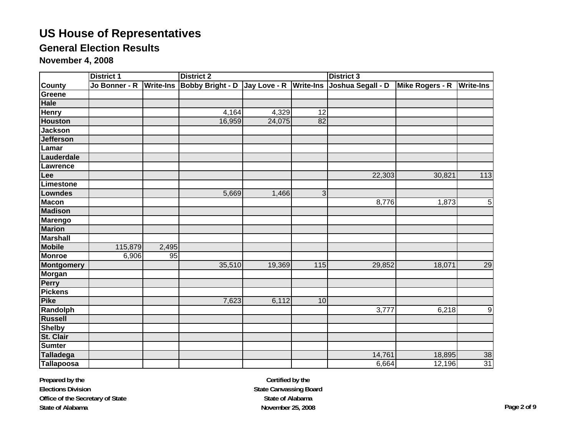## **General Election Results**

**November 4, 2008**

|                   | <b>District 1</b>       |       | <b>District 2</b>                       |        |     | <b>District 3</b> |                 |                  |
|-------------------|-------------------------|-------|-----------------------------------------|--------|-----|-------------------|-----------------|------------------|
| <b>County</b>     | Jo Bonner - R Write-Ins |       | Bobby Bright - D Jay Love - R Write-Ins |        |     | Joshua Segall - D | Mike Rogers - R | <b>Write-Ins</b> |
| Greene            |                         |       |                                         |        |     |                   |                 |                  |
| Hale              |                         |       |                                         |        |     |                   |                 |                  |
| <b>Henry</b>      |                         |       | 4,164                                   | 4,329  | 12  |                   |                 |                  |
| <b>Houston</b>    |                         |       | 16,959                                  | 24,075 | 82  |                   |                 |                  |
| <b>Jackson</b>    |                         |       |                                         |        |     |                   |                 |                  |
| <b>Jefferson</b>  |                         |       |                                         |        |     |                   |                 |                  |
| Lamar             |                         |       |                                         |        |     |                   |                 |                  |
| Lauderdale        |                         |       |                                         |        |     |                   |                 |                  |
| Lawrence          |                         |       |                                         |        |     |                   |                 |                  |
| Lee               |                         |       |                                         |        |     | 22,303            | 30,821          | 113              |
| Limestone         |                         |       |                                         |        |     |                   |                 |                  |
| Lowndes           |                         |       | 5,669                                   | 1,466  | 3   |                   |                 |                  |
| <b>Macon</b>      |                         |       |                                         |        |     | 8,776             | 1,873           | $\mathbf 5$      |
| <b>Madison</b>    |                         |       |                                         |        |     |                   |                 |                  |
| Marengo           |                         |       |                                         |        |     |                   |                 |                  |
| <b>Marion</b>     |                         |       |                                         |        |     |                   |                 |                  |
| <b>Marshall</b>   |                         |       |                                         |        |     |                   |                 |                  |
| <b>Mobile</b>     | 115,879                 | 2,495 |                                         |        |     |                   |                 |                  |
| <b>Monroe</b>     | 6,906                   | 95    |                                         |        |     |                   |                 |                  |
| <b>Montgomery</b> |                         |       | 35,510                                  | 19,369 | 115 | 29,852            | 18,071          | 29               |
| <b>Morgan</b>     |                         |       |                                         |        |     |                   |                 |                  |
| Perry             |                         |       |                                         |        |     |                   |                 |                  |
| <b>Pickens</b>    |                         |       |                                         |        |     |                   |                 |                  |
| <b>Pike</b>       |                         |       | 7,623                                   | 6,112  | 10  |                   |                 |                  |
| Randolph          |                         |       |                                         |        |     | 3,777             | 6,218           | $\boldsymbol{9}$ |
| <b>Russell</b>    |                         |       |                                         |        |     |                   |                 |                  |
| <b>Shelby</b>     |                         |       |                                         |        |     |                   |                 |                  |
| St. Clair         |                         |       |                                         |        |     |                   |                 |                  |
| <b>Sumter</b>     |                         |       |                                         |        |     |                   |                 |                  |
| <b>Talladega</b>  |                         |       |                                         |        |     | 14,761            | 18,895          | 38               |
| <b>Tallapoosa</b> |                         |       |                                         |        |     | 6,664             | 12,196          | $\overline{31}$  |

**Prepared by the Elections Division Office of the Secretary of State State of Alabama**

**Certified by the State Canvassing Board State of AlabamaNovember 25, 2008 Page 2 of 9**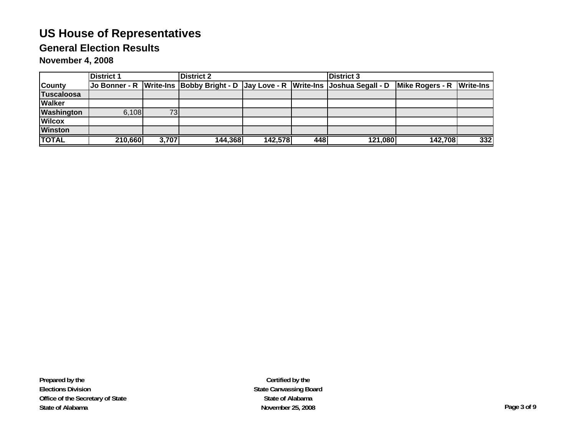## **General Election Results**

**November 4, 2008**

|                   | <b>District 1</b> |       | <b>District 2</b> |         |     | <b>District 3</b>                                                                          |                 |                  |
|-------------------|-------------------|-------|-------------------|---------|-----|--------------------------------------------------------------------------------------------|-----------------|------------------|
| <b>County</b>     |                   |       |                   |         |     | Jo Bonner - R   Write-Ins  Bobby Bright - D   Jay Love - R   Write-Ins   Joshua Segall - D | Mike Rogers - R | <b>Write-Ins</b> |
| Tuscaloosa        |                   |       |                   |         |     |                                                                                            |                 |                  |
| <b>Walker</b>     |                   |       |                   |         |     |                                                                                            |                 |                  |
| <b>Washington</b> | 6,108             | 73    |                   |         |     |                                                                                            |                 |                  |
| <b>Wilcox</b>     |                   |       |                   |         |     |                                                                                            |                 |                  |
| <b>Winston</b>    |                   |       |                   |         |     |                                                                                            |                 |                  |
| <b>TOTAL</b>      | 210,660           | 3,707 | 144,368           | 142,578 | 448 | 121,080                                                                                    | 142,708         | $332$            |

**Prepared by the Elections Division Office of the Secretary of State State of Alabama**

**Certified by the State Canvassing Board State of AlabamaNovember 25, 2008 Page 3 of 9**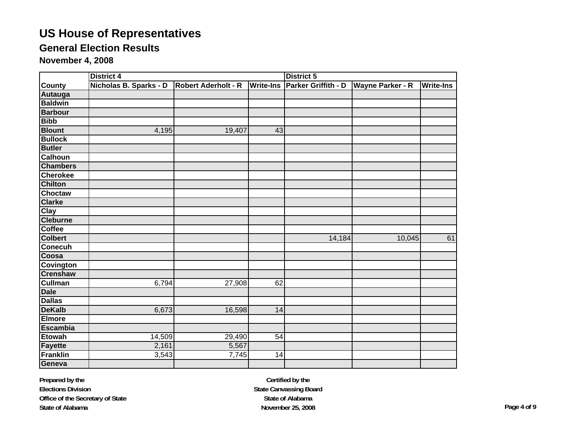## **General Election Results**

**November 4, 2008**

|                  | <b>District 4</b>      |                            |                  | <b>District 5</b>   |                         |                  |  |
|------------------|------------------------|----------------------------|------------------|---------------------|-------------------------|------------------|--|
| <b>County</b>    | Nicholas B. Sparks - D | <b>Robert Aderholt - R</b> | <b>Write-Ins</b> | Parker Griffith - D | <b>Wayne Parker - R</b> | <b>Write-Ins</b> |  |
| Autauga          |                        |                            |                  |                     |                         |                  |  |
| <b>Baldwin</b>   |                        |                            |                  |                     |                         |                  |  |
| <b>Barbour</b>   |                        |                            |                  |                     |                         |                  |  |
| <b>Bibb</b>      |                        |                            |                  |                     |                         |                  |  |
| <b>Blount</b>    | 4,195                  | 19,407                     | 43               |                     |                         |                  |  |
| <b>Bullock</b>   |                        |                            |                  |                     |                         |                  |  |
| <b>Butler</b>    |                        |                            |                  |                     |                         |                  |  |
| Calhoun          |                        |                            |                  |                     |                         |                  |  |
| <b>Chambers</b>  |                        |                            |                  |                     |                         |                  |  |
| <b>Cherokee</b>  |                        |                            |                  |                     |                         |                  |  |
| <b>Chilton</b>   |                        |                            |                  |                     |                         |                  |  |
| <b>Choctaw</b>   |                        |                            |                  |                     |                         |                  |  |
| <b>Clarke</b>    |                        |                            |                  |                     |                         |                  |  |
| Clay             |                        |                            |                  |                     |                         |                  |  |
| <b>Cleburne</b>  |                        |                            |                  |                     |                         |                  |  |
| <b>Coffee</b>    |                        |                            |                  |                     |                         |                  |  |
| <b>Colbert</b>   |                        |                            |                  | 14,184              | 10,045                  | 61               |  |
| <b>Conecuh</b>   |                        |                            |                  |                     |                         |                  |  |
| Coosa            |                        |                            |                  |                     |                         |                  |  |
| <b>Covington</b> |                        |                            |                  |                     |                         |                  |  |
| <b>Crenshaw</b>  |                        |                            |                  |                     |                         |                  |  |
| <b>Cullman</b>   | 6,794                  | 27,908                     | 62               |                     |                         |                  |  |
| <b>Dale</b>      |                        |                            |                  |                     |                         |                  |  |
| <b>Dallas</b>    |                        |                            |                  |                     |                         |                  |  |
| <b>DeKalb</b>    | 6,673                  | 16,598                     | 14               |                     |                         |                  |  |
| <b>Elmore</b>    |                        |                            |                  |                     |                         |                  |  |
| <b>Escambia</b>  |                        |                            |                  |                     |                         |                  |  |
| <b>Etowah</b>    | 14,509                 | 29,490                     | $\overline{54}$  |                     |                         |                  |  |
| <b>Fayette</b>   | 2,161                  | 5,567                      |                  |                     |                         |                  |  |
| <b>Franklin</b>  | 3,543                  | 7,745                      | 14               |                     |                         |                  |  |
| Geneva           |                        |                            |                  |                     |                         |                  |  |

**Prepared by the Elections Division Office of the Secretary of State State of Alabama**

**Certified by the State Canvassing Board State of AlabamaNovember 25, 2008 Page 4 of 9**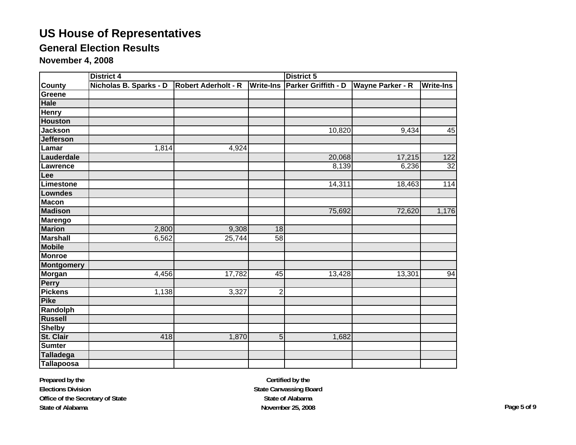## **General Election Results**

**November 4, 2008**

|                   | <b>District 4</b>      |                            |                  | <b>District 5</b>   |                         |                  |
|-------------------|------------------------|----------------------------|------------------|---------------------|-------------------------|------------------|
| <b>County</b>     | Nicholas B. Sparks - D | <b>Robert Aderholt - R</b> | <b>Write-Ins</b> | Parker Griffith - D | <b>Wayne Parker - R</b> | <b>Write-Ins</b> |
| Greene            |                        |                            |                  |                     |                         |                  |
| <b>Hale</b>       |                        |                            |                  |                     |                         |                  |
| <b>Henry</b>      |                        |                            |                  |                     |                         |                  |
| <b>Houston</b>    |                        |                            |                  |                     |                         |                  |
| <b>Jackson</b>    |                        |                            |                  | 10,820              | 9,434                   | 45               |
| <b>Jefferson</b>  |                        |                            |                  |                     |                         |                  |
| Lamar             | 1,814                  | 4,924                      |                  |                     |                         |                  |
| Lauderdale        |                        |                            |                  | 20,068              | 17,215                  | 122              |
| Lawrence          |                        |                            |                  | 8,139               | 6,236                   | $\overline{32}$  |
| Lee               |                        |                            |                  |                     |                         |                  |
| Limestone         |                        |                            |                  | 14,311              | 18,463                  | 114              |
| <b>Lowndes</b>    |                        |                            |                  |                     |                         |                  |
| <b>Macon</b>      |                        |                            |                  |                     |                         |                  |
| <b>Madison</b>    |                        |                            |                  | 75,692              | 72,620                  | 1,176            |
| <b>Marengo</b>    |                        |                            |                  |                     |                         |                  |
| <b>Marion</b>     | 2,800                  | 9,308                      | 18               |                     |                         |                  |
| <b>Marshall</b>   | 6,562                  | 25,744                     | 58               |                     |                         |                  |
| <b>Mobile</b>     |                        |                            |                  |                     |                         |                  |
| <b>Monroe</b>     |                        |                            |                  |                     |                         |                  |
| <b>Montgomery</b> |                        |                            |                  |                     |                         |                  |
| Morgan            | 4,456                  | 17,782                     | 45               | 13,428              | 13,301                  | 94               |
| <b>Perry</b>      |                        |                            |                  |                     |                         |                  |
| <b>Pickens</b>    | 1,138                  | 3,327                      | $\overline{2}$   |                     |                         |                  |
| <b>Pike</b>       |                        |                            |                  |                     |                         |                  |
| Randolph          |                        |                            |                  |                     |                         |                  |
| <b>Russell</b>    |                        |                            |                  |                     |                         |                  |
| <b>Shelby</b>     |                        |                            |                  |                     |                         |                  |
| St. Clair         | 418                    | 1,870                      | $\overline{5}$   | 1,682               |                         |                  |
| <b>Sumter</b>     |                        |                            |                  |                     |                         |                  |
| <b>Talladega</b>  |                        |                            |                  |                     |                         |                  |
| <b>Tallapoosa</b> |                        |                            |                  |                     |                         |                  |

**Prepared by the Elections Division Office of the Secretary of State State of Alabama**

**Certified by the State Canvassing Board State of AlabamaNovember 25, 2008 Page 5 of 9**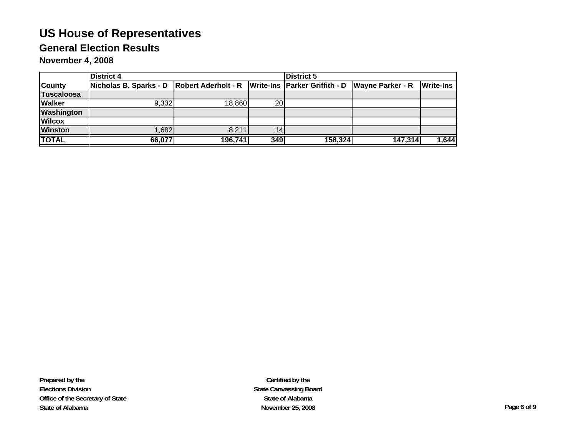## **General Election Results**

**November 4, 2008**

|                   | <b>District 4</b>                                                                               |         | <b>District 5</b> |         |         |                  |
|-------------------|-------------------------------------------------------------------------------------------------|---------|-------------------|---------|---------|------------------|
| <b>County</b>     | Nicholas B. Sparks - D Robert Aderholt - R   Write-Ins   Parker Griffith - D   Wayne Parker - R |         |                   |         |         | <b>Write-Ins</b> |
| <b>Tuscaloosa</b> |                                                                                                 |         |                   |         |         |                  |
| <b>Walker</b>     | 9.332                                                                                           | 18,860  | 20                |         |         |                  |
| <b>Washington</b> |                                                                                                 |         |                   |         |         |                  |
| <b>Wilcox</b>     |                                                                                                 |         |                   |         |         |                  |
| <b>Winston</b>    | ,682                                                                                            | 8,211   |                   |         |         |                  |
| <b>TOTAL</b>      | 66,077                                                                                          | 196,741 | 349               | 158,324 | 147,314 | 1,644            |

**Prepared by the Elections Division Office of the Secretary of State State of Alabama**

**Certified by the State Canvassing Board State of AlabamaNovember 25, 2008 Page 6 of 9**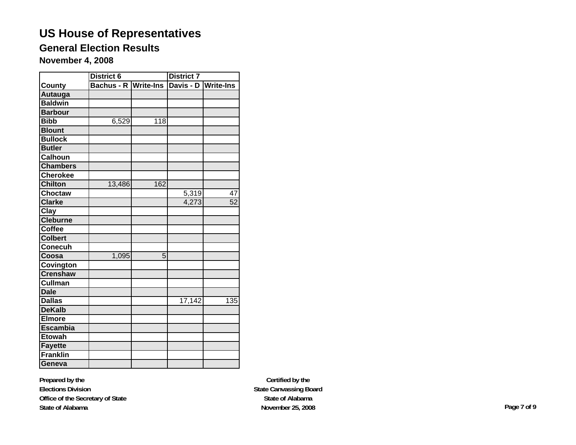## **General Election Results**

**November 4, 2008**

|                 | District 6 |                  | <b>District 7</b>   |                  |  |
|-----------------|------------|------------------|---------------------|------------------|--|
| County          | Bachus - R | <b>Write-Ins</b> | Davis - D Write-Ins |                  |  |
| <b>Autauga</b>  |            |                  |                     |                  |  |
| <b>Baldwin</b>  |            |                  |                     |                  |  |
| <b>Barbour</b>  |            |                  |                     |                  |  |
| <b>Bibb</b>     | 6,529      | $\overline{118}$ |                     |                  |  |
| <b>Blount</b>   |            |                  |                     |                  |  |
| <b>Bullock</b>  |            |                  |                     |                  |  |
| <b>Butler</b>   |            |                  |                     |                  |  |
| <b>Calhoun</b>  |            |                  |                     |                  |  |
| <b>Chambers</b> |            |                  |                     |                  |  |
| <b>Cherokee</b> |            |                  |                     |                  |  |
| <b>Chilton</b>  | 13,486     | 162              |                     |                  |  |
| <b>Choctaw</b>  |            |                  | 5,319               | 47               |  |
| <b>Clarke</b>   |            |                  | 4,273               | 52               |  |
| Clay            |            |                  |                     |                  |  |
| <b>Cleburne</b> |            |                  |                     |                  |  |
| Coffee          |            |                  |                     |                  |  |
| <b>Colbert</b>  |            |                  |                     |                  |  |
| <b>Conecuh</b>  |            |                  |                     |                  |  |
| Coosa           | 1,095      | 5                |                     |                  |  |
| Covington       |            |                  |                     |                  |  |
| <b>Crenshaw</b> |            |                  |                     |                  |  |
| Cullman         |            |                  |                     |                  |  |
| <b>Dale</b>     |            |                  |                     |                  |  |
| <b>Dallas</b>   |            |                  | 17,142              | $\overline{135}$ |  |
| <b>DeKalb</b>   |            |                  |                     |                  |  |
| <b>Elmore</b>   |            |                  |                     |                  |  |
| <b>Escambia</b> |            |                  |                     |                  |  |
| <b>Etowah</b>   |            |                  |                     |                  |  |
| <b>Fayette</b>  |            |                  |                     |                  |  |
| <b>Franklin</b> |            |                  |                     |                  |  |
| Geneva          |            |                  |                     |                  |  |

**Prepared by the Elections Division Office of the Secretary of State State of Alabama**

**Certified by the State Canvassing Board State of AlabamaNovember 25, 2008 Page 7 of 9**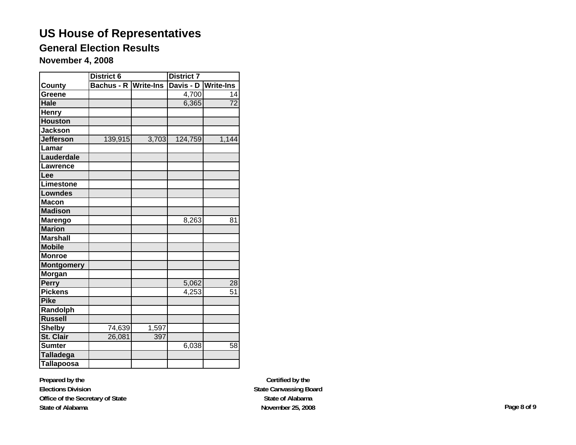## **General Election Results**

**November 4, 2008**

|                   | <b>District 6</b> |                  | <b>District 7</b> |                  |  |  |
|-------------------|-------------------|------------------|-------------------|------------------|--|--|
| County            | <b>Bachus - R</b> | <b>Write-Ins</b> | Davis - D         | <b>Write-Ins</b> |  |  |
| Greene            |                   |                  | $\frac{1}{4,700}$ | 14               |  |  |
| Hale              |                   |                  | 6,365             | $\overline{72}$  |  |  |
| Henry             |                   |                  |                   |                  |  |  |
| <b>Houston</b>    |                   |                  |                   |                  |  |  |
| <b>Jackson</b>    |                   |                  |                   |                  |  |  |
| <b>Jefferson</b>  | 139,915           | 3,703            | 124,759           | 1,144            |  |  |
| Lamar             |                   |                  |                   |                  |  |  |
| Lauderdale        |                   |                  |                   |                  |  |  |
| Lawrence          |                   |                  |                   |                  |  |  |
| Lee               |                   |                  |                   |                  |  |  |
| Limestone         |                   |                  |                   |                  |  |  |
| <b>Lowndes</b>    |                   |                  |                   |                  |  |  |
| <b>Macon</b>      |                   |                  |                   |                  |  |  |
| <b>Madison</b>    |                   |                  |                   |                  |  |  |
| <b>Marengo</b>    |                   |                  | 8,263             | 81               |  |  |
| <b>Marion</b>     |                   |                  |                   |                  |  |  |
| <b>Marshall</b>   |                   |                  |                   |                  |  |  |
| <b>Mobile</b>     |                   |                  |                   |                  |  |  |
| <b>Monroe</b>     |                   |                  |                   |                  |  |  |
| <b>Montgomery</b> |                   |                  |                   |                  |  |  |
| Morgan            |                   |                  |                   |                  |  |  |
| Perry             |                   |                  | 5,062             | 28               |  |  |
| <b>Pickens</b>    |                   |                  | 4,253             | 51               |  |  |
| <b>Pike</b>       |                   |                  |                   |                  |  |  |
| Randolph          |                   |                  |                   |                  |  |  |
| <b>Russell</b>    |                   |                  |                   |                  |  |  |
| <b>Shelby</b>     | 74,639            | 1,597            |                   |                  |  |  |
| St. Clair         | 26,081            | 397              |                   |                  |  |  |
| <b>Sumter</b>     |                   |                  | 6,038             | 58               |  |  |
| <b>Talladega</b>  |                   |                  |                   |                  |  |  |
| <b>Tallapoosa</b> |                   |                  |                   |                  |  |  |

**Prepared by the Elections Division Office of the Secretary of State State of Alabama**

**Certified by the State Canvassing Board State of AlabamaNovember 25, 2008 Page 8 of 9**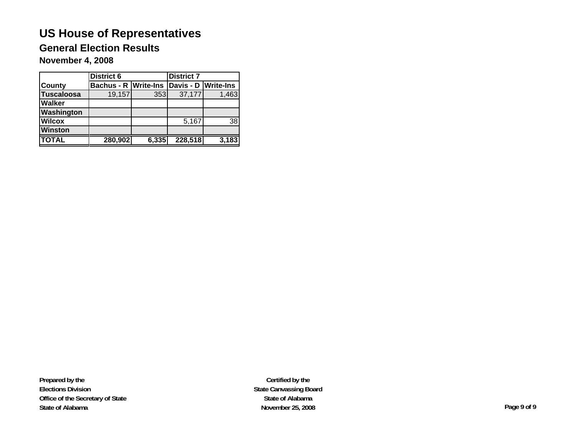## **General Election Results**

**November 4, 2008**

|                   | <b>District 6</b>           |       | <b>District 7</b>   |       |  |
|-------------------|-----------------------------|-------|---------------------|-------|--|
| <b>County</b>     | <b>Bachus - R Write-Ins</b> |       | Davis - D Write-Ins |       |  |
| <b>Tuscaloosa</b> | 19,157                      | 353   | 37,177              | 1,463 |  |
| <b>Walker</b>     |                             |       |                     |       |  |
| Washington        |                             |       |                     |       |  |
| <b>Wilcox</b>     |                             |       | 5,167               | 38    |  |
| <b>Winston</b>    |                             |       |                     |       |  |
| <b>TOTAL</b>      | 280,902                     | 6,335 | 228,518             | 3,183 |  |

**Prepared by the Elections Division Office of the Secretary of State State of Alabama**

**Certified by the State Canvassing Board State of AlabamaNovember 25, 2008 Page 9 of 9**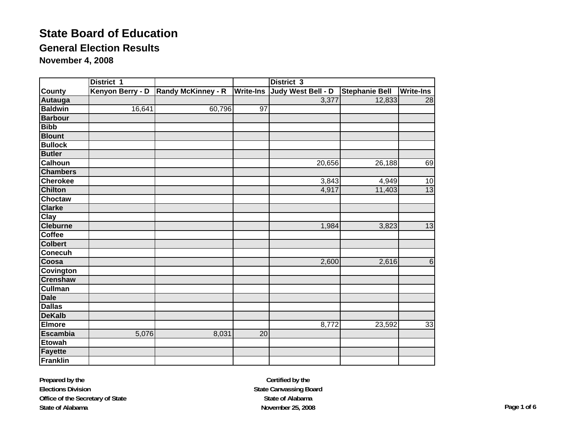## **General Election Results**

**November 4, 2008**

|                 | District 1       |                           |                  | District 3         |                       |                  |
|-----------------|------------------|---------------------------|------------------|--------------------|-----------------------|------------------|
| <b>County</b>   | Kenyon Berry - D | <b>Randy McKinney - R</b> | <b>Write-Ins</b> | Judy West Bell - D | <b>Stephanie Bell</b> | <b>Write-Ins</b> |
| <b>Autauga</b>  |                  |                           |                  | 3,377              | 12,833                | 28               |
| <b>Baldwin</b>  | 16,641           | 60,796                    | 97               |                    |                       |                  |
| <b>Barbour</b>  |                  |                           |                  |                    |                       |                  |
| <b>Bibb</b>     |                  |                           |                  |                    |                       |                  |
| <b>Blount</b>   |                  |                           |                  |                    |                       |                  |
| <b>Bullock</b>  |                  |                           |                  |                    |                       |                  |
| <b>Butler</b>   |                  |                           |                  |                    |                       |                  |
| <b>Calhoun</b>  |                  |                           |                  | 20,656             | 26,188                | 69               |
| <b>Chambers</b> |                  |                           |                  |                    |                       |                  |
| <b>Cherokee</b> |                  |                           |                  | 3,843              | 4,949                 | 10               |
| <b>Chilton</b>  |                  |                           |                  | 4,917              | 11,403                | 13               |
| Choctaw         |                  |                           |                  |                    |                       |                  |
| <b>Clarke</b>   |                  |                           |                  |                    |                       |                  |
| Clay            |                  |                           |                  |                    |                       |                  |
| <b>Cleburne</b> |                  |                           |                  | 1,984              | 3,823                 | 13               |
| <b>Coffee</b>   |                  |                           |                  |                    |                       |                  |
| <b>Colbert</b>  |                  |                           |                  |                    |                       |                  |
| <b>Conecuh</b>  |                  |                           |                  |                    |                       |                  |
| Coosa           |                  |                           |                  | 2,600              | 2,616                 | $\,6$            |
| Covington       |                  |                           |                  |                    |                       |                  |
| <b>Crenshaw</b> |                  |                           |                  |                    |                       |                  |
| <b>Cullman</b>  |                  |                           |                  |                    |                       |                  |
| <b>Dale</b>     |                  |                           |                  |                    |                       |                  |
| <b>Dallas</b>   |                  |                           |                  |                    |                       |                  |
| <b>DeKalb</b>   |                  |                           |                  |                    |                       |                  |
| <b>Elmore</b>   |                  |                           |                  | 8,772              | 23,592                | 33               |
| <b>Escambia</b> | 5,076            | 8,031                     | 20               |                    |                       |                  |
| <b>Etowah</b>   |                  |                           |                  |                    |                       |                  |
| <b>Fayette</b>  |                  |                           |                  |                    |                       |                  |
| <b>Franklin</b> |                  |                           |                  |                    |                       |                  |

**Prepared by the Elections Division Office of the Secretary of State State of Alabama**

**Certified by the State Canvassing Board State of AlabamaNovember 25, 2008 Page 1 of 6**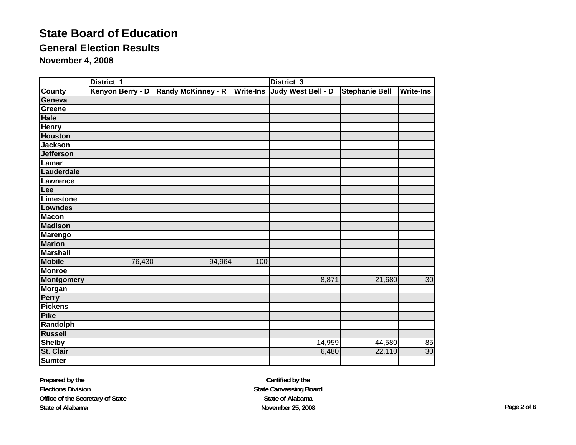## **General Election Results**

**November 4, 2008**

|                   | District 1       |                           |                  | District 3         |                       |                  |
|-------------------|------------------|---------------------------|------------------|--------------------|-----------------------|------------------|
| County            | Kenyon Berry - D | <b>Randy McKinney - R</b> | <b>Write-Ins</b> | Judy West Bell - D | <b>Stephanie Bell</b> | <b>Write-Ins</b> |
| Geneva            |                  |                           |                  |                    |                       |                  |
| Greene            |                  |                           |                  |                    |                       |                  |
| <b>Hale</b>       |                  |                           |                  |                    |                       |                  |
| <b>Henry</b>      |                  |                           |                  |                    |                       |                  |
| <b>Houston</b>    |                  |                           |                  |                    |                       |                  |
| <b>Jackson</b>    |                  |                           |                  |                    |                       |                  |
| <b>Jefferson</b>  |                  |                           |                  |                    |                       |                  |
| Lamar             |                  |                           |                  |                    |                       |                  |
| Lauderdale        |                  |                           |                  |                    |                       |                  |
| Lawrence          |                  |                           |                  |                    |                       |                  |
| Lee               |                  |                           |                  |                    |                       |                  |
| <b>Limestone</b>  |                  |                           |                  |                    |                       |                  |
| <b>Lowndes</b>    |                  |                           |                  |                    |                       |                  |
| <b>Macon</b>      |                  |                           |                  |                    |                       |                  |
| <b>Madison</b>    |                  |                           |                  |                    |                       |                  |
| <b>Marengo</b>    |                  |                           |                  |                    |                       |                  |
| <b>Marion</b>     |                  |                           |                  |                    |                       |                  |
| <b>Marshall</b>   |                  |                           |                  |                    |                       |                  |
| <b>Mobile</b>     | 76,430           | 94,964                    | 100              |                    |                       |                  |
| <b>Monroe</b>     |                  |                           |                  |                    |                       |                  |
| <b>Montgomery</b> |                  |                           |                  | 8,871              | 21,680                | 30               |
| <b>Morgan</b>     |                  |                           |                  |                    |                       |                  |
| <b>Perry</b>      |                  |                           |                  |                    |                       |                  |
| <b>Pickens</b>    |                  |                           |                  |                    |                       |                  |
| <b>Pike</b>       |                  |                           |                  |                    |                       |                  |
| Randolph          |                  |                           |                  |                    |                       |                  |
| <b>Russell</b>    |                  |                           |                  |                    |                       |                  |
| <b>Shelby</b>     |                  |                           |                  | 14,959             | 44,580                | 85               |
| St. Clair         |                  |                           |                  | 6,480              | 22,110                | 30               |
| <b>Sumter</b>     |                  |                           |                  |                    |                       |                  |

**Prepared by the Elections Division Office of the Secretary of State State of Alabama**

**Certified by the State Canvassing Board State of AlabamaNovember 25, 2008 Page 2 of 6**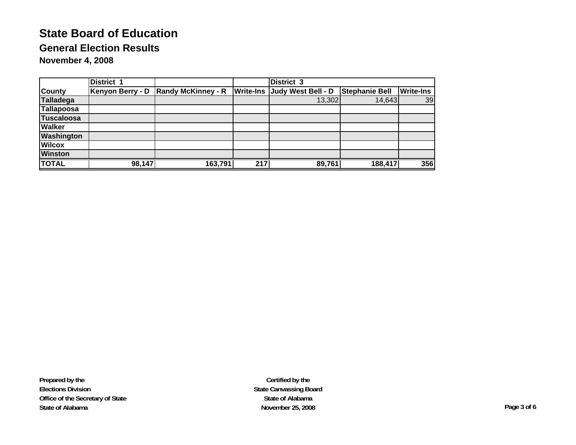## **General Election Results**

**November 4, 2008**

|                   | <b>District 1</b> |                           |     | <b>District 3</b>                   |                       |                  |
|-------------------|-------------------|---------------------------|-----|-------------------------------------|-----------------------|------------------|
| <b>County</b>     | Kenyon Berry - D  | <b>Randy McKinney - R</b> |     | <b>Write-Ins Judy West Bell - D</b> | <b>Stephanie Bell</b> | <b>Write-Ins</b> |
| <b>Talladega</b>  |                   |                           |     | 13,302                              | 14,643                | 39               |
| Tallapoosa        |                   |                           |     |                                     |                       |                  |
| <b>Tuscaloosa</b> |                   |                           |     |                                     |                       |                  |
| <b>Walker</b>     |                   |                           |     |                                     |                       |                  |
| <b>Washington</b> |                   |                           |     |                                     |                       |                  |
| <b>Wilcox</b>     |                   |                           |     |                                     |                       |                  |
| <b>Winston</b>    |                   |                           |     |                                     |                       |                  |
| <b>TOTAL</b>      | 98,147            | 163,791                   | 217 | 89,761                              | 188,417               | 356              |

**Prepared by the Elections Division Office of the Secretary of State State of Alabama**

**Certified by the State Canvassing Board State of AlabamaNovember 25, 2008 Page 3 of 6**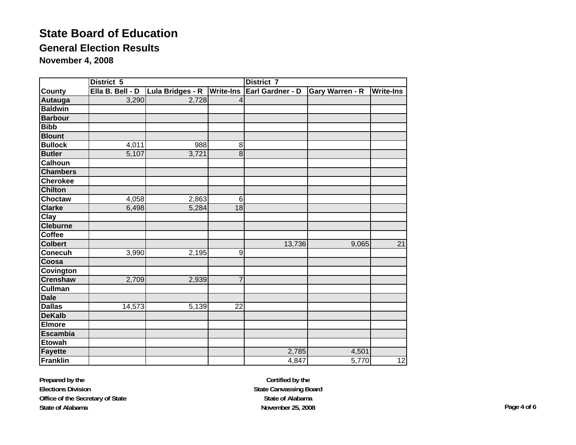## **General Election Results**

**November 4, 2008**

|                    | District 5       |                  |                  | District 7       |                        |                  |  |  |
|--------------------|------------------|------------------|------------------|------------------|------------------------|------------------|--|--|
| <b>County</b>      | Ella B. Bell - D | Lula Bridges - R | <b>Write-Ins</b> | Earl Gardner - D | <b>Gary Warren - R</b> | <b>Write-Ins</b> |  |  |
| Autauga            | 3,290            | 2,728            |                  |                  |                        |                  |  |  |
| <b>Baldwin</b>     |                  |                  |                  |                  |                        |                  |  |  |
| <b>Barbour</b>     |                  |                  |                  |                  |                        |                  |  |  |
| <b>Bibb</b>        |                  |                  |                  |                  |                        |                  |  |  |
| <b>Blount</b>      |                  |                  |                  |                  |                        |                  |  |  |
| <b>Bullock</b>     | 4,011            | 988              | 8                |                  |                        |                  |  |  |
| <b>Butler</b>      | 5,107            | 3,721            | 8                |                  |                        |                  |  |  |
| <b>Calhoun</b>     |                  |                  |                  |                  |                        |                  |  |  |
| <b>Chambers</b>    |                  |                  |                  |                  |                        |                  |  |  |
| <b>Cherokee</b>    |                  |                  |                  |                  |                        |                  |  |  |
| <b>Chilton</b>     |                  |                  |                  |                  |                        |                  |  |  |
| <b>Choctaw</b>     | 4,058            | 2,863            | $6\phantom{1}6$  |                  |                        |                  |  |  |
| <b>Clarke</b>      | 6,498            | 5,284            | 18               |                  |                        |                  |  |  |
| $\overline{C}$ lay |                  |                  |                  |                  |                        |                  |  |  |
| <b>Cleburne</b>    |                  |                  |                  |                  |                        |                  |  |  |
| <b>Coffee</b>      |                  |                  |                  |                  |                        |                  |  |  |
| <b>Colbert</b>     |                  |                  |                  | 13,736           | 9,065                  | $\overline{21}$  |  |  |
| <b>Conecuh</b>     | 3,990            | 2,195            | 9                |                  |                        |                  |  |  |
| Coosa              |                  |                  |                  |                  |                        |                  |  |  |
| <b>Covington</b>   |                  |                  |                  |                  |                        |                  |  |  |
| <b>Crenshaw</b>    | 2,709            | 2,939            | 7                |                  |                        |                  |  |  |
| <b>Cullman</b>     |                  |                  |                  |                  |                        |                  |  |  |
| <b>Dale</b>        |                  |                  |                  |                  |                        |                  |  |  |
| <b>Dallas</b>      | 14,573           | 5,139            | 22               |                  |                        |                  |  |  |
| <b>DeKalb</b>      |                  |                  |                  |                  |                        |                  |  |  |
| <b>Elmore</b>      |                  |                  |                  |                  |                        |                  |  |  |
| <b>Escambia</b>    |                  |                  |                  |                  |                        |                  |  |  |
| <b>Etowah</b>      |                  |                  |                  |                  |                        |                  |  |  |
| Fayette            |                  |                  |                  | 2,785            | 4,501                  |                  |  |  |
| Franklin           |                  |                  |                  | 4,847            | 5,770                  | 12               |  |  |

**Prepared by the Elections Division Office of the Secretary of State State of Alabama**

**Certified by the State Canvassing Board State of AlabamaNovember 25, 2008 Page 4 of 6**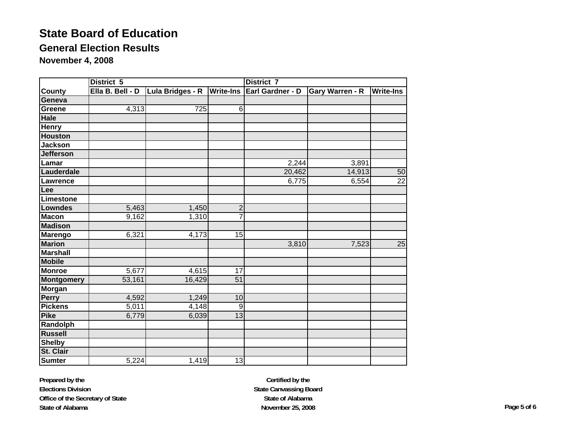## **General Election Results**

**November 4, 2008**

|                   | District 5          |                              |                 | District 7       |                        |                  |  |  |
|-------------------|---------------------|------------------------------|-----------------|------------------|------------------------|------------------|--|--|
| County            | Ella B. Bell - D    | Lula Bridges - R   Write-Ins |                 | Earl Gardner - D | <b>Gary Warren - R</b> | <b>Write-Ins</b> |  |  |
| Geneva            |                     |                              |                 |                  |                        |                  |  |  |
| Greene            | 4,313               | 725                          | 6               |                  |                        |                  |  |  |
| <b>Hale</b>       |                     |                              |                 |                  |                        |                  |  |  |
| <b>Henry</b>      |                     |                              |                 |                  |                        |                  |  |  |
| <b>Houston</b>    |                     |                              |                 |                  |                        |                  |  |  |
| <b>Jackson</b>    |                     |                              |                 |                  |                        |                  |  |  |
| <b>Jefferson</b>  |                     |                              |                 |                  |                        |                  |  |  |
| Lamar             |                     |                              |                 | 2,244            | 3,891                  |                  |  |  |
| Lauderdale        |                     |                              |                 | 20,462           | 14,913                 | 50               |  |  |
| Lawrence          |                     |                              |                 | 6,775            | 6,554                  | $\overline{22}$  |  |  |
| Lee               |                     |                              |                 |                  |                        |                  |  |  |
| Limestone         |                     |                              |                 |                  |                        |                  |  |  |
| Lowndes           | 5,463               | 1,450                        | $\overline{2}$  |                  |                        |                  |  |  |
| <b>Macon</b>      | 9,162               | 1,310                        | $\overline{7}$  |                  |                        |                  |  |  |
| <b>Madison</b>    |                     |                              |                 |                  |                        |                  |  |  |
| <b>Marengo</b>    | 6,321               | 4,173                        | 15              |                  |                        |                  |  |  |
| <b>Marion</b>     |                     |                              |                 | 3,810            | 7,523                  | 25               |  |  |
| <b>Marshall</b>   |                     |                              |                 |                  |                        |                  |  |  |
| <b>Mobile</b>     |                     |                              |                 |                  |                        |                  |  |  |
| <b>Monroe</b>     | 5,677               | 4,615                        | 17              |                  |                        |                  |  |  |
| <b>Montgomery</b> | 53,161              | 16,429                       | $\overline{51}$ |                  |                        |                  |  |  |
| <b>Morgan</b>     |                     |                              |                 |                  |                        |                  |  |  |
| Perry             | 4,592               | 1,249                        | 10              |                  |                        |                  |  |  |
| <b>Pickens</b>    | $\overline{5}$ ,011 | 4,148                        | 9               |                  |                        |                  |  |  |
| <b>Pike</b>       | 6,779               | 6,039                        | 13              |                  |                        |                  |  |  |
| Randolph          |                     |                              |                 |                  |                        |                  |  |  |
| <b>Russell</b>    |                     |                              |                 |                  |                        |                  |  |  |
| <b>Shelby</b>     |                     |                              |                 |                  |                        |                  |  |  |
| St. Clair         |                     |                              |                 |                  |                        |                  |  |  |
| <b>Sumter</b>     | 5,224               | 1,419                        | 13              |                  |                        |                  |  |  |

**Prepared by the Elections Division Office of the Secretary of State State of Alabama**

**Certified by the State Canvassing Board State of AlabamaNovember 25, 2008 Page 5 of 6**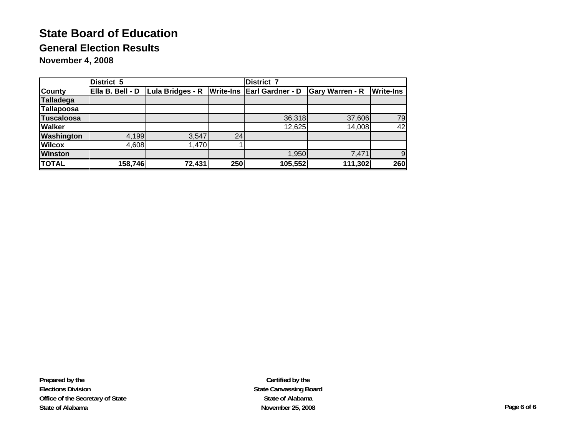## **General Election Results**

**November 4, 2008**

|                   | District 5 |                                   |                  | <b>District 7</b>       |                        |                  |  |
|-------------------|------------|-----------------------------------|------------------|-------------------------|------------------------|------------------|--|
| <b>County</b>     |            | Ella B. Bell - D Lula Bridges - R | <b>Write-Ins</b> | <b>Earl Gardner - D</b> | <b>Gary Warren - R</b> | <b>Write-Ins</b> |  |
| Talladega         |            |                                   |                  |                         |                        |                  |  |
| Tallapoosa        |            |                                   |                  |                         |                        |                  |  |
| <b>Tuscaloosa</b> |            |                                   |                  | 36,318                  | 37,606                 | 79               |  |
| <b>Walker</b>     |            |                                   |                  | 12,625                  | 14,008                 | 42               |  |
| <b>Washington</b> | 4,199      | 3,547                             | 24               |                         |                        |                  |  |
| <b>Wilcox</b>     | 4,608      | 1,470                             |                  |                         |                        |                  |  |
| <b>Winston</b>    |            |                                   |                  | 1,950                   | 7,471                  | 9                |  |
| <b>TOTAL</b>      | 158,746    | 72,431                            | 250              | 105,552                 | 111,302                | 260              |  |

**Prepared by the Elections Division Office of the Secretary of State State of Alabama**

**Certified by the State Canvassing Board State of AlabamaNovember 25, 2008 Page 6 of 6**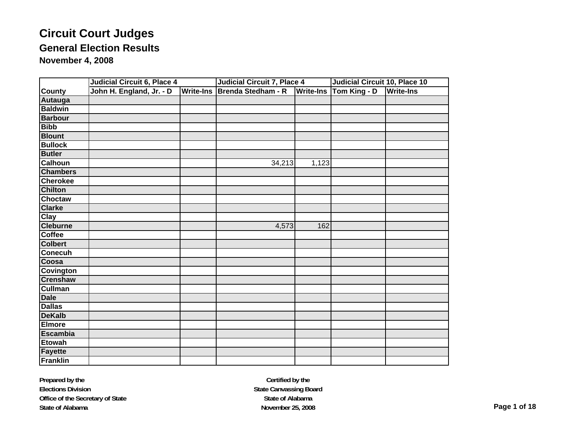|                 | Judicial Circuit 6, Place 4 |                  | <b>Judicial Circuit 7, Place 4</b> |                  | Judicial Circuit 10, Place 10 |                  |  |
|-----------------|-----------------------------|------------------|------------------------------------|------------------|-------------------------------|------------------|--|
| <b>County</b>   | John H. England, Jr. - D    | <b>Write-Ins</b> | Brenda Stedham - R                 | <b>Write-Ins</b> | Tom King - D                  | <b>Write-Ins</b> |  |
| Autauga         |                             |                  |                                    |                  |                               |                  |  |
| <b>Baldwin</b>  |                             |                  |                                    |                  |                               |                  |  |
| <b>Barbour</b>  |                             |                  |                                    |                  |                               |                  |  |
| <b>Bibb</b>     |                             |                  |                                    |                  |                               |                  |  |
| <b>Blount</b>   |                             |                  |                                    |                  |                               |                  |  |
| <b>Bullock</b>  |                             |                  |                                    |                  |                               |                  |  |
| <b>Butler</b>   |                             |                  |                                    |                  |                               |                  |  |
| <b>Calhoun</b>  |                             |                  | 34,213                             | 1,123            |                               |                  |  |
| <b>Chambers</b> |                             |                  |                                    |                  |                               |                  |  |
| <b>Cherokee</b> |                             |                  |                                    |                  |                               |                  |  |
| <b>Chilton</b>  |                             |                  |                                    |                  |                               |                  |  |
| <b>Choctaw</b>  |                             |                  |                                    |                  |                               |                  |  |
| <b>Clarke</b>   |                             |                  |                                    |                  |                               |                  |  |
| Clay            |                             |                  |                                    |                  |                               |                  |  |
| <b>Cleburne</b> |                             |                  | 4,573                              | 162              |                               |                  |  |
| <b>Coffee</b>   |                             |                  |                                    |                  |                               |                  |  |
| <b>Colbert</b>  |                             |                  |                                    |                  |                               |                  |  |
| <b>Conecuh</b>  |                             |                  |                                    |                  |                               |                  |  |
| Coosa           |                             |                  |                                    |                  |                               |                  |  |
| Covington       |                             |                  |                                    |                  |                               |                  |  |
| <b>Crenshaw</b> |                             |                  |                                    |                  |                               |                  |  |
| <b>Cullman</b>  |                             |                  |                                    |                  |                               |                  |  |
| <b>Dale</b>     |                             |                  |                                    |                  |                               |                  |  |
| <b>Dallas</b>   |                             |                  |                                    |                  |                               |                  |  |
| <b>DeKalb</b>   |                             |                  |                                    |                  |                               |                  |  |
| <b>Elmore</b>   |                             |                  |                                    |                  |                               |                  |  |
| <b>Escambia</b> |                             |                  |                                    |                  |                               |                  |  |
| <b>Etowah</b>   |                             |                  |                                    |                  |                               |                  |  |
| <b>Fayette</b>  |                             |                  |                                    |                  |                               |                  |  |
| Franklin        |                             |                  |                                    |                  |                               |                  |  |

**Prepared by the Elections Division Office of the Secretary of State State of Alabama**

**Certified by the State Canvassing Board State of AlabamaNovember 25, 2008 Page 1 of 18**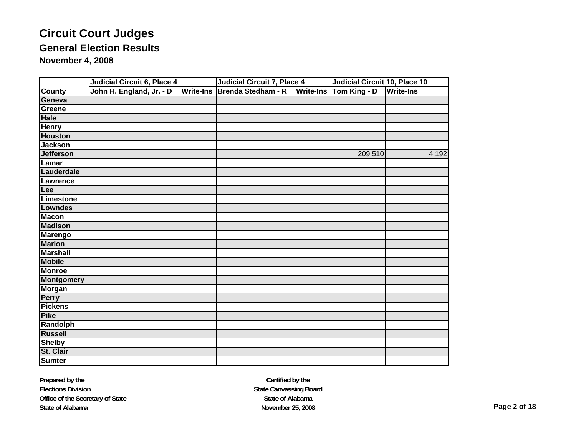|                   | Judicial Circuit 6, Place 4 |                  | <b>Judicial Circuit 7, Place 4</b> |                  | Judicial Circuit 10, Place 10 |                  |  |
|-------------------|-----------------------------|------------------|------------------------------------|------------------|-------------------------------|------------------|--|
| <b>County</b>     | John H. England, Jr. - D    | <b>Write-Ins</b> | Brenda Stedham - R                 | <b>Write-Ins</b> | Tom King - D                  | <b>Write-Ins</b> |  |
| Geneva            |                             |                  |                                    |                  |                               |                  |  |
| Greene            |                             |                  |                                    |                  |                               |                  |  |
| <b>Hale</b>       |                             |                  |                                    |                  |                               |                  |  |
| <b>Henry</b>      |                             |                  |                                    |                  |                               |                  |  |
| <b>Houston</b>    |                             |                  |                                    |                  |                               |                  |  |
| <b>Jackson</b>    |                             |                  |                                    |                  |                               |                  |  |
| <b>Jefferson</b>  |                             |                  |                                    |                  | 209,510                       | 4,192            |  |
| Lamar             |                             |                  |                                    |                  |                               |                  |  |
| Lauderdale        |                             |                  |                                    |                  |                               |                  |  |
| <b>Lawrence</b>   |                             |                  |                                    |                  |                               |                  |  |
| Lee               |                             |                  |                                    |                  |                               |                  |  |
| Limestone         |                             |                  |                                    |                  |                               |                  |  |
| Lowndes           |                             |                  |                                    |                  |                               |                  |  |
| <b>Macon</b>      |                             |                  |                                    |                  |                               |                  |  |
| <b>Madison</b>    |                             |                  |                                    |                  |                               |                  |  |
| <b>Marengo</b>    |                             |                  |                                    |                  |                               |                  |  |
| <b>Marion</b>     |                             |                  |                                    |                  |                               |                  |  |
| <b>Marshall</b>   |                             |                  |                                    |                  |                               |                  |  |
| <b>Mobile</b>     |                             |                  |                                    |                  |                               |                  |  |
| <b>Monroe</b>     |                             |                  |                                    |                  |                               |                  |  |
| <b>Montgomery</b> |                             |                  |                                    |                  |                               |                  |  |
| <b>Morgan</b>     |                             |                  |                                    |                  |                               |                  |  |
| Perry             |                             |                  |                                    |                  |                               |                  |  |
| <b>Pickens</b>    |                             |                  |                                    |                  |                               |                  |  |
| <b>Pike</b>       |                             |                  |                                    |                  |                               |                  |  |
| Randolph          |                             |                  |                                    |                  |                               |                  |  |
| <b>Russell</b>    |                             |                  |                                    |                  |                               |                  |  |
| <b>Shelby</b>     |                             |                  |                                    |                  |                               |                  |  |
| St. Clair         |                             |                  |                                    |                  |                               |                  |  |
| <b>Sumter</b>     |                             |                  |                                    |                  |                               |                  |  |

**Prepared by the Elections Division Office of the Secretary of State State of Alabama**

**Certified by the State Canvassing Board State of AlabamaNovember 25, 2008 Page 2 of 18**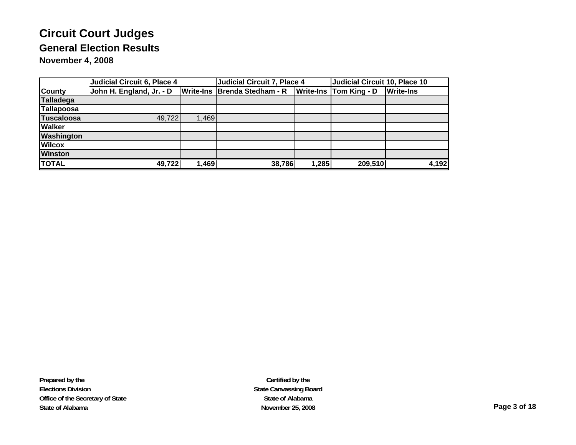|                   | Judicial Circuit 6, Place 4 |       | <b>Judicial Circuit 7, Place 4</b> |       | Judicial Circuit 10, Place 10 |                  |  |
|-------------------|-----------------------------|-------|------------------------------------|-------|-------------------------------|------------------|--|
| <b>County</b>     | John H. England, Jr. - D    |       | Write-Ins   Brenda Stedham - R     |       | <b>Write-Ins Tom King - D</b> | <b>Write-Ins</b> |  |
| <b>Talladega</b>  |                             |       |                                    |       |                               |                  |  |
| Tallapoosa        |                             |       |                                    |       |                               |                  |  |
| <b>Tuscaloosa</b> | 49,722                      | 1,469 |                                    |       |                               |                  |  |
| <b>Walker</b>     |                             |       |                                    |       |                               |                  |  |
| <b>Washington</b> |                             |       |                                    |       |                               |                  |  |
| <b>Wilcox</b>     |                             |       |                                    |       |                               |                  |  |
| <b>Winston</b>    |                             |       |                                    |       |                               |                  |  |
| <b>TOTAL</b>      | 49,722                      | 1,469 | 38,786                             | 1,285 | 209,510                       | 4,192            |  |

**Certified by the State Canvassing Board State of AlabamaNovember 25, 2008 Page 3 of 18**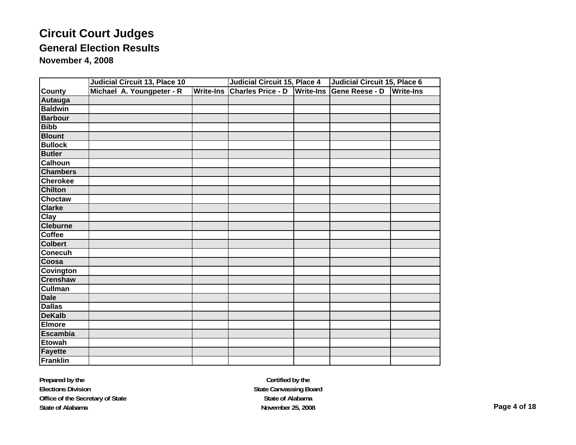|                  | Judicial Circuit 13, Place 10 |                           | <b>Judicial Circuit 15, Place 4</b> | Judicial Circuit 15, Place 6 |                          |                  |
|------------------|-------------------------------|---------------------------|-------------------------------------|------------------------------|--------------------------|------------------|
| <b>County</b>    |                               | Michael A. Youngpeter - R | Write-Ins                           | <b>Charles Price - D</b>     | Write-Ins Gene Reese - D | <b>Write-Ins</b> |
| <b>Autauga</b>   |                               |                           |                                     |                              |                          |                  |
| <b>Baldwin</b>   |                               |                           |                                     |                              |                          |                  |
| <b>Barbour</b>   |                               |                           |                                     |                              |                          |                  |
| <b>Bibb</b>      |                               |                           |                                     |                              |                          |                  |
| <b>Blount</b>    |                               |                           |                                     |                              |                          |                  |
| <b>Bullock</b>   |                               |                           |                                     |                              |                          |                  |
| <b>Butler</b>    |                               |                           |                                     |                              |                          |                  |
| Calhoun          |                               |                           |                                     |                              |                          |                  |
| <b>Chambers</b>  |                               |                           |                                     |                              |                          |                  |
| <b>Cherokee</b>  |                               |                           |                                     |                              |                          |                  |
| <b>Chilton</b>   |                               |                           |                                     |                              |                          |                  |
| <b>Choctaw</b>   |                               |                           |                                     |                              |                          |                  |
| <b>Clarke</b>    |                               |                           |                                     |                              |                          |                  |
| <b>Clay</b>      |                               |                           |                                     |                              |                          |                  |
| <b>Cleburne</b>  |                               |                           |                                     |                              |                          |                  |
| <b>Coffee</b>    |                               |                           |                                     |                              |                          |                  |
| <b>Colbert</b>   |                               |                           |                                     |                              |                          |                  |
| <b>Conecuh</b>   |                               |                           |                                     |                              |                          |                  |
| Coosa            |                               |                           |                                     |                              |                          |                  |
| <b>Covington</b> |                               |                           |                                     |                              |                          |                  |
| <b>Crenshaw</b>  |                               |                           |                                     |                              |                          |                  |
| <b>Cullman</b>   |                               |                           |                                     |                              |                          |                  |
| Dale             |                               |                           |                                     |                              |                          |                  |
| <b>Dallas</b>    |                               |                           |                                     |                              |                          |                  |
| <b>DeKalb</b>    |                               |                           |                                     |                              |                          |                  |
| <b>Elmore</b>    |                               |                           |                                     |                              |                          |                  |
| <b>Escambia</b>  |                               |                           |                                     |                              |                          |                  |
| <b>Etowah</b>    |                               |                           |                                     |                              |                          |                  |
| <b>Fayette</b>   |                               |                           |                                     |                              |                          |                  |
| Franklin         |                               |                           |                                     |                              |                          |                  |

**Prepared by the Elections Division Office of the Secretary of State State of Alabama**

**Certified by the State Canvassing Board State of AlabamaNovember 25, 2008 Page 4 of 18**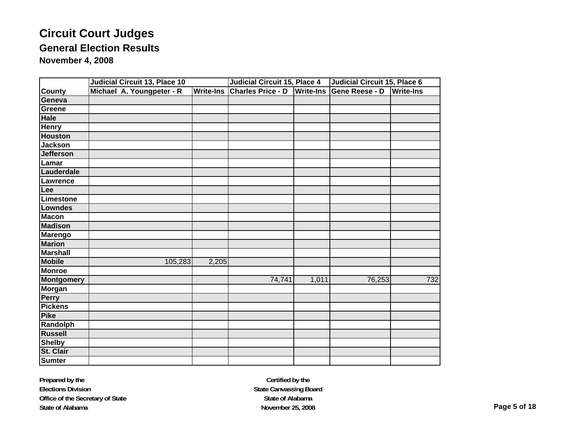|                   | <b>Judicial Circuit 13, Place 10</b> |                           |         | <b>Judicial Circuit 15, Place 4</b> |                          |        | <b>Judicial Circuit 15, Place 6</b> |                |                  |
|-------------------|--------------------------------------|---------------------------|---------|-------------------------------------|--------------------------|--------|-------------------------------------|----------------|------------------|
| <b>County</b>     |                                      | Michael A. Youngpeter - R |         | <b>Write-Ins</b>                    | <b>Charles Price - D</b> |        | <b>Write-Ins</b>                    | Gene Reese - D | <b>Write-Ins</b> |
| Geneva            |                                      |                           |         |                                     |                          |        |                                     |                |                  |
| Greene            |                                      |                           |         |                                     |                          |        |                                     |                |                  |
| <b>Hale</b>       |                                      |                           |         |                                     |                          |        |                                     |                |                  |
| <b>Henry</b>      |                                      |                           |         |                                     |                          |        |                                     |                |                  |
| <b>Houston</b>    |                                      |                           |         |                                     |                          |        |                                     |                |                  |
| <b>Jackson</b>    |                                      |                           |         |                                     |                          |        |                                     |                |                  |
| <b>Jefferson</b>  |                                      |                           |         |                                     |                          |        |                                     |                |                  |
| Lamar             |                                      |                           |         |                                     |                          |        |                                     |                |                  |
| Lauderdale        |                                      |                           |         |                                     |                          |        |                                     |                |                  |
| Lawrence          |                                      |                           |         |                                     |                          |        |                                     |                |                  |
| Lee               |                                      |                           |         |                                     |                          |        |                                     |                |                  |
| Limestone         |                                      |                           |         |                                     |                          |        |                                     |                |                  |
| Lowndes           |                                      |                           |         |                                     |                          |        |                                     |                |                  |
| <b>Macon</b>      |                                      |                           |         |                                     |                          |        |                                     |                |                  |
| <b>Madison</b>    |                                      |                           |         |                                     |                          |        |                                     |                |                  |
| <b>Marengo</b>    |                                      |                           |         |                                     |                          |        |                                     |                |                  |
| <b>Marion</b>     |                                      |                           |         |                                     |                          |        |                                     |                |                  |
| <b>Marshall</b>   |                                      |                           |         |                                     |                          |        |                                     |                |                  |
| <b>Mobile</b>     |                                      |                           | 105,283 | 2,205                               |                          |        |                                     |                |                  |
| <b>Monroe</b>     |                                      |                           |         |                                     |                          |        |                                     |                |                  |
| <b>Montgomery</b> |                                      |                           |         |                                     |                          | 74,741 | 1,011                               | 76,253         | 732              |
| <b>Morgan</b>     |                                      |                           |         |                                     |                          |        |                                     |                |                  |
| Perry             |                                      |                           |         |                                     |                          |        |                                     |                |                  |
| <b>Pickens</b>    |                                      |                           |         |                                     |                          |        |                                     |                |                  |
| <b>Pike</b>       |                                      |                           |         |                                     |                          |        |                                     |                |                  |
| Randolph          |                                      |                           |         |                                     |                          |        |                                     |                |                  |
| <b>Russell</b>    |                                      |                           |         |                                     |                          |        |                                     |                |                  |
| <b>Shelby</b>     |                                      |                           |         |                                     |                          |        |                                     |                |                  |
| St. Clair         |                                      |                           |         |                                     |                          |        |                                     |                |                  |
| <b>Sumter</b>     |                                      |                           |         |                                     |                          |        |                                     |                |                  |

**Prepared by the Elections Division Office of the Secretary of State State of Alabama**

**Certified by the State Canvassing Board State of AlabamaNovember 25, 2008 Page 5 of 18**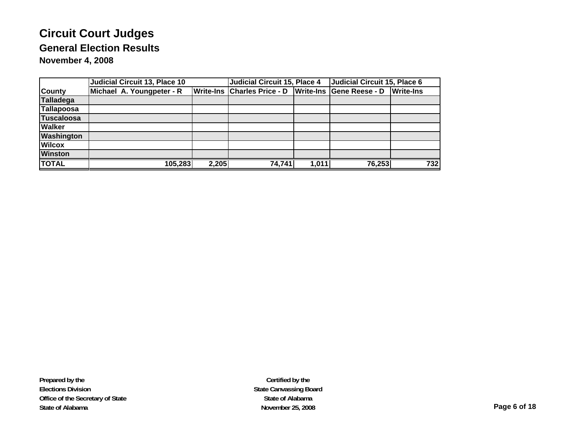|                   | Judicial Circuit 13, Place 10 | Judicial Circuit 15, Place 4 |                                                      | Judicial Circuit 15, Place 6 |        |                  |
|-------------------|-------------------------------|------------------------------|------------------------------------------------------|------------------------------|--------|------------------|
| <b>County</b>     | Michael A. Youngpeter - R     |                              | Write-Ins Charles Price - D Write-Ins Gene Reese - D |                              |        | <b>Write-Ins</b> |
| <b>Talladega</b>  |                               |                              |                                                      |                              |        |                  |
| <b>Tallapoosa</b> |                               |                              |                                                      |                              |        |                  |
| <b>Tuscaloosa</b> |                               |                              |                                                      |                              |        |                  |
| <b>Walker</b>     |                               |                              |                                                      |                              |        |                  |
| <b>Washington</b> |                               |                              |                                                      |                              |        |                  |
| <b>Wilcox</b>     |                               |                              |                                                      |                              |        |                  |
| <b>Winston</b>    |                               |                              |                                                      |                              |        |                  |
| <b>TOTAL</b>      | 105,283                       | 2,205                        | 74, 741                                              | 1,011                        | 76,253 | 732              |

**Prepared by the Elections Division Office of the Secretary of State State of Alabama**

**Certified by the State Canvassing Board State of AlabamaNovember 25, 2008 Page 6 of 18**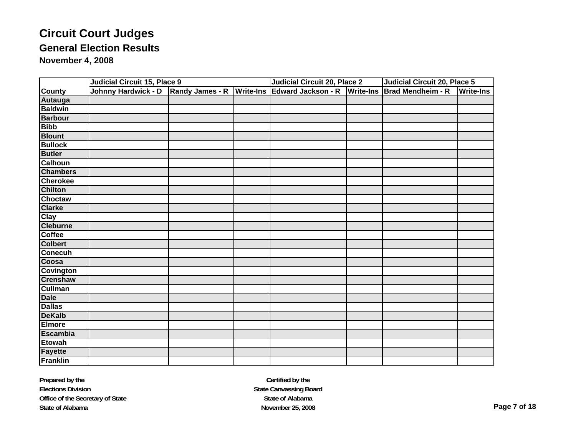|                  | <b>Judicial Circuit 15, Place 9</b> |                 |                  | <b>Judicial Circuit 20, Place 2</b> |                  | Judicial Circuit 20, Place 5 |                  |
|------------------|-------------------------------------|-----------------|------------------|-------------------------------------|------------------|------------------------------|------------------|
| <b>County</b>    | Johnny Hardwick - D                 | Randy James - R | <b>Write-Ins</b> | Edward Jackson - R                  | <b>Write-Ins</b> | Brad Mendheim - R            | <b>Write-Ins</b> |
| <b>Autauga</b>   |                                     |                 |                  |                                     |                  |                              |                  |
| <b>Baldwin</b>   |                                     |                 |                  |                                     |                  |                              |                  |
| <b>Barbour</b>   |                                     |                 |                  |                                     |                  |                              |                  |
| <b>Bibb</b>      |                                     |                 |                  |                                     |                  |                              |                  |
| <b>Blount</b>    |                                     |                 |                  |                                     |                  |                              |                  |
| <b>Bullock</b>   |                                     |                 |                  |                                     |                  |                              |                  |
| <b>Butler</b>    |                                     |                 |                  |                                     |                  |                              |                  |
| <b>Calhoun</b>   |                                     |                 |                  |                                     |                  |                              |                  |
| <b>Chambers</b>  |                                     |                 |                  |                                     |                  |                              |                  |
| <b>Cherokee</b>  |                                     |                 |                  |                                     |                  |                              |                  |
| <b>Chilton</b>   |                                     |                 |                  |                                     |                  |                              |                  |
| <b>Choctaw</b>   |                                     |                 |                  |                                     |                  |                              |                  |
| <b>Clarke</b>    |                                     |                 |                  |                                     |                  |                              |                  |
| <b>Clay</b>      |                                     |                 |                  |                                     |                  |                              |                  |
| <b>Cleburne</b>  |                                     |                 |                  |                                     |                  |                              |                  |
| Coffee           |                                     |                 |                  |                                     |                  |                              |                  |
| <b>Colbert</b>   |                                     |                 |                  |                                     |                  |                              |                  |
| Conecuh          |                                     |                 |                  |                                     |                  |                              |                  |
| Coosa            |                                     |                 |                  |                                     |                  |                              |                  |
| <b>Covington</b> |                                     |                 |                  |                                     |                  |                              |                  |
| <b>Crenshaw</b>  |                                     |                 |                  |                                     |                  |                              |                  |
| <b>Cullman</b>   |                                     |                 |                  |                                     |                  |                              |                  |
| <b>Dale</b>      |                                     |                 |                  |                                     |                  |                              |                  |
| <b>Dallas</b>    |                                     |                 |                  |                                     |                  |                              |                  |
| <b>DeKalb</b>    |                                     |                 |                  |                                     |                  |                              |                  |
| <b>Elmore</b>    |                                     |                 |                  |                                     |                  |                              |                  |
| <b>Escambia</b>  |                                     |                 |                  |                                     |                  |                              |                  |
| <b>Etowah</b>    |                                     |                 |                  |                                     |                  |                              |                  |
| <b>Fayette</b>   |                                     |                 |                  |                                     |                  |                              |                  |
| Franklin         |                                     |                 |                  |                                     |                  |                              |                  |

**Certified by the State Canvassing Board State of AlabamaNovember 25, 2008 Page 7 of 18**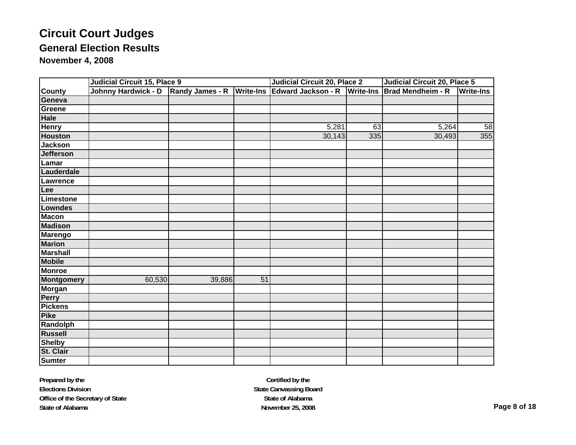|                   | <b>Judicial Circuit 15, Place 9</b> |                           |                 | <b>Judicial Circuit 20, Place 2</b> |                  | <b>Judicial Circuit 20, Place 5</b> |                  |  |
|-------------------|-------------------------------------|---------------------------|-----------------|-------------------------------------|------------------|-------------------------------------|------------------|--|
| <b>County</b>     | Johnny Hardwick - D                 | Randy James - R Write-Ins |                 | Edward Jackson - R                  | <b>Write-Ins</b> | Brad Mendheim - R                   | <b>Write-Ins</b> |  |
| Geneva            |                                     |                           |                 |                                     |                  |                                     |                  |  |
| Greene            |                                     |                           |                 |                                     |                  |                                     |                  |  |
| Hale              |                                     |                           |                 |                                     |                  |                                     |                  |  |
| <b>Henry</b>      |                                     |                           |                 | 5,281                               | 63               | 5,264                               | 58               |  |
| <b>Houston</b>    |                                     |                           |                 | 30,143                              | 335              | 30,493                              | 355              |  |
| <b>Jackson</b>    |                                     |                           |                 |                                     |                  |                                     |                  |  |
| <b>Jefferson</b>  |                                     |                           |                 |                                     |                  |                                     |                  |  |
| Lamar             |                                     |                           |                 |                                     |                  |                                     |                  |  |
| Lauderdale        |                                     |                           |                 |                                     |                  |                                     |                  |  |
| Lawrence          |                                     |                           |                 |                                     |                  |                                     |                  |  |
| Lee               |                                     |                           |                 |                                     |                  |                                     |                  |  |
| Limestone         |                                     |                           |                 |                                     |                  |                                     |                  |  |
| <b>Lowndes</b>    |                                     |                           |                 |                                     |                  |                                     |                  |  |
| <b>Macon</b>      |                                     |                           |                 |                                     |                  |                                     |                  |  |
| <b>Madison</b>    |                                     |                           |                 |                                     |                  |                                     |                  |  |
| <b>Marengo</b>    |                                     |                           |                 |                                     |                  |                                     |                  |  |
| <b>Marion</b>     |                                     |                           |                 |                                     |                  |                                     |                  |  |
| <b>Marshall</b>   |                                     |                           |                 |                                     |                  |                                     |                  |  |
| <b>Mobile</b>     |                                     |                           |                 |                                     |                  |                                     |                  |  |
| <b>Monroe</b>     |                                     |                           |                 |                                     |                  |                                     |                  |  |
| <b>Montgomery</b> | 60,530                              | 39,886                    | $\overline{51}$ |                                     |                  |                                     |                  |  |
| <b>Morgan</b>     |                                     |                           |                 |                                     |                  |                                     |                  |  |
| Perry             |                                     |                           |                 |                                     |                  |                                     |                  |  |
| <b>Pickens</b>    |                                     |                           |                 |                                     |                  |                                     |                  |  |
| <b>Pike</b>       |                                     |                           |                 |                                     |                  |                                     |                  |  |
| Randolph          |                                     |                           |                 |                                     |                  |                                     |                  |  |
| <b>Russell</b>    |                                     |                           |                 |                                     |                  |                                     |                  |  |
| <b>Shelby</b>     |                                     |                           |                 |                                     |                  |                                     |                  |  |
| St. Clair         |                                     |                           |                 |                                     |                  |                                     |                  |  |
| <b>Sumter</b>     |                                     |                           |                 |                                     |                  |                                     |                  |  |

**Certified by the State Canvassing Board State of AlabamaNovember 25, 2008 Page 8 of 18**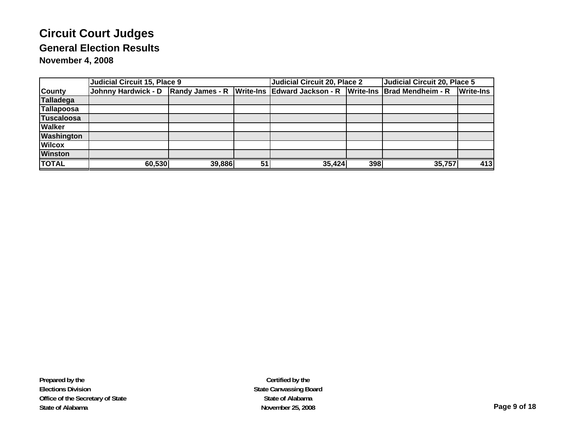|                   | <b>Judicial Circuit 15, Place 9</b>                              |        | Judicial Circuit 20, Place 2 |        | Judicial Circuit 20, Place 5 |                                    |                  |
|-------------------|------------------------------------------------------------------|--------|------------------------------|--------|------------------------------|------------------------------------|------------------|
| <b>County</b>     | Johnny Hardwick - D Randy James - R Write-Ins Edward Jackson - R |        |                              |        |                              | <b>Write-Ins Brad Mendheim - R</b> | <b>Write-Ins</b> |
| Talladega         |                                                                  |        |                              |        |                              |                                    |                  |
| Tallapoosa        |                                                                  |        |                              |        |                              |                                    |                  |
| <b>Tuscaloosa</b> |                                                                  |        |                              |        |                              |                                    |                  |
| <b>Walker</b>     |                                                                  |        |                              |        |                              |                                    |                  |
| <b>Washington</b> |                                                                  |        |                              |        |                              |                                    |                  |
| <b>Wilcox</b>     |                                                                  |        |                              |        |                              |                                    |                  |
| <b>Winston</b>    |                                                                  |        |                              |        |                              |                                    |                  |
| <b>TOTAL</b>      | 60,530                                                           | 39,886 | 51                           | 35,424 | 398                          | 35,757                             | 413              |

**Certified by the State Canvassing Board State of AlabamaNovember 25, 2008 Page 9 of 18**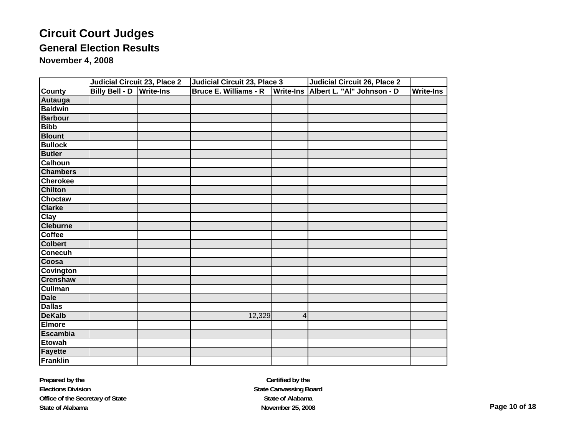# **Circuit Court Judges General Election Results**

**November 4, 2008**

|                  | <b>Judicial Circuit 23, Place 2</b> | Judicial Circuit 23, Place 3 |   | <b>Judicial Circuit 26, Place 2</b>  |                  |
|------------------|-------------------------------------|------------------------------|---|--------------------------------------|------------------|
| <b>County</b>    | <b>Billy Bell - D Write-Ins</b>     | <b>Bruce E. Williams - R</b> |   | Write-Ins Albert L. "Al" Johnson - D | <b>Write-Ins</b> |
| Autauga          |                                     |                              |   |                                      |                  |
| <b>Baldwin</b>   |                                     |                              |   |                                      |                  |
| <b>Barbour</b>   |                                     |                              |   |                                      |                  |
| <b>Bibb</b>      |                                     |                              |   |                                      |                  |
| <b>Blount</b>    |                                     |                              |   |                                      |                  |
| <b>Bullock</b>   |                                     |                              |   |                                      |                  |
| <b>Butler</b>    |                                     |                              |   |                                      |                  |
| <b>Calhoun</b>   |                                     |                              |   |                                      |                  |
| <b>Chambers</b>  |                                     |                              |   |                                      |                  |
| <b>Cherokee</b>  |                                     |                              |   |                                      |                  |
| <b>Chilton</b>   |                                     |                              |   |                                      |                  |
| <b>Choctaw</b>   |                                     |                              |   |                                      |                  |
| <b>Clarke</b>    |                                     |                              |   |                                      |                  |
| <b>Clay</b>      |                                     |                              |   |                                      |                  |
| <b>Cleburne</b>  |                                     |                              |   |                                      |                  |
| <b>Coffee</b>    |                                     |                              |   |                                      |                  |
| <b>Colbert</b>   |                                     |                              |   |                                      |                  |
| <b>Conecuh</b>   |                                     |                              |   |                                      |                  |
| Coosa            |                                     |                              |   |                                      |                  |
| <b>Covington</b> |                                     |                              |   |                                      |                  |
| <b>Crenshaw</b>  |                                     |                              |   |                                      |                  |
| <b>Cullman</b>   |                                     |                              |   |                                      |                  |
| <b>Dale</b>      |                                     |                              |   |                                      |                  |
| <b>Dallas</b>    |                                     |                              |   |                                      |                  |
| <b>DeKalb</b>    |                                     | 12,329                       | 4 |                                      |                  |
| Elmore           |                                     |                              |   |                                      |                  |
| <b>Escambia</b>  |                                     |                              |   |                                      |                  |
| <b>Etowah</b>    |                                     |                              |   |                                      |                  |
| Fayette          |                                     |                              |   |                                      |                  |
| <b>Franklin</b>  |                                     |                              |   |                                      |                  |

**Prepared by the Elections Division Office of the Secretary of State State of Alabama**

**Certified by the State Canvassing Board State of AlabamaNovember 25, 2008 Page 10 of 18**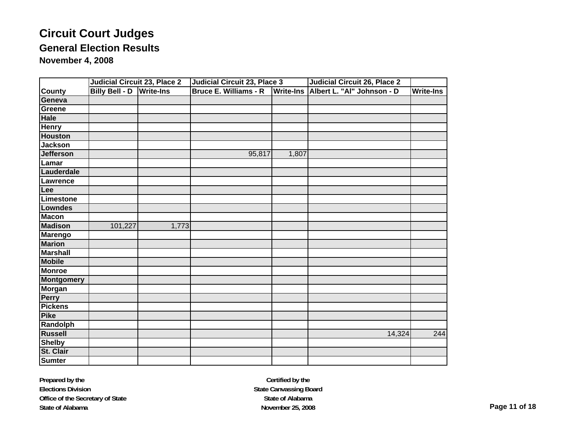# **Circuit Court Judges General Election Results**

**November 4, 2008**

|                   | Judicial Circuit 23, Place 2    |       | Judicial Circuit 23, Place 3 |       | Judicial Circuit 26, Place 2         |                  |  |
|-------------------|---------------------------------|-------|------------------------------|-------|--------------------------------------|------------------|--|
| <b>County</b>     | <b>Billy Bell - D Write-Ins</b> |       | <b>Bruce E. Williams - R</b> |       | Write-Ins Albert L. "Al" Johnson - D | <b>Write-Ins</b> |  |
| Geneva            |                                 |       |                              |       |                                      |                  |  |
| Greene            |                                 |       |                              |       |                                      |                  |  |
| <b>Hale</b>       |                                 |       |                              |       |                                      |                  |  |
| <b>Henry</b>      |                                 |       |                              |       |                                      |                  |  |
| <b>Houston</b>    |                                 |       |                              |       |                                      |                  |  |
| <b>Jackson</b>    |                                 |       |                              |       |                                      |                  |  |
| <b>Jefferson</b>  |                                 |       | 95,817                       | 1,807 |                                      |                  |  |
| Lamar             |                                 |       |                              |       |                                      |                  |  |
| Lauderdale        |                                 |       |                              |       |                                      |                  |  |
| Lawrence          |                                 |       |                              |       |                                      |                  |  |
| Lee               |                                 |       |                              |       |                                      |                  |  |
| Limestone         |                                 |       |                              |       |                                      |                  |  |
| <b>Lowndes</b>    |                                 |       |                              |       |                                      |                  |  |
| <b>Macon</b>      |                                 |       |                              |       |                                      |                  |  |
| <b>Madison</b>    | 101,227                         | 1,773 |                              |       |                                      |                  |  |
| Marengo           |                                 |       |                              |       |                                      |                  |  |
| <b>Marion</b>     |                                 |       |                              |       |                                      |                  |  |
| <b>Marshall</b>   |                                 |       |                              |       |                                      |                  |  |
| <b>Mobile</b>     |                                 |       |                              |       |                                      |                  |  |
| <b>Monroe</b>     |                                 |       |                              |       |                                      |                  |  |
| <b>Montgomery</b> |                                 |       |                              |       |                                      |                  |  |
| <b>Morgan</b>     |                                 |       |                              |       |                                      |                  |  |
| <b>Perry</b>      |                                 |       |                              |       |                                      |                  |  |
| <b>Pickens</b>    |                                 |       |                              |       |                                      |                  |  |
| Pike              |                                 |       |                              |       |                                      |                  |  |
| Randolph          |                                 |       |                              |       |                                      |                  |  |
| <b>Russell</b>    |                                 |       |                              |       | 14,324                               | 244              |  |
| <b>Shelby</b>     |                                 |       |                              |       |                                      |                  |  |
| St. Clair         |                                 |       |                              |       |                                      |                  |  |
| <b>Sumter</b>     |                                 |       |                              |       |                                      |                  |  |

**Prepared by the Elections Division Office of the Secretary of State State of Alabama**

**Certified by the State Canvassing Board State of AlabamaNovember 25, 2008 Page 11 of 18**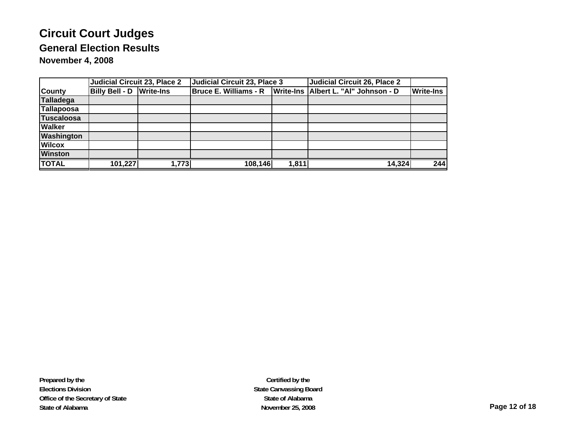|                   | Judicial Circuit 23, Place 2    |       | Judicial Circuit 23, Place 3 |       | Judicial Circuit 26, Place 2           |                  |
|-------------------|---------------------------------|-------|------------------------------|-------|----------------------------------------|------------------|
| <b>County</b>     | <b>Billy Bell - D Write-Ins</b> |       | Bruce E. Williams - R        |       | Write-Ins   Albert L. "Al" Johnson - D | <b>Write-Ins</b> |
| Talladega         |                                 |       |                              |       |                                        |                  |
| Tallapoosa        |                                 |       |                              |       |                                        |                  |
| <b>Tuscaloosa</b> |                                 |       |                              |       |                                        |                  |
| <b>Walker</b>     |                                 |       |                              |       |                                        |                  |
| <b>Washington</b> |                                 |       |                              |       |                                        |                  |
| <b>Wilcox</b>     |                                 |       |                              |       |                                        |                  |
| <b>Winston</b>    |                                 |       |                              |       |                                        |                  |
| <b>TOTAL</b>      | 101,227                         | 1,773 | 108,146                      | 1,811 | 14,324                                 | 244              |

**Prepared by the Elections Division Office of the Secretary of State State of Alabama**

**Certified by the State Canvassing Board State of AlabamaNovember 25, 2008 Page 12 of 18**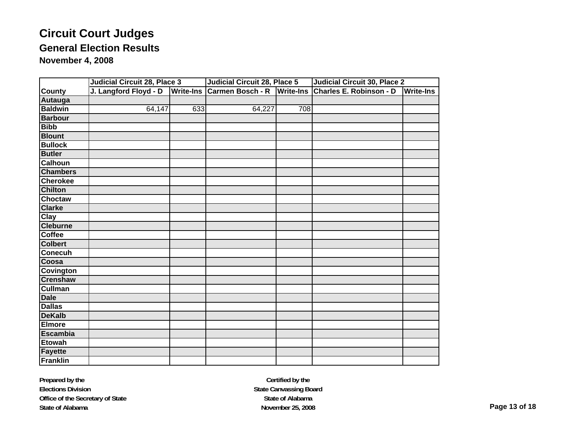|                    | Judicial Circuit 28, Place 3 |                  | <b>Judicial Circuit 28, Place 5</b> |     | <b>Judicial Circuit 30, Place 2</b> |                  |
|--------------------|------------------------------|------------------|-------------------------------------|-----|-------------------------------------|------------------|
| <b>County</b>      | J. Langford Floyd - D        | <b>Write-Ins</b> | Carmen Bosch - R Write-Ins          |     | Charles E. Robinson - D             | <b>Write-Ins</b> |
| Autauga            |                              |                  |                                     |     |                                     |                  |
| <b>Baldwin</b>     | 64,147                       | 633              | 64,227                              | 708 |                                     |                  |
| <b>Barbour</b>     |                              |                  |                                     |     |                                     |                  |
| <b>Bibb</b>        |                              |                  |                                     |     |                                     |                  |
| <b>Blount</b>      |                              |                  |                                     |     |                                     |                  |
| <b>Bullock</b>     |                              |                  |                                     |     |                                     |                  |
| <b>Butler</b>      |                              |                  |                                     |     |                                     |                  |
| <b>Calhoun</b>     |                              |                  |                                     |     |                                     |                  |
| <b>Chambers</b>    |                              |                  |                                     |     |                                     |                  |
| <b>Cherokee</b>    |                              |                  |                                     |     |                                     |                  |
| <b>Chilton</b>     |                              |                  |                                     |     |                                     |                  |
| <b>Choctaw</b>     |                              |                  |                                     |     |                                     |                  |
| <b>Clarke</b>      |                              |                  |                                     |     |                                     |                  |
| $\overline{C}$ lay |                              |                  |                                     |     |                                     |                  |
| <b>Cleburne</b>    |                              |                  |                                     |     |                                     |                  |
| <b>Coffee</b>      |                              |                  |                                     |     |                                     |                  |
| <b>Colbert</b>     |                              |                  |                                     |     |                                     |                  |
| <b>Conecuh</b>     |                              |                  |                                     |     |                                     |                  |
| Coosa              |                              |                  |                                     |     |                                     |                  |
| <b>Covington</b>   |                              |                  |                                     |     |                                     |                  |
| <b>Crenshaw</b>    |                              |                  |                                     |     |                                     |                  |
| <b>Cullman</b>     |                              |                  |                                     |     |                                     |                  |
| <b>Dale</b>        |                              |                  |                                     |     |                                     |                  |
| <b>Dallas</b>      |                              |                  |                                     |     |                                     |                  |
| <b>DeKalb</b>      |                              |                  |                                     |     |                                     |                  |
| <b>Elmore</b>      |                              |                  |                                     |     |                                     |                  |
| <b>Escambia</b>    |                              |                  |                                     |     |                                     |                  |
| <b>Etowah</b>      |                              |                  |                                     |     |                                     |                  |
| <b>Fayette</b>     |                              |                  |                                     |     |                                     |                  |
| <b>Franklin</b>    |                              |                  |                                     |     |                                     |                  |

**Prepared by the Elections Division Office of the Secretary of State State of Alabama**

**Certified by the State Canvassing Board State of AlabamaNovember 25, 2008 Page 13 of 18**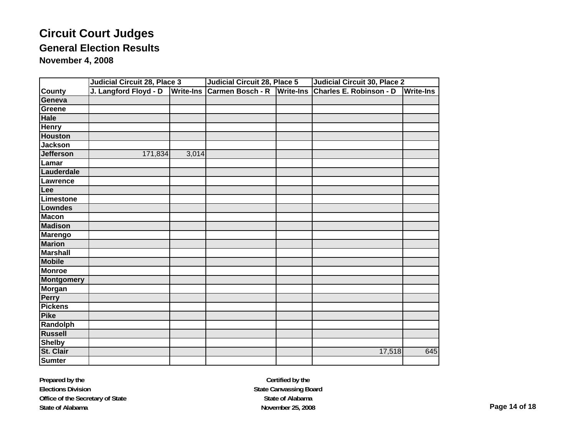|                   | <b>Judicial Circuit 28, Place 3</b> |                  | <b>Judicial Circuit 28, Place 5</b> |                  | <b>Judicial Circuit 30, Place 2</b> |                  |  |
|-------------------|-------------------------------------|------------------|-------------------------------------|------------------|-------------------------------------|------------------|--|
| <b>County</b>     | J. Langford Floyd - D               | <b>Write-Ins</b> | <b>Carmen Bosch - R</b>             | <b>Write-Ins</b> | <b>Charles E. Robinson - D</b>      | <b>Write-Ins</b> |  |
| Geneva            |                                     |                  |                                     |                  |                                     |                  |  |
| Greene            |                                     |                  |                                     |                  |                                     |                  |  |
| <b>Hale</b>       |                                     |                  |                                     |                  |                                     |                  |  |
| <b>Henry</b>      |                                     |                  |                                     |                  |                                     |                  |  |
| <b>Houston</b>    |                                     |                  |                                     |                  |                                     |                  |  |
| <b>Jackson</b>    |                                     |                  |                                     |                  |                                     |                  |  |
| <b>Jefferson</b>  | 171,834                             | 3,014            |                                     |                  |                                     |                  |  |
| Lamar             |                                     |                  |                                     |                  |                                     |                  |  |
| Lauderdale        |                                     |                  |                                     |                  |                                     |                  |  |
| Lawrence          |                                     |                  |                                     |                  |                                     |                  |  |
| Lee               |                                     |                  |                                     |                  |                                     |                  |  |
| Limestone         |                                     |                  |                                     |                  |                                     |                  |  |
| Lowndes           |                                     |                  |                                     |                  |                                     |                  |  |
| <b>Macon</b>      |                                     |                  |                                     |                  |                                     |                  |  |
| <b>Madison</b>    |                                     |                  |                                     |                  |                                     |                  |  |
| <b>Marengo</b>    |                                     |                  |                                     |                  |                                     |                  |  |
| <b>Marion</b>     |                                     |                  |                                     |                  |                                     |                  |  |
| <b>Marshall</b>   |                                     |                  |                                     |                  |                                     |                  |  |
| <b>Mobile</b>     |                                     |                  |                                     |                  |                                     |                  |  |
| <b>Monroe</b>     |                                     |                  |                                     |                  |                                     |                  |  |
| <b>Montgomery</b> |                                     |                  |                                     |                  |                                     |                  |  |
| <b>Morgan</b>     |                                     |                  |                                     |                  |                                     |                  |  |
| Perry             |                                     |                  |                                     |                  |                                     |                  |  |
| <b>Pickens</b>    |                                     |                  |                                     |                  |                                     |                  |  |
| <b>Pike</b>       |                                     |                  |                                     |                  |                                     |                  |  |
| Randolph          |                                     |                  |                                     |                  |                                     |                  |  |
| <b>Russell</b>    |                                     |                  |                                     |                  |                                     |                  |  |
| <b>Shelby</b>     |                                     |                  |                                     |                  |                                     |                  |  |
| St. Clair         |                                     |                  |                                     |                  | 17,518                              | 645              |  |
| <b>Sumter</b>     |                                     |                  |                                     |                  |                                     |                  |  |

**Prepared by the Elections Division Office of the Secretary of State State of Alabama**

**Certified by the State Canvassing Board State of AlabamaNovember 25, 2008 Page 14 of 18**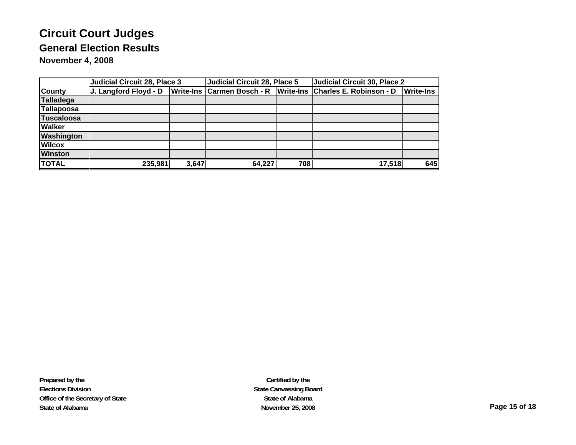|                   | <b>Judicial Circuit 28, Place 3</b> |       | <b>Judicial Circuit 28, Place 5</b> |     | Judicial Circuit 30, Place 2                                 |                  |
|-------------------|-------------------------------------|-------|-------------------------------------|-----|--------------------------------------------------------------|------------------|
| <b>County</b>     | J. Langford Floyd - D               |       |                                     |     | Write-Ins Carmen Bosch - R Write-Ins Charles E. Robinson - D | <b>Write-Ins</b> |
| <b>Talladega</b>  |                                     |       |                                     |     |                                                              |                  |
| Tallapoosa        |                                     |       |                                     |     |                                                              |                  |
| <b>Tuscaloosa</b> |                                     |       |                                     |     |                                                              |                  |
| <b>Walker</b>     |                                     |       |                                     |     |                                                              |                  |
| <b>Washington</b> |                                     |       |                                     |     |                                                              |                  |
| <b>Wilcox</b>     |                                     |       |                                     |     |                                                              |                  |
| <b>Winston</b>    |                                     |       |                                     |     |                                                              |                  |
| <b>TOTAL</b>      | 235,981                             | 3,647 | 64,227                              | 708 | 17,518                                                       | 645              |

**Prepared by the Elections Division Office of the Secretary of State State of Alabama**

**Certified by the State Canvassing Board State of AlabamaNovember 25, 2008 Page 15 of 18**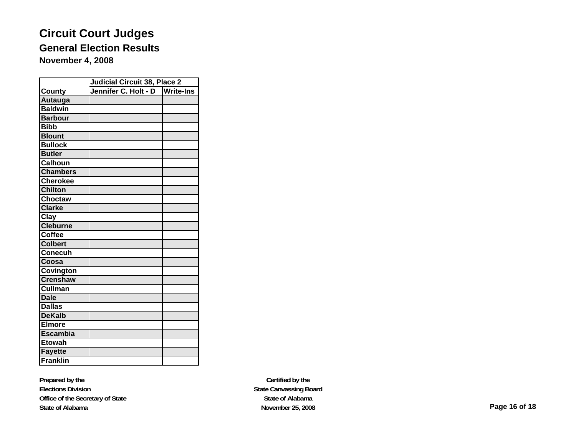|                 | <b>Judicial Circuit 38, Place 2</b> |                  |
|-----------------|-------------------------------------|------------------|
| <b>County</b>   | Jennifer C. Holt - D                | <b>Write-Ins</b> |
| Autauga         |                                     |                  |
| <b>Baldwin</b>  |                                     |                  |
| <b>Barbour</b>  |                                     |                  |
| <b>Bibb</b>     |                                     |                  |
| <b>Blount</b>   |                                     |                  |
| <b>Bullock</b>  |                                     |                  |
| <b>Butler</b>   |                                     |                  |
| <b>Calhoun</b>  |                                     |                  |
| <b>Chambers</b> |                                     |                  |
| <b>Cherokee</b> |                                     |                  |
| <b>Chilton</b>  |                                     |                  |
| <b>Choctaw</b>  |                                     |                  |
| <b>Clarke</b>   |                                     |                  |
| Clay            |                                     |                  |
| <b>Cleburne</b> |                                     |                  |
| <b>Coffee</b>   |                                     |                  |
| <b>Colbert</b>  |                                     |                  |
| Conecuh         |                                     |                  |
| Coosa           |                                     |                  |
| Covington       |                                     |                  |
| <b>Crenshaw</b> |                                     |                  |
| <b>Cullman</b>  |                                     |                  |
| <b>Dale</b>     |                                     |                  |
| <b>Dallas</b>   |                                     |                  |
| <b>DeKalb</b>   |                                     |                  |
| <b>Elmore</b>   |                                     |                  |
| <b>Escambia</b> |                                     |                  |
| <b>Etowah</b>   |                                     |                  |
| <b>Fayette</b>  |                                     |                  |
| Franklin        |                                     |                  |

**Prepared by the Elections Division Office of the Secretary of State State of Alabama**

**Certified by the State Canvassing Board State of AlabamaNovember 25, 2008 Page 16 of 18**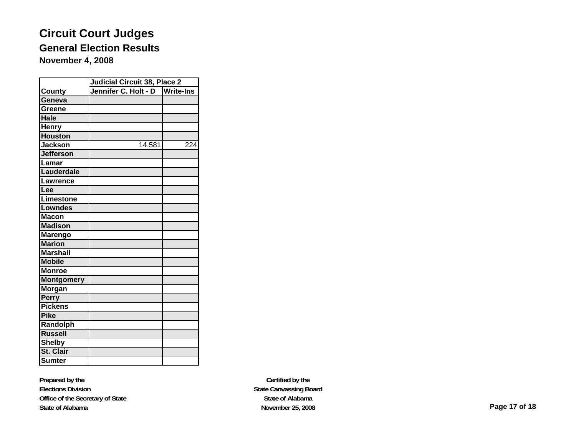|                   | <b>Judicial Circuit 38, Place 2</b> |                  |
|-------------------|-------------------------------------|------------------|
| <b>County</b>     | Jennifer C. Holt - D                | <b>Write-Ins</b> |
| Geneva            |                                     |                  |
| Greene            |                                     |                  |
| Hale              |                                     |                  |
| <b>Henry</b>      |                                     |                  |
| <b>Houston</b>    |                                     |                  |
| <b>Jackson</b>    | 14,581                              | $\overline{2}24$ |
| <b>Jefferson</b>  |                                     |                  |
| Lamar             |                                     |                  |
| Lauderdale        |                                     |                  |
| Lawrence          |                                     |                  |
| Lee               |                                     |                  |
| Limestone         |                                     |                  |
| <b>Lowndes</b>    |                                     |                  |
| <b>Macon</b>      |                                     |                  |
| <b>Madison</b>    |                                     |                  |
| <b>Marengo</b>    |                                     |                  |
| <b>Marion</b>     |                                     |                  |
| <b>Marshall</b>   |                                     |                  |
| <b>Mobile</b>     |                                     |                  |
| <b>Monroe</b>     |                                     |                  |
| <b>Montgomery</b> |                                     |                  |
| Morgan            |                                     |                  |
| <b>Perry</b>      |                                     |                  |
| <b>Pickens</b>    |                                     |                  |
| <b>Pike</b>       |                                     |                  |
| Randolph          |                                     |                  |
| <b>Russell</b>    |                                     |                  |
| <b>Shelby</b>     |                                     |                  |
| St. Clair         |                                     |                  |
| <b>Sumter</b>     |                                     |                  |

**Prepared by the Elections Division Office of the Secretary of State State of Alabama**

**Certified by the State Canvassing Board State of AlabamaNovember 25, 2008 Page 17 of 18**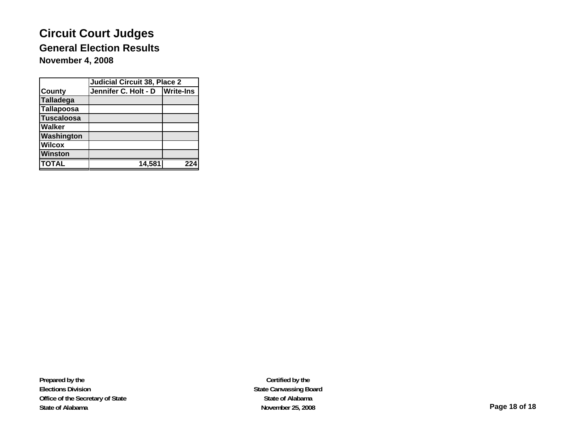|                  | <b>Judicial Circuit 38, Place 2</b> |     |  |  |  |  |
|------------------|-------------------------------------|-----|--|--|--|--|
| <b>County</b>    | Jennifer C. Holt - D   Write-Ins    |     |  |  |  |  |
| <b>Talladega</b> |                                     |     |  |  |  |  |
| Tallapoosa       |                                     |     |  |  |  |  |
| Tuscaloosa       |                                     |     |  |  |  |  |
| <b>Walker</b>    |                                     |     |  |  |  |  |
| Washington       |                                     |     |  |  |  |  |
| <b>Wilcox</b>    |                                     |     |  |  |  |  |
| <b>Winston</b>   |                                     |     |  |  |  |  |
| <b>TOTAL</b>     | 14.581                              | 224 |  |  |  |  |

**Prepared by the Elections Division Office of the Secretary of State State of Alabama**

**Certified by the State Canvassing Board State of AlabamaNovember 25, 2008 Page 18 of 18**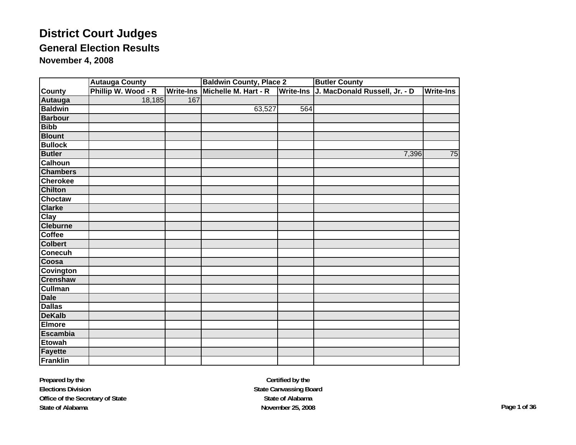|                  | <b>Autauga County</b> |                     |                  | <b>Baldwin County, Place 2</b> |                  | <b>Butler County</b>          |                  |
|------------------|-----------------------|---------------------|------------------|--------------------------------|------------------|-------------------------------|------------------|
| <b>County</b>    |                       | Phillip W. Wood - R | <b>Write-Ins</b> | Michelle M. Hart - R           | <b>Write-Ins</b> | J. MacDonald Russell, Jr. - D | <b>Write-Ins</b> |
| Autauga          |                       | 18,185              | 167              |                                |                  |                               |                  |
| <b>Baldwin</b>   |                       |                     |                  | 63,527                         | 564              |                               |                  |
| <b>Barbour</b>   |                       |                     |                  |                                |                  |                               |                  |
| <b>Bibb</b>      |                       |                     |                  |                                |                  |                               |                  |
| <b>Blount</b>    |                       |                     |                  |                                |                  |                               |                  |
| <b>Bullock</b>   |                       |                     |                  |                                |                  |                               |                  |
| <b>Butler</b>    |                       |                     |                  |                                |                  | 7,396                         | 75               |
| <b>Calhoun</b>   |                       |                     |                  |                                |                  |                               |                  |
| <b>Chambers</b>  |                       |                     |                  |                                |                  |                               |                  |
| <b>Cherokee</b>  |                       |                     |                  |                                |                  |                               |                  |
| <b>Chilton</b>   |                       |                     |                  |                                |                  |                               |                  |
| <b>Choctaw</b>   |                       |                     |                  |                                |                  |                               |                  |
| <b>Clarke</b>    |                       |                     |                  |                                |                  |                               |                  |
| <b>Clay</b>      |                       |                     |                  |                                |                  |                               |                  |
| <b>Cleburne</b>  |                       |                     |                  |                                |                  |                               |                  |
| <b>Coffee</b>    |                       |                     |                  |                                |                  |                               |                  |
| <b>Colbert</b>   |                       |                     |                  |                                |                  |                               |                  |
| <b>Conecuh</b>   |                       |                     |                  |                                |                  |                               |                  |
| Coosa            |                       |                     |                  |                                |                  |                               |                  |
| <b>Covington</b> |                       |                     |                  |                                |                  |                               |                  |
| <b>Crenshaw</b>  |                       |                     |                  |                                |                  |                               |                  |
| <b>Cullman</b>   |                       |                     |                  |                                |                  |                               |                  |
| <b>Dale</b>      |                       |                     |                  |                                |                  |                               |                  |
| <b>Dallas</b>    |                       |                     |                  |                                |                  |                               |                  |
| <b>DeKalb</b>    |                       |                     |                  |                                |                  |                               |                  |
| <b>Elmore</b>    |                       |                     |                  |                                |                  |                               |                  |
| <b>Escambia</b>  |                       |                     |                  |                                |                  |                               |                  |
| <b>Etowah</b>    |                       |                     |                  |                                |                  |                               |                  |
| <b>Fayette</b>   |                       |                     |                  |                                |                  |                               |                  |
| Franklin         |                       |                     |                  |                                |                  |                               |                  |

**Certified by the State Canvassing Board State of AlabamaNovember 25, 2008 Page 1 of 36**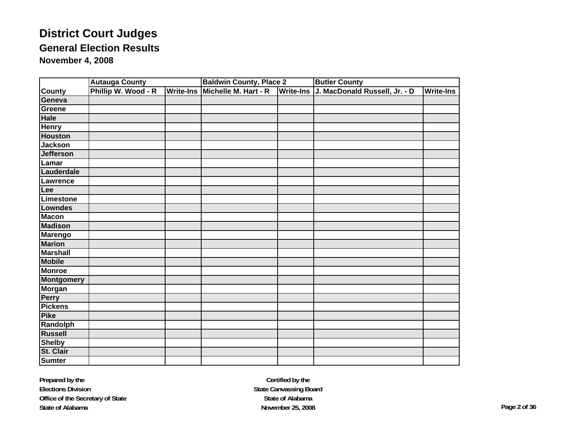|                   | <b>Autauga County</b> |                  | <b>Baldwin County, Place 2</b> | <b>Butler County</b>                    |                  |
|-------------------|-----------------------|------------------|--------------------------------|-----------------------------------------|------------------|
| <b>County</b>     | Phillip W. Wood - R   | <b>Write-Ins</b> | Michelle M. Hart - R           | Write-Ins J. MacDonald Russell, Jr. - D | <b>Write-Ins</b> |
| Geneva            |                       |                  |                                |                                         |                  |
| Greene            |                       |                  |                                |                                         |                  |
| <b>Hale</b>       |                       |                  |                                |                                         |                  |
| <b>Henry</b>      |                       |                  |                                |                                         |                  |
| <b>Houston</b>    |                       |                  |                                |                                         |                  |
| <b>Jackson</b>    |                       |                  |                                |                                         |                  |
| <b>Jefferson</b>  |                       |                  |                                |                                         |                  |
| Lamar             |                       |                  |                                |                                         |                  |
| Lauderdale        |                       |                  |                                |                                         |                  |
| Lawrence          |                       |                  |                                |                                         |                  |
| Lee               |                       |                  |                                |                                         |                  |
| <b>Limestone</b>  |                       |                  |                                |                                         |                  |
| <b>Lowndes</b>    |                       |                  |                                |                                         |                  |
| <b>Macon</b>      |                       |                  |                                |                                         |                  |
| <b>Madison</b>    |                       |                  |                                |                                         |                  |
| <b>Marengo</b>    |                       |                  |                                |                                         |                  |
| <b>Marion</b>     |                       |                  |                                |                                         |                  |
| <b>Marshall</b>   |                       |                  |                                |                                         |                  |
| <b>Mobile</b>     |                       |                  |                                |                                         |                  |
| <b>Monroe</b>     |                       |                  |                                |                                         |                  |
| <b>Montgomery</b> |                       |                  |                                |                                         |                  |
| <b>Morgan</b>     |                       |                  |                                |                                         |                  |
| <b>Perry</b>      |                       |                  |                                |                                         |                  |
| <b>Pickens</b>    |                       |                  |                                |                                         |                  |
| <b>Pike</b>       |                       |                  |                                |                                         |                  |
| Randolph          |                       |                  |                                |                                         |                  |
| <b>Russell</b>    |                       |                  |                                |                                         |                  |
| <b>Shelby</b>     |                       |                  |                                |                                         |                  |
| St. Clair         |                       |                  |                                |                                         |                  |
| <b>Sumter</b>     |                       |                  |                                |                                         |                  |

**Prepared by the Elections Division Office of the Secretary of State State of Alabama**

**Certified by the State Canvassing Board State of AlabamaNovember 25, 2008 Page 2 of 36**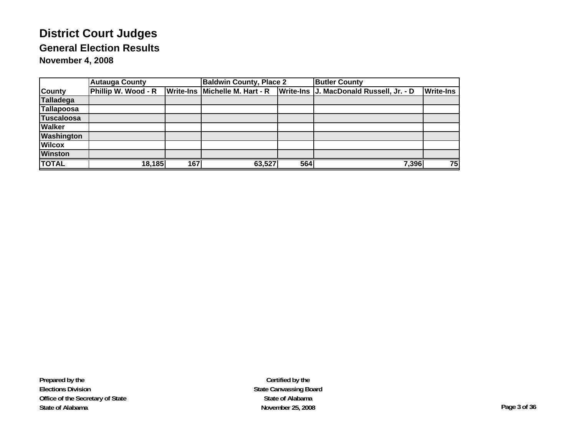|                   | <b>Autauga County</b> |                  | <b>Baldwin County, Place 2</b> |     | <b>Butler County</b>                    |                  |
|-------------------|-----------------------|------------------|--------------------------------|-----|-----------------------------------------|------------------|
| <b>County</b>     | Phillip W. Wood - R   | <b>Write-Ins</b> | Michelle M. Hart - R           |     | Write-Ins J. MacDonald Russell, Jr. - D | <b>Write-Ins</b> |
| <b>Talladega</b>  |                       |                  |                                |     |                                         |                  |
| <b>Tallapoosa</b> |                       |                  |                                |     |                                         |                  |
| <b>Tuscaloosa</b> |                       |                  |                                |     |                                         |                  |
| <b>Walker</b>     |                       |                  |                                |     |                                         |                  |
| <b>Washington</b> |                       |                  |                                |     |                                         |                  |
| <b>Wilcox</b>     |                       |                  |                                |     |                                         |                  |
| <b>Winston</b>    |                       |                  |                                |     |                                         |                  |
| <b>TOTAL</b>      | 18,185                | 1671             | 63,527                         | 564 | 7,396                                   | 75               |

**Prepared by the Elections Division Office of the Secretary of State State of Alabama**

**Certified by the State Canvassing Board State of AlabamaNovember 25, 2008 Page 3 of 36**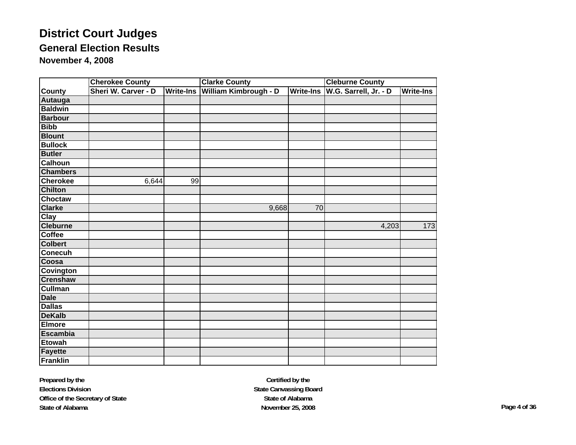|                 | <b>Cherokee County</b> |                     | <b>Clarke County</b> |                       | <b>Cleburne County</b> |                       |                  |
|-----------------|------------------------|---------------------|----------------------|-----------------------|------------------------|-----------------------|------------------|
| <b>County</b>   |                        | Sheri W. Carver - D | Write-Ins            | William Kimbrough - D | <b>Write-Ins</b>       | W.G. Sarrell, Jr. - D | <b>Write-Ins</b> |
| Autauga         |                        |                     |                      |                       |                        |                       |                  |
| <b>Baldwin</b>  |                        |                     |                      |                       |                        |                       |                  |
| <b>Barbour</b>  |                        |                     |                      |                       |                        |                       |                  |
| <b>Bibb</b>     |                        |                     |                      |                       |                        |                       |                  |
| <b>Blount</b>   |                        |                     |                      |                       |                        |                       |                  |
| <b>Bullock</b>  |                        |                     |                      |                       |                        |                       |                  |
| <b>Butler</b>   |                        |                     |                      |                       |                        |                       |                  |
| <b>Calhoun</b>  |                        |                     |                      |                       |                        |                       |                  |
| <b>Chambers</b> |                        |                     |                      |                       |                        |                       |                  |
| <b>Cherokee</b> |                        | 6,644               | 99                   |                       |                        |                       |                  |
| <b>Chilton</b>  |                        |                     |                      |                       |                        |                       |                  |
| <b>Choctaw</b>  |                        |                     |                      |                       |                        |                       |                  |
| <b>Clarke</b>   |                        |                     |                      | 9,668                 | 70                     |                       |                  |
| <b>Clay</b>     |                        |                     |                      |                       |                        |                       |                  |
| <b>Cleburne</b> |                        |                     |                      |                       |                        | 4,203                 | $\overline{173}$ |
| Coffee          |                        |                     |                      |                       |                        |                       |                  |
| <b>Colbert</b>  |                        |                     |                      |                       |                        |                       |                  |
| <b>Conecuh</b>  |                        |                     |                      |                       |                        |                       |                  |
| Coosa           |                        |                     |                      |                       |                        |                       |                  |
| Covington       |                        |                     |                      |                       |                        |                       |                  |
| <b>Crenshaw</b> |                        |                     |                      |                       |                        |                       |                  |
| <b>Cullman</b>  |                        |                     |                      |                       |                        |                       |                  |
| <b>Dale</b>     |                        |                     |                      |                       |                        |                       |                  |
| <b>Dallas</b>   |                        |                     |                      |                       |                        |                       |                  |
| <b>DeKalb</b>   |                        |                     |                      |                       |                        |                       |                  |
| <b>Elmore</b>   |                        |                     |                      |                       |                        |                       |                  |
| <b>Escambia</b> |                        |                     |                      |                       |                        |                       |                  |
| <b>Etowah</b>   |                        |                     |                      |                       |                        |                       |                  |
| <b>Fayette</b>  |                        |                     |                      |                       |                        |                       |                  |
| <b>Franklin</b> |                        |                     |                      |                       |                        |                       |                  |

**Prepared by the Elections Division Office of the Secretary of State State of Alabama**

**Certified by the State Canvassing Board State of AlabamaNovember 25, 2008 Page 4 of 36**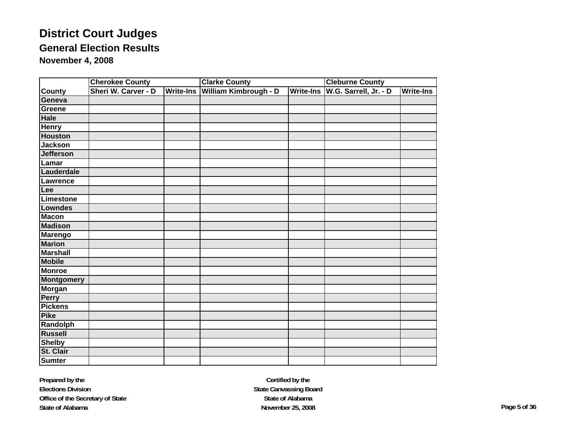|                   | <b>Cherokee County</b> |  | <b>Clarke County</b> |                              | <b>Cleburne County</b> |                       |                  |
|-------------------|------------------------|--|----------------------|------------------------------|------------------------|-----------------------|------------------|
| <b>County</b>     | Sheri W. Carver - D    |  | Write-Ins            | <b>William Kimbrough - D</b> | <b>Write-Ins</b>       | W.G. Sarrell, Jr. - D | <b>Write-Ins</b> |
| Geneva            |                        |  |                      |                              |                        |                       |                  |
| Greene            |                        |  |                      |                              |                        |                       |                  |
| <b>Hale</b>       |                        |  |                      |                              |                        |                       |                  |
| <b>Henry</b>      |                        |  |                      |                              |                        |                       |                  |
| <b>Houston</b>    |                        |  |                      |                              |                        |                       |                  |
| <b>Jackson</b>    |                        |  |                      |                              |                        |                       |                  |
| <b>Jefferson</b>  |                        |  |                      |                              |                        |                       |                  |
| $L$ amar          |                        |  |                      |                              |                        |                       |                  |
| Lauderdale        |                        |  |                      |                              |                        |                       |                  |
| <b>Lawrence</b>   |                        |  |                      |                              |                        |                       |                  |
| Lee               |                        |  |                      |                              |                        |                       |                  |
| <b>Limestone</b>  |                        |  |                      |                              |                        |                       |                  |
| <b>Lowndes</b>    |                        |  |                      |                              |                        |                       |                  |
| <b>Macon</b>      |                        |  |                      |                              |                        |                       |                  |
| <b>Madison</b>    |                        |  |                      |                              |                        |                       |                  |
| <b>Marengo</b>    |                        |  |                      |                              |                        |                       |                  |
| <b>Marion</b>     |                        |  |                      |                              |                        |                       |                  |
| <b>Marshall</b>   |                        |  |                      |                              |                        |                       |                  |
| <b>Mobile</b>     |                        |  |                      |                              |                        |                       |                  |
| <b>Monroe</b>     |                        |  |                      |                              |                        |                       |                  |
| <b>Montgomery</b> |                        |  |                      |                              |                        |                       |                  |
| <b>Morgan</b>     |                        |  |                      |                              |                        |                       |                  |
| <b>Perry</b>      |                        |  |                      |                              |                        |                       |                  |
| <b>Pickens</b>    |                        |  |                      |                              |                        |                       |                  |
| <b>Pike</b>       |                        |  |                      |                              |                        |                       |                  |
| Randolph          |                        |  |                      |                              |                        |                       |                  |
| <b>Russell</b>    |                        |  |                      |                              |                        |                       |                  |
| <b>Shelby</b>     |                        |  |                      |                              |                        |                       |                  |
| St. Clair         |                        |  |                      |                              |                        |                       |                  |
| <b>Sumter</b>     |                        |  |                      |                              |                        |                       |                  |

**Certified by the State Canvassing Board State of AlabamaNovember 25, 2008 Page 5 of 36**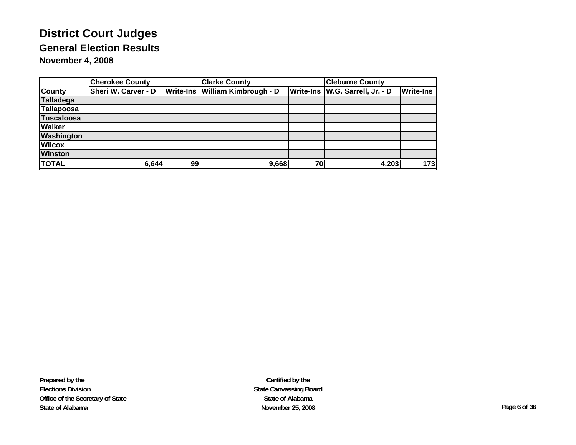|                   | <b>Cherokee County</b>     |    | <b>Clarke County</b>            | <b>Cleburne County</b> |                                   |                  |
|-------------------|----------------------------|----|---------------------------------|------------------------|-----------------------------------|------------------|
| <b>County</b>     | <b>Sheri W. Carver - D</b> |    | Write-Ins William Kimbrough - D |                        | Write-Ins   W.G. Sarrell, Jr. - D | <b>Write-Ins</b> |
| Talladega         |                            |    |                                 |                        |                                   |                  |
| Tallapoosa        |                            |    |                                 |                        |                                   |                  |
| <b>Tuscaloosa</b> |                            |    |                                 |                        |                                   |                  |
| <b>Walker</b>     |                            |    |                                 |                        |                                   |                  |
| <b>Washington</b> |                            |    |                                 |                        |                                   |                  |
| <b>Wilcox</b>     |                            |    |                                 |                        |                                   |                  |
| <b>Winston</b>    |                            |    |                                 |                        |                                   |                  |
| <b>TOTAL</b>      | 6,644                      | 99 | 9,668                           | 70                     | 4,203                             | 173              |

**Prepared by the Elections Division Office of the Secretary of State State of Alabama**

**Certified by the State Canvassing Board State of AlabamaNovember 25, 2008 Page 6 of 36**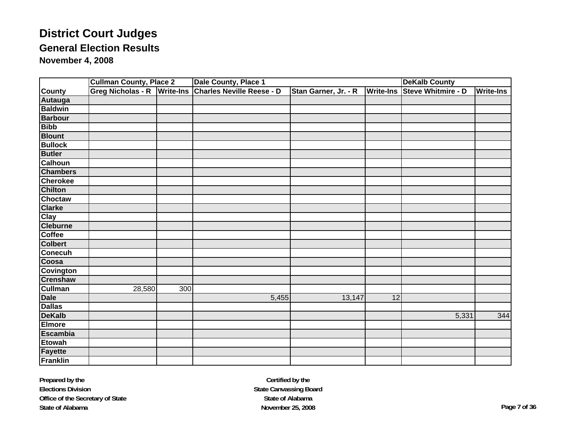|                 | <b>Cullman County, Place 2</b> |                  | Dale County, Place 1             |                      | <b>DeKalb County</b> |                           |                  |
|-----------------|--------------------------------|------------------|----------------------------------|----------------------|----------------------|---------------------------|------------------|
| <b>County</b>   | <b>Greg Nicholas - R</b>       | <b>Write-Ins</b> | <b>Charles Neville Reese - D</b> | Stan Garner, Jr. - R | <b>Write-Ins</b>     | <b>Steve Whitmire - D</b> | <b>Write-Ins</b> |
| <b>Autauga</b>  |                                |                  |                                  |                      |                      |                           |                  |
| <b>Baldwin</b>  |                                |                  |                                  |                      |                      |                           |                  |
| <b>Barbour</b>  |                                |                  |                                  |                      |                      |                           |                  |
| <b>Bibb</b>     |                                |                  |                                  |                      |                      |                           |                  |
| <b>Blount</b>   |                                |                  |                                  |                      |                      |                           |                  |
| <b>Bullock</b>  |                                |                  |                                  |                      |                      |                           |                  |
| <b>Butler</b>   |                                |                  |                                  |                      |                      |                           |                  |
| <b>Calhoun</b>  |                                |                  |                                  |                      |                      |                           |                  |
| <b>Chambers</b> |                                |                  |                                  |                      |                      |                           |                  |
| <b>Cherokee</b> |                                |                  |                                  |                      |                      |                           |                  |
| <b>Chilton</b>  |                                |                  |                                  |                      |                      |                           |                  |
| <b>Choctaw</b>  |                                |                  |                                  |                      |                      |                           |                  |
| <b>Clarke</b>   |                                |                  |                                  |                      |                      |                           |                  |
| <b>Clay</b>     |                                |                  |                                  |                      |                      |                           |                  |
| <b>Cleburne</b> |                                |                  |                                  |                      |                      |                           |                  |
| <b>Coffee</b>   |                                |                  |                                  |                      |                      |                           |                  |
| <b>Colbert</b>  |                                |                  |                                  |                      |                      |                           |                  |
| <b>Conecuh</b>  |                                |                  |                                  |                      |                      |                           |                  |
| Coosa           |                                |                  |                                  |                      |                      |                           |                  |
| Covington       |                                |                  |                                  |                      |                      |                           |                  |
| <b>Crenshaw</b> |                                |                  |                                  |                      |                      |                           |                  |
| <b>Cullman</b>  | 28,580                         | 300              |                                  |                      |                      |                           |                  |
| <b>Dale</b>     |                                |                  | 5,455                            | 13,147               | 12                   |                           |                  |
| <b>Dallas</b>   |                                |                  |                                  |                      |                      |                           |                  |
| <b>DeKalb</b>   |                                |                  |                                  |                      |                      | 5,331                     | 344              |
| <b>Elmore</b>   |                                |                  |                                  |                      |                      |                           |                  |
| <b>Escambia</b> |                                |                  |                                  |                      |                      |                           |                  |
| <b>Etowah</b>   |                                |                  |                                  |                      |                      |                           |                  |
| <b>Fayette</b>  |                                |                  |                                  |                      |                      |                           |                  |
| <b>Franklin</b> |                                |                  |                                  |                      |                      |                           |                  |

**Certified by the State Canvassing Board State of AlabamaNovember 25, 2008 Page 7 of 36**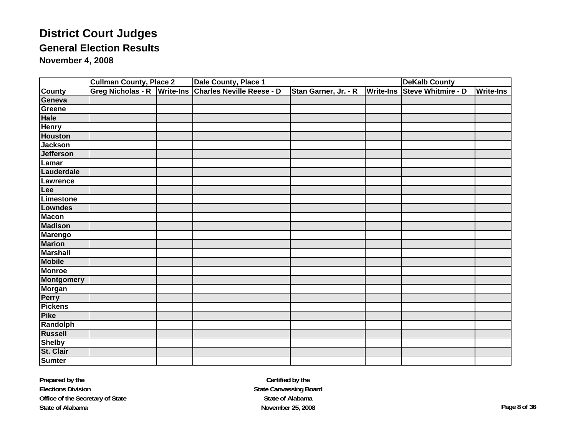|                   | <b>Cullman County, Place 2</b> | Dale County, Place 1                |                      |                  | <b>DeKalb County</b> |                  |  |
|-------------------|--------------------------------|-------------------------------------|----------------------|------------------|----------------------|------------------|--|
| <b>County</b>     | <b>Greg Nicholas - R</b>       | Write-Ins Charles Neville Reese - D | Stan Garner, Jr. - R | <b>Write-Ins</b> | Steve Whitmire - D   | <b>Write-Ins</b> |  |
| Geneva            |                                |                                     |                      |                  |                      |                  |  |
| Greene            |                                |                                     |                      |                  |                      |                  |  |
| <b>Hale</b>       |                                |                                     |                      |                  |                      |                  |  |
| <b>Henry</b>      |                                |                                     |                      |                  |                      |                  |  |
| <b>Houston</b>    |                                |                                     |                      |                  |                      |                  |  |
| <b>Jackson</b>    |                                |                                     |                      |                  |                      |                  |  |
| <b>Jefferson</b>  |                                |                                     |                      |                  |                      |                  |  |
| Lamar             |                                |                                     |                      |                  |                      |                  |  |
| Lauderdale        |                                |                                     |                      |                  |                      |                  |  |
| Lawrence          |                                |                                     |                      |                  |                      |                  |  |
| Lee               |                                |                                     |                      |                  |                      |                  |  |
| Limestone         |                                |                                     |                      |                  |                      |                  |  |
| Lowndes           |                                |                                     |                      |                  |                      |                  |  |
| <b>Macon</b>      |                                |                                     |                      |                  |                      |                  |  |
| <b>Madison</b>    |                                |                                     |                      |                  |                      |                  |  |
| <b>Marengo</b>    |                                |                                     |                      |                  |                      |                  |  |
| <b>Marion</b>     |                                |                                     |                      |                  |                      |                  |  |
| <b>Marshall</b>   |                                |                                     |                      |                  |                      |                  |  |
| <b>Mobile</b>     |                                |                                     |                      |                  |                      |                  |  |
| <b>Monroe</b>     |                                |                                     |                      |                  |                      |                  |  |
| <b>Montgomery</b> |                                |                                     |                      |                  |                      |                  |  |
| <b>Morgan</b>     |                                |                                     |                      |                  |                      |                  |  |
| Perry             |                                |                                     |                      |                  |                      |                  |  |
| <b>Pickens</b>    |                                |                                     |                      |                  |                      |                  |  |
| <b>Pike</b>       |                                |                                     |                      |                  |                      |                  |  |
| <b>Randolph</b>   |                                |                                     |                      |                  |                      |                  |  |
| <b>Russell</b>    |                                |                                     |                      |                  |                      |                  |  |
| <b>Shelby</b>     |                                |                                     |                      |                  |                      |                  |  |
| St. Clair         |                                |                                     |                      |                  |                      |                  |  |
| <b>Sumter</b>     |                                |                                     |                      |                  |                      |                  |  |

**Certified by the State Canvassing Board State of AlabamaNovember 25, 2008 Page 8 of 36**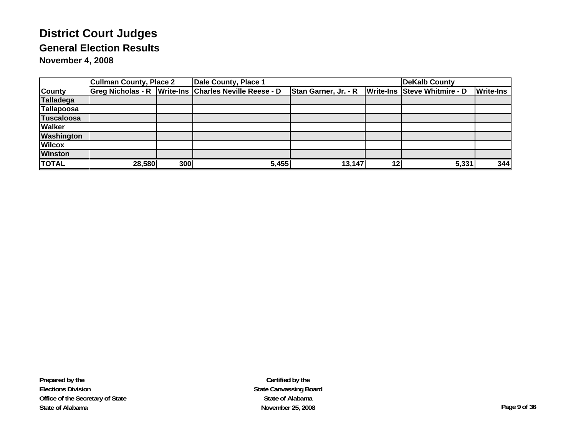|                   | <b>Cullman County, Place 2</b> |     | Dale County, Place 1                                  |                      |    | DeKalb County                |                  |
|-------------------|--------------------------------|-----|-------------------------------------------------------|----------------------|----|------------------------------|------------------|
| <b>County</b>     |                                |     | Greg Nicholas - R Write-Ins Charles Neville Reese - D | Stan Garner, Jr. - R |    | Write-Ins Steve Whitmire - D | <b>Write-Ins</b> |
| <b>Talladega</b>  |                                |     |                                                       |                      |    |                              |                  |
| <b>Tallapoosa</b> |                                |     |                                                       |                      |    |                              |                  |
| <b>Tuscaloosa</b> |                                |     |                                                       |                      |    |                              |                  |
| <b>Walker</b>     |                                |     |                                                       |                      |    |                              |                  |
| <b>Washington</b> |                                |     |                                                       |                      |    |                              |                  |
| <b>Wilcox</b>     |                                |     |                                                       |                      |    |                              |                  |
| <b>Winston</b>    |                                |     |                                                       |                      |    |                              |                  |
| <b>TOTAL</b>      | 28,580                         | 300 | 5,455                                                 | 13,147               | 12 | 5,331                        | 344              |

**Certified by the State Canvassing Board State of AlabamaNovember 25, 2008 Page 9 of 36**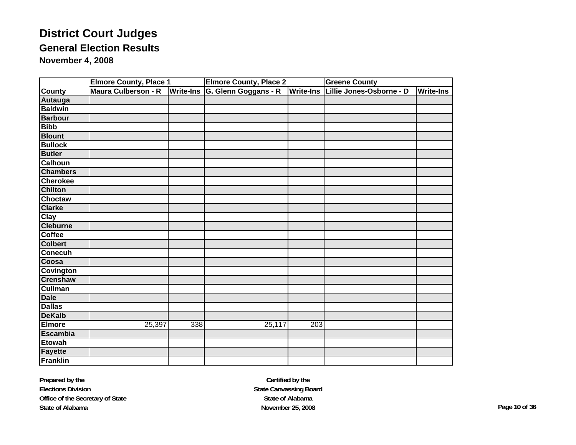|                  | <b>Elmore County, Place 1</b> |                  | <b>Elmore County, Place 2</b> | <b>Greene County</b> |                                    |                  |
|------------------|-------------------------------|------------------|-------------------------------|----------------------|------------------------------------|------------------|
| <b>County</b>    | Maura Culberson - R           | <b>Write-Ins</b> | G. Glenn Goggans - R          |                      | Write-Ins Lillie Jones-Osborne - D | <b>Write-Ins</b> |
| Autauga          |                               |                  |                               |                      |                                    |                  |
| <b>Baldwin</b>   |                               |                  |                               |                      |                                    |                  |
| <b>Barbour</b>   |                               |                  |                               |                      |                                    |                  |
| <b>Bibb</b>      |                               |                  |                               |                      |                                    |                  |
| <b>Blount</b>    |                               |                  |                               |                      |                                    |                  |
| <b>Bullock</b>   |                               |                  |                               |                      |                                    |                  |
| <b>Butler</b>    |                               |                  |                               |                      |                                    |                  |
| <b>Calhoun</b>   |                               |                  |                               |                      |                                    |                  |
| <b>Chambers</b>  |                               |                  |                               |                      |                                    |                  |
| <b>Cherokee</b>  |                               |                  |                               |                      |                                    |                  |
| <b>Chilton</b>   |                               |                  |                               |                      |                                    |                  |
| <b>Choctaw</b>   |                               |                  |                               |                      |                                    |                  |
| <b>Clarke</b>    |                               |                  |                               |                      |                                    |                  |
| <b>Clay</b>      |                               |                  |                               |                      |                                    |                  |
| <b>Cleburne</b>  |                               |                  |                               |                      |                                    |                  |
| <b>Coffee</b>    |                               |                  |                               |                      |                                    |                  |
| <b>Colbert</b>   |                               |                  |                               |                      |                                    |                  |
| <b>Conecuh</b>   |                               |                  |                               |                      |                                    |                  |
| Coosa            |                               |                  |                               |                      |                                    |                  |
| <b>Covington</b> |                               |                  |                               |                      |                                    |                  |
| <b>Crenshaw</b>  |                               |                  |                               |                      |                                    |                  |
| <b>Cullman</b>   |                               |                  |                               |                      |                                    |                  |
| <b>Dale</b>      |                               |                  |                               |                      |                                    |                  |
| <b>Dallas</b>    |                               |                  |                               |                      |                                    |                  |
| <b>DeKalb</b>    |                               |                  |                               |                      |                                    |                  |
| <b>Elmore</b>    | 25,397                        | 338              | 25,117                        | 203                  |                                    |                  |
| <b>Escambia</b>  |                               |                  |                               |                      |                                    |                  |
| <b>Etowah</b>    |                               |                  |                               |                      |                                    |                  |
| <b>Fayette</b>   |                               |                  |                               |                      |                                    |                  |
| <b>Franklin</b>  |                               |                  |                               |                      |                                    |                  |

**Certified by the State Canvassing Board State of AlabamaNovember 25, 2008 Page 10 of 36**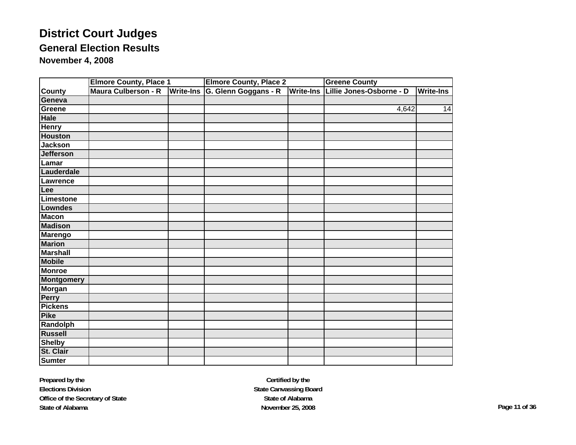|                   | <b>Elmore County, Place 1</b> |                  | <b>Elmore County, Place 2</b> |                  | <b>Greene County</b>     |                  |
|-------------------|-------------------------------|------------------|-------------------------------|------------------|--------------------------|------------------|
| <b>County</b>     | Maura Culberson - R           | <b>Write-Ins</b> | G. Glenn Goggans - R          | <b>Write-Ins</b> | Lillie Jones-Osborne - D | <b>Write-Ins</b> |
| Geneva            |                               |                  |                               |                  |                          |                  |
| Greene            |                               |                  |                               |                  | 4,642                    | 14               |
| <b>Hale</b>       |                               |                  |                               |                  |                          |                  |
| <b>Henry</b>      |                               |                  |                               |                  |                          |                  |
| <b>Houston</b>    |                               |                  |                               |                  |                          |                  |
| <b>Jackson</b>    |                               |                  |                               |                  |                          |                  |
| <b>Jefferson</b>  |                               |                  |                               |                  |                          |                  |
| Lamar             |                               |                  |                               |                  |                          |                  |
| Lauderdale        |                               |                  |                               |                  |                          |                  |
| Lawrence          |                               |                  |                               |                  |                          |                  |
| Lee               |                               |                  |                               |                  |                          |                  |
| Limestone         |                               |                  |                               |                  |                          |                  |
| <b>Lowndes</b>    |                               |                  |                               |                  |                          |                  |
| <b>Macon</b>      |                               |                  |                               |                  |                          |                  |
| <b>Madison</b>    |                               |                  |                               |                  |                          |                  |
| <b>Marengo</b>    |                               |                  |                               |                  |                          |                  |
| <b>Marion</b>     |                               |                  |                               |                  |                          |                  |
| <b>Marshall</b>   |                               |                  |                               |                  |                          |                  |
| <b>Mobile</b>     |                               |                  |                               |                  |                          |                  |
| <b>Monroe</b>     |                               |                  |                               |                  |                          |                  |
| <b>Montgomery</b> |                               |                  |                               |                  |                          |                  |
| <b>Morgan</b>     |                               |                  |                               |                  |                          |                  |
| <b>Perry</b>      |                               |                  |                               |                  |                          |                  |
| <b>Pickens</b>    |                               |                  |                               |                  |                          |                  |
| <b>Pike</b>       |                               |                  |                               |                  |                          |                  |
| Randolph          |                               |                  |                               |                  |                          |                  |
| <b>Russell</b>    |                               |                  |                               |                  |                          |                  |
| <b>Shelby</b>     |                               |                  |                               |                  |                          |                  |
| St. Clair         |                               |                  |                               |                  |                          |                  |
| <b>Sumter</b>     |                               |                  |                               |                  |                          |                  |

**Certified by the State Canvassing Board State of AlabamaNovember 25, 2008 Page 11 of 36**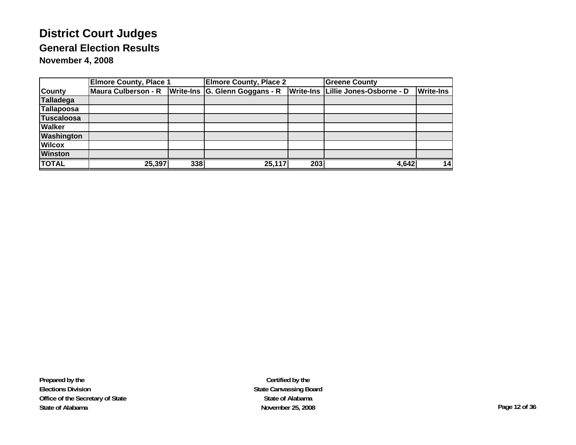|                   | <b>Elmore County, Place 1</b> |     | <b>Elmore County, Place 2</b>  |     | <b>Greene County</b>               |                  |
|-------------------|-------------------------------|-----|--------------------------------|-----|------------------------------------|------------------|
| <b>County</b>     | <b>Maura Culberson - R</b>    |     | Write-Ins G. Glenn Goggans - R |     | Write-Ins Lillie Jones-Osborne - D | <b>Write-Ins</b> |
| <b>Talladega</b>  |                               |     |                                |     |                                    |                  |
| Tallapoosa        |                               |     |                                |     |                                    |                  |
| <b>Tuscaloosa</b> |                               |     |                                |     |                                    |                  |
| <b>Walker</b>     |                               |     |                                |     |                                    |                  |
| <b>Washington</b> |                               |     |                                |     |                                    |                  |
| <b>Wilcox</b>     |                               |     |                                |     |                                    |                  |
| <b>Winston</b>    |                               |     |                                |     |                                    |                  |
| <b>TOTAL</b>      | 25,397                        | 338 | 25,117                         | 203 | 4,642                              | 14               |

**Prepared by the Elections Division Office of the Secretary of State State of Alabama**

**Certified by the State Canvassing Board State of AlabamaNovember 25, 2008 Page 12 of 36**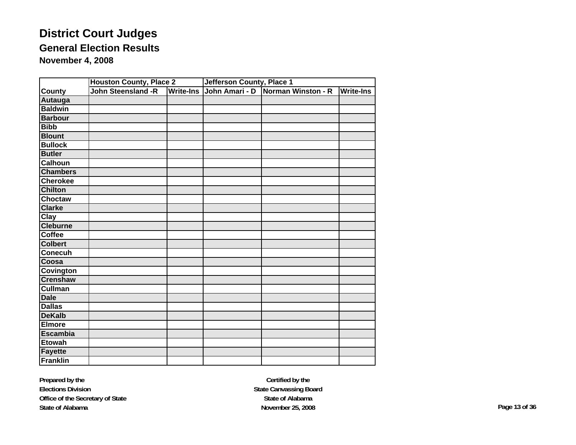|                 | <b>Houston County, Place 2</b> |                  | Jefferson County, Place 1 |                    |                  |  |
|-----------------|--------------------------------|------------------|---------------------------|--------------------|------------------|--|
| <b>County</b>   | John Steensland -R             | <b>Write-Ins</b> | John Amari - D            | Norman Winston - R | <b>Write-Ins</b> |  |
| Autauga         |                                |                  |                           |                    |                  |  |
| <b>Baldwin</b>  |                                |                  |                           |                    |                  |  |
| <b>Barbour</b>  |                                |                  |                           |                    |                  |  |
| <b>Bibb</b>     |                                |                  |                           |                    |                  |  |
| <b>Blount</b>   |                                |                  |                           |                    |                  |  |
| <b>Bullock</b>  |                                |                  |                           |                    |                  |  |
| <b>Butler</b>   |                                |                  |                           |                    |                  |  |
| <b>Calhoun</b>  |                                |                  |                           |                    |                  |  |
| <b>Chambers</b> |                                |                  |                           |                    |                  |  |
| <b>Cherokee</b> |                                |                  |                           |                    |                  |  |
| <b>Chilton</b>  |                                |                  |                           |                    |                  |  |
| <b>Choctaw</b>  |                                |                  |                           |                    |                  |  |
| <b>Clarke</b>   |                                |                  |                           |                    |                  |  |
| Clay            |                                |                  |                           |                    |                  |  |
| <b>Cleburne</b> |                                |                  |                           |                    |                  |  |
| <b>Coffee</b>   |                                |                  |                           |                    |                  |  |
| <b>Colbert</b>  |                                |                  |                           |                    |                  |  |
| Conecuh         |                                |                  |                           |                    |                  |  |
| Coosa           |                                |                  |                           |                    |                  |  |
| Covington       |                                |                  |                           |                    |                  |  |
| <b>Crenshaw</b> |                                |                  |                           |                    |                  |  |
| <b>Cullman</b>  |                                |                  |                           |                    |                  |  |
| <b>Dale</b>     |                                |                  |                           |                    |                  |  |
| <b>Dallas</b>   |                                |                  |                           |                    |                  |  |
| <b>DeKalb</b>   |                                |                  |                           |                    |                  |  |
| <b>Elmore</b>   |                                |                  |                           |                    |                  |  |
| <b>Escambia</b> |                                |                  |                           |                    |                  |  |
| <b>Etowah</b>   |                                |                  |                           |                    |                  |  |
| <b>Fayette</b>  |                                |                  |                           |                    |                  |  |
| <b>Franklin</b> |                                |                  |                           |                    |                  |  |

**Prepared by the Elections Division Office of the Secretary of State State of Alabama**

**Certified by the State Canvassing Board State of AlabamaNovember 25, 2008 Page 13 of 36**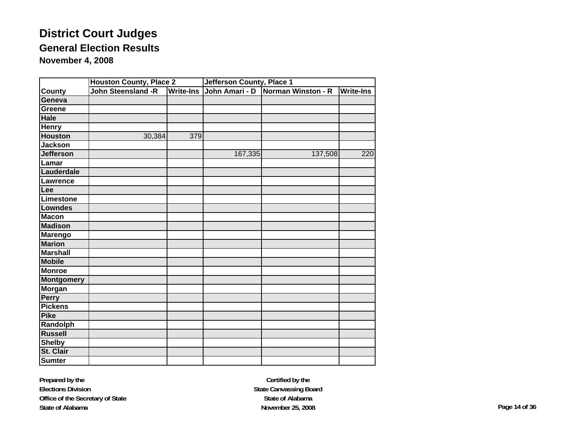|                   | <b>Houston County, Place 2</b> |                  | <b>Jefferson County, Place 1</b> |                                   |           |  |
|-------------------|--------------------------------|------------------|----------------------------------|-----------------------------------|-----------|--|
| <b>County</b>     | John Steensland -R             | <b>Write-Ins</b> |                                  | John Amari - D Norman Winston - R | Write-Ins |  |
| Geneva            |                                |                  |                                  |                                   |           |  |
| Greene            |                                |                  |                                  |                                   |           |  |
| <b>Hale</b>       |                                |                  |                                  |                                   |           |  |
| <b>Henry</b>      |                                |                  |                                  |                                   |           |  |
| <b>Houston</b>    | 30,384                         | 379              |                                  |                                   |           |  |
| <b>Jackson</b>    |                                |                  |                                  |                                   |           |  |
| <b>Jefferson</b>  |                                |                  | 167,335                          | 137,508                           | 220       |  |
| Lamar             |                                |                  |                                  |                                   |           |  |
| Lauderdale        |                                |                  |                                  |                                   |           |  |
| Lawrence          |                                |                  |                                  |                                   |           |  |
| Lee               |                                |                  |                                  |                                   |           |  |
| <b>Limestone</b>  |                                |                  |                                  |                                   |           |  |
| Lowndes           |                                |                  |                                  |                                   |           |  |
| <b>Macon</b>      |                                |                  |                                  |                                   |           |  |
| <b>Madison</b>    |                                |                  |                                  |                                   |           |  |
| <b>Marengo</b>    |                                |                  |                                  |                                   |           |  |
| <b>Marion</b>     |                                |                  |                                  |                                   |           |  |
| <b>Marshall</b>   |                                |                  |                                  |                                   |           |  |
| <b>Mobile</b>     |                                |                  |                                  |                                   |           |  |
| <b>Monroe</b>     |                                |                  |                                  |                                   |           |  |
| <b>Montgomery</b> |                                |                  |                                  |                                   |           |  |
| <b>Morgan</b>     |                                |                  |                                  |                                   |           |  |
| Perry             |                                |                  |                                  |                                   |           |  |
| <b>Pickens</b>    |                                |                  |                                  |                                   |           |  |
| <b>Pike</b>       |                                |                  |                                  |                                   |           |  |
| Randolph          |                                |                  |                                  |                                   |           |  |
| <b>Russell</b>    |                                |                  |                                  |                                   |           |  |
| <b>Shelby</b>     |                                |                  |                                  |                                   |           |  |
| St. Clair         |                                |                  |                                  |                                   |           |  |
| <b>Sumter</b>     |                                |                  |                                  |                                   |           |  |

**Prepared by the Elections Division Office of the Secretary of State State of Alabama**

**Certified by the State Canvassing Board State of AlabamaNovember 25, 2008 Page 14 of 36**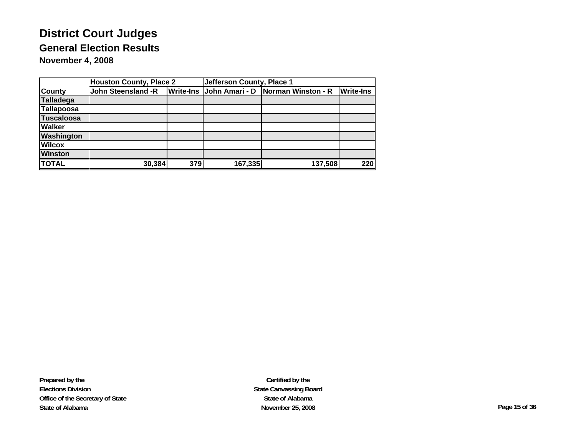|                   | <b>Houston County, Place 2</b> |                  | Jefferson County, Place 1 |                                     |                  |  |  |
|-------------------|--------------------------------|------------------|---------------------------|-------------------------------------|------------------|--|--|
| <b>County</b>     | John Steensland -R             | <b>Write-Ins</b> |                           | John Amari - D   Norman Winston - R | <b>Write-Ins</b> |  |  |
| <b>Talladega</b>  |                                |                  |                           |                                     |                  |  |  |
| Tallapoosa        |                                |                  |                           |                                     |                  |  |  |
| <b>Tuscaloosa</b> |                                |                  |                           |                                     |                  |  |  |
| <b>Walker</b>     |                                |                  |                           |                                     |                  |  |  |
| Washington        |                                |                  |                           |                                     |                  |  |  |
| <b>Wilcox</b>     |                                |                  |                           |                                     |                  |  |  |
| <b>Winston</b>    |                                |                  |                           |                                     |                  |  |  |
| <b>TOTAL</b>      | 30,384                         | 379              | 167,335                   | 137,508                             | $\overline{220}$ |  |  |

**Certified by the State Canvassing Board State of AlabamaNovember 25, 2008 Page 15 of 36**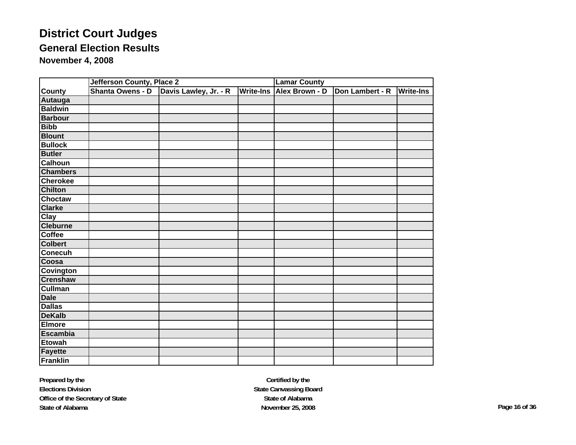|                  | Jefferson County, Place 2 |                       |                  | <b>Lamar County</b> |                 |                  |  |
|------------------|---------------------------|-----------------------|------------------|---------------------|-----------------|------------------|--|
| <b>County</b>    | Shanta Owens - D          | Davis Lawley, Jr. - R | <b>Write-Ins</b> | Alex Brown - D      | Don Lambert - R | <b>Write-Ins</b> |  |
| Autauga          |                           |                       |                  |                     |                 |                  |  |
| <b>Baldwin</b>   |                           |                       |                  |                     |                 |                  |  |
| <b>Barbour</b>   |                           |                       |                  |                     |                 |                  |  |
| <b>Bibb</b>      |                           |                       |                  |                     |                 |                  |  |
| <b>Blount</b>    |                           |                       |                  |                     |                 |                  |  |
| <b>Bullock</b>   |                           |                       |                  |                     |                 |                  |  |
| <b>Butler</b>    |                           |                       |                  |                     |                 |                  |  |
| <b>Calhoun</b>   |                           |                       |                  |                     |                 |                  |  |
| <b>Chambers</b>  |                           |                       |                  |                     |                 |                  |  |
| <b>Cherokee</b>  |                           |                       |                  |                     |                 |                  |  |
| <b>Chilton</b>   |                           |                       |                  |                     |                 |                  |  |
| Choctaw          |                           |                       |                  |                     |                 |                  |  |
| <b>Clarke</b>    |                           |                       |                  |                     |                 |                  |  |
| <b>Clay</b>      |                           |                       |                  |                     |                 |                  |  |
| <b>Cleburne</b>  |                           |                       |                  |                     |                 |                  |  |
| <b>Coffee</b>    |                           |                       |                  |                     |                 |                  |  |
| <b>Colbert</b>   |                           |                       |                  |                     |                 |                  |  |
| <b>Conecuh</b>   |                           |                       |                  |                     |                 |                  |  |
| Coosa            |                           |                       |                  |                     |                 |                  |  |
| <b>Covington</b> |                           |                       |                  |                     |                 |                  |  |
| <b>Crenshaw</b>  |                           |                       |                  |                     |                 |                  |  |
| <b>Cullman</b>   |                           |                       |                  |                     |                 |                  |  |
| <b>Dale</b>      |                           |                       |                  |                     |                 |                  |  |
| <b>Dallas</b>    |                           |                       |                  |                     |                 |                  |  |
| <b>DeKalb</b>    |                           |                       |                  |                     |                 |                  |  |
| <b>Elmore</b>    |                           |                       |                  |                     |                 |                  |  |
| <b>Escambia</b>  |                           |                       |                  |                     |                 |                  |  |
| <b>Etowah</b>    |                           |                       |                  |                     |                 |                  |  |
| <b>Fayette</b>   |                           |                       |                  |                     |                 |                  |  |
| Franklin         |                           |                       |                  |                     |                 |                  |  |

**Prepared by the Elections Division Office of the Secretary of State State of Alabama**

**Certified by the State Canvassing Board State of AlabamaNovember 25, 2008 Page 16 of 36**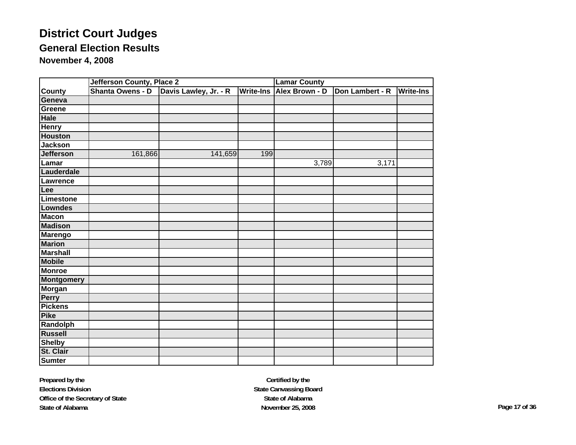|                   | Jefferson County, Place 2 |                       |                  | <b>Lamar County</b>   |                 |                  |  |
|-------------------|---------------------------|-----------------------|------------------|-----------------------|-----------------|------------------|--|
| County            | Shanta Owens - D          | Davis Lawley, Jr. - R | <b>Write-Ins</b> | <b>Alex Brown - D</b> | Don Lambert - R | <b>Write-Ins</b> |  |
| Geneva            |                           |                       |                  |                       |                 |                  |  |
| Greene            |                           |                       |                  |                       |                 |                  |  |
| <b>Hale</b>       |                           |                       |                  |                       |                 |                  |  |
| <b>Henry</b>      |                           |                       |                  |                       |                 |                  |  |
| <b>Houston</b>    |                           |                       |                  |                       |                 |                  |  |
| <b>Jackson</b>    |                           |                       |                  |                       |                 |                  |  |
| <b>Jefferson</b>  | 161,866                   | 141,659               | 199              |                       |                 |                  |  |
| Lamar             |                           |                       |                  | 3,789                 | 3,171           |                  |  |
| Lauderdale        |                           |                       |                  |                       |                 |                  |  |
| Lawrence          |                           |                       |                  |                       |                 |                  |  |
| Lee               |                           |                       |                  |                       |                 |                  |  |
| Limestone         |                           |                       |                  |                       |                 |                  |  |
| <b>Lowndes</b>    |                           |                       |                  |                       |                 |                  |  |
| <b>Macon</b>      |                           |                       |                  |                       |                 |                  |  |
| <b>Madison</b>    |                           |                       |                  |                       |                 |                  |  |
| <b>Marengo</b>    |                           |                       |                  |                       |                 |                  |  |
| <b>Marion</b>     |                           |                       |                  |                       |                 |                  |  |
| <b>Marshall</b>   |                           |                       |                  |                       |                 |                  |  |
| <b>Mobile</b>     |                           |                       |                  |                       |                 |                  |  |
| <b>Monroe</b>     |                           |                       |                  |                       |                 |                  |  |
| <b>Montgomery</b> |                           |                       |                  |                       |                 |                  |  |
| <b>Morgan</b>     |                           |                       |                  |                       |                 |                  |  |
| Perry             |                           |                       |                  |                       |                 |                  |  |
| <b>Pickens</b>    |                           |                       |                  |                       |                 |                  |  |
| <b>Pike</b>       |                           |                       |                  |                       |                 |                  |  |
| Randolph          |                           |                       |                  |                       |                 |                  |  |
| <b>Russell</b>    |                           |                       |                  |                       |                 |                  |  |
| <b>Shelby</b>     |                           |                       |                  |                       |                 |                  |  |
| St. Clair         |                           |                       |                  |                       |                 |                  |  |
| <b>Sumter</b>     |                           |                       |                  |                       |                 |                  |  |

**Prepared by the Elections Division Office of the Secretary of State State of Alabama**

**Certified by the State Canvassing Board State of AlabamaNovember 25, 2008 Page 17 of 36**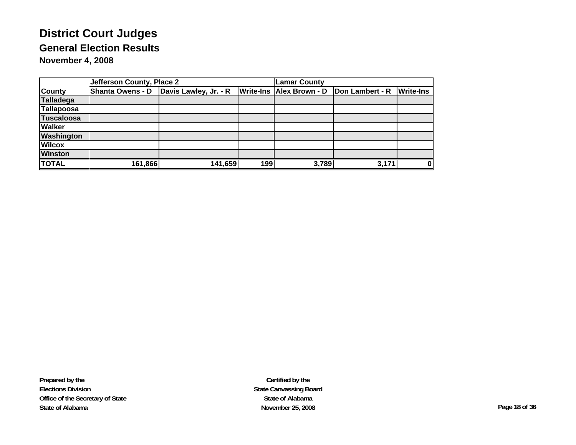|                   | Jefferson County, Place 2 |                                          |     | <b>Lamar County</b>             |                 |                  |  |
|-------------------|---------------------------|------------------------------------------|-----|---------------------------------|-----------------|------------------|--|
| <b>County</b>     |                           | Shanta Owens - D   Davis Lawley, Jr. - R |     | <b>Write-Ins Alex Brown - D</b> | Don Lambert - R | <b>Write-Ins</b> |  |
| Talladega         |                           |                                          |     |                                 |                 |                  |  |
| Tallapoosa        |                           |                                          |     |                                 |                 |                  |  |
| <b>Tuscaloosa</b> |                           |                                          |     |                                 |                 |                  |  |
| <b>Walker</b>     |                           |                                          |     |                                 |                 |                  |  |
| <b>Washington</b> |                           |                                          |     |                                 |                 |                  |  |
| <b>Wilcox</b>     |                           |                                          |     |                                 |                 |                  |  |
| <b>Winston</b>    |                           |                                          |     |                                 |                 |                  |  |
| <b>TOTAL</b>      | 161,866                   | 141,659                                  | 199 | 3,789                           | 3,17'           | Οl               |  |

**Prepared by the Elections Division Office of the Secretary of State State of Alabama**

**Certified by the State Canvassing Board State of AlabamaNovember 25, 2008 Page 18 of 36**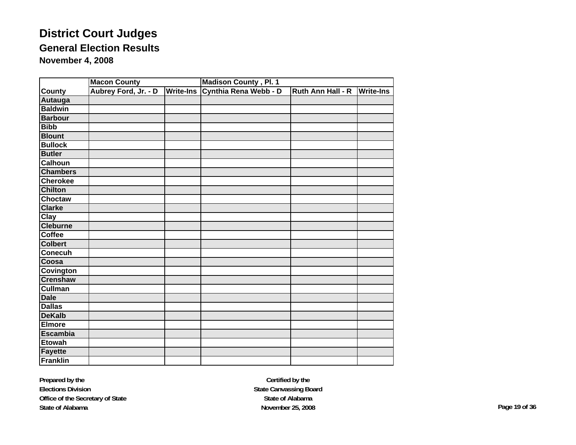|                  | <b>Macon County</b>  |                  | <b>Madison County, Pl. 1</b> |                   |                  |
|------------------|----------------------|------------------|------------------------------|-------------------|------------------|
| <b>County</b>    | Aubrey Ford, Jr. - D | <b>Write-Ins</b> | Cynthia Rena Webb - D        | Ruth Ann Hall - R | <b>Write-Ins</b> |
| Autauga          |                      |                  |                              |                   |                  |
| <b>Baldwin</b>   |                      |                  |                              |                   |                  |
| <b>Barbour</b>   |                      |                  |                              |                   |                  |
| <b>Bibb</b>      |                      |                  |                              |                   |                  |
| <b>Blount</b>    |                      |                  |                              |                   |                  |
| <b>Bullock</b>   |                      |                  |                              |                   |                  |
| <b>Butler</b>    |                      |                  |                              |                   |                  |
| <b>Calhoun</b>   |                      |                  |                              |                   |                  |
| <b>Chambers</b>  |                      |                  |                              |                   |                  |
| <b>Cherokee</b>  |                      |                  |                              |                   |                  |
| <b>Chilton</b>   |                      |                  |                              |                   |                  |
| Choctaw          |                      |                  |                              |                   |                  |
| <b>Clarke</b>    |                      |                  |                              |                   |                  |
| Clay             |                      |                  |                              |                   |                  |
| <b>Cleburne</b>  |                      |                  |                              |                   |                  |
| <b>Coffee</b>    |                      |                  |                              |                   |                  |
| <b>Colbert</b>   |                      |                  |                              |                   |                  |
| <b>Conecuh</b>   |                      |                  |                              |                   |                  |
| Coosa            |                      |                  |                              |                   |                  |
| <b>Covington</b> |                      |                  |                              |                   |                  |
| <b>Crenshaw</b>  |                      |                  |                              |                   |                  |
| <b>Cullman</b>   |                      |                  |                              |                   |                  |
| <b>Dale</b>      |                      |                  |                              |                   |                  |
| <b>Dallas</b>    |                      |                  |                              |                   |                  |
| <b>DeKalb</b>    |                      |                  |                              |                   |                  |
| <b>Elmore</b>    |                      |                  |                              |                   |                  |
| <b>Escambia</b>  |                      |                  |                              |                   |                  |
| <b>Etowah</b>    |                      |                  |                              |                   |                  |
| <b>Fayette</b>   |                      |                  |                              |                   |                  |
| Franklin         |                      |                  |                              |                   |                  |

**Prepared by the Elections Division Office of the Secretary of State State of Alabama**

**Certified by the State Canvassing Board State of AlabamaNovember 25, 2008 Page 19 of 36**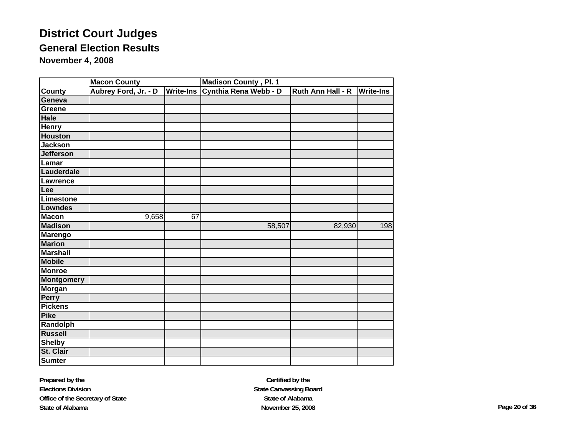|                   | Madison County, Pl. 1<br><b>Macon County</b> |                  |                       |                   |                  |  |
|-------------------|----------------------------------------------|------------------|-----------------------|-------------------|------------------|--|
| <b>County</b>     | Aubrey Ford, Jr. - D                         | <b>Write-Ins</b> | Cynthia Rena Webb - D | Ruth Ann Hall - R | <b>Write-Ins</b> |  |
| Geneva            |                                              |                  |                       |                   |                  |  |
| Greene            |                                              |                  |                       |                   |                  |  |
| Hale              |                                              |                  |                       |                   |                  |  |
| <b>Henry</b>      |                                              |                  |                       |                   |                  |  |
| <b>Houston</b>    |                                              |                  |                       |                   |                  |  |
| <b>Jackson</b>    |                                              |                  |                       |                   |                  |  |
| <b>Jefferson</b>  |                                              |                  |                       |                   |                  |  |
| Lamar             |                                              |                  |                       |                   |                  |  |
| Lauderdale        |                                              |                  |                       |                   |                  |  |
| Lawrence          |                                              |                  |                       |                   |                  |  |
| Lee               |                                              |                  |                       |                   |                  |  |
| Limestone         |                                              |                  |                       |                   |                  |  |
| Lowndes           |                                              |                  |                       |                   |                  |  |
| <b>Macon</b>      | 9,658                                        | 67               |                       |                   |                  |  |
| <b>Madison</b>    |                                              |                  | 58,507                | 82,930            | 198              |  |
| <b>Marengo</b>    |                                              |                  |                       |                   |                  |  |
| <b>Marion</b>     |                                              |                  |                       |                   |                  |  |
| <b>Marshall</b>   |                                              |                  |                       |                   |                  |  |
| <b>Mobile</b>     |                                              |                  |                       |                   |                  |  |
| <b>Monroe</b>     |                                              |                  |                       |                   |                  |  |
| <b>Montgomery</b> |                                              |                  |                       |                   |                  |  |
| <b>Morgan</b>     |                                              |                  |                       |                   |                  |  |
| <b>Perry</b>      |                                              |                  |                       |                   |                  |  |
| <b>Pickens</b>    |                                              |                  |                       |                   |                  |  |
| <b>Pike</b>       |                                              |                  |                       |                   |                  |  |
| Randolph          |                                              |                  |                       |                   |                  |  |
| <b>Russell</b>    |                                              |                  |                       |                   |                  |  |
| <b>Shelby</b>     |                                              |                  |                       |                   |                  |  |
| St. Clair         |                                              |                  |                       |                   |                  |  |
| <b>Sumter</b>     |                                              |                  |                       |                   |                  |  |

**Prepared by the Elections Division Office of the Secretary of State State of Alabama**

**Certified by the State Canvassing Board State of AlabamaNovember 25, 2008 Page 20 of 36**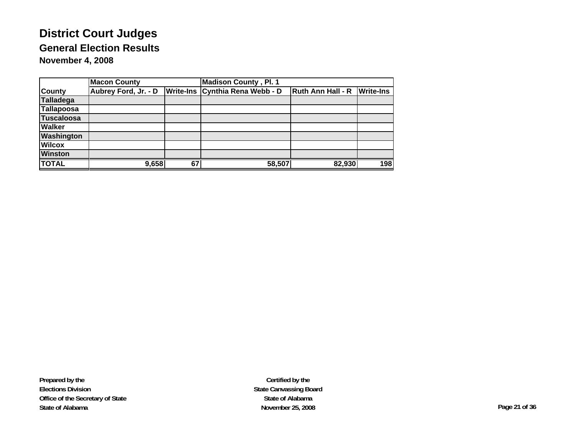|                   | <b>Macon County</b>  |    | <b>Madison County, Pl. 1</b>      |                          |                  |
|-------------------|----------------------|----|-----------------------------------|--------------------------|------------------|
| <b>County</b>     | Aubrey Ford, Jr. - D |    | Write-Ins   Cynthia Rena Webb - D | <b>Ruth Ann Hall - R</b> | <b>Write-Ins</b> |
| Talladega         |                      |    |                                   |                          |                  |
| Tallapoosa        |                      |    |                                   |                          |                  |
| <b>Tuscaloosa</b> |                      |    |                                   |                          |                  |
| <b>Walker</b>     |                      |    |                                   |                          |                  |
| <b>Washington</b> |                      |    |                                   |                          |                  |
| <b>Wilcox</b>     |                      |    |                                   |                          |                  |
| <b>Winston</b>    |                      |    |                                   |                          |                  |
| <b>TOTAL</b>      | 9,658                | 67 | 58,507                            | 82,930                   | 198              |

**Prepared by the Elections Division Office of the Secretary of State State of Alabama**

**Certified by the State Canvassing Board State of AlabamaNovember 25, 2008 Page 21 of 36**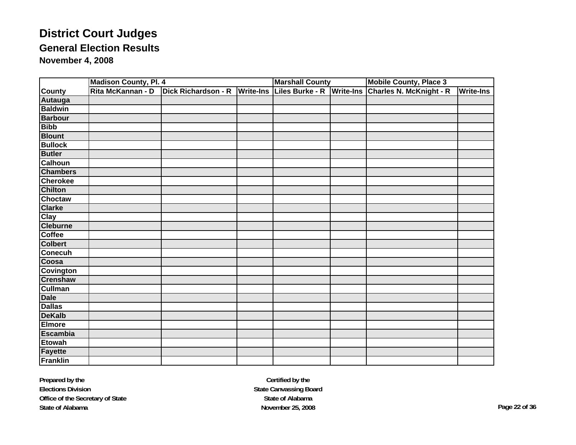|                  | <b>Madison County, Pl. 4</b> |                               |  | <b>Marshall County</b>    | <b>Mobile County, Place 3</b> |                  |  |
|------------------|------------------------------|-------------------------------|--|---------------------------|-------------------------------|------------------|--|
| <b>County</b>    | Rita McKannan - D            | Dick Richardson - R Write-Ins |  | Liles Burke - R Write-Ins | Charles N. McKnight - R       | <b>Write-Ins</b> |  |
| Autauga          |                              |                               |  |                           |                               |                  |  |
| <b>Baldwin</b>   |                              |                               |  |                           |                               |                  |  |
| <b>Barbour</b>   |                              |                               |  |                           |                               |                  |  |
| <b>Bibb</b>      |                              |                               |  |                           |                               |                  |  |
| <b>Blount</b>    |                              |                               |  |                           |                               |                  |  |
| <b>Bullock</b>   |                              |                               |  |                           |                               |                  |  |
| <b>Butler</b>    |                              |                               |  |                           |                               |                  |  |
| <b>Calhoun</b>   |                              |                               |  |                           |                               |                  |  |
| <b>Chambers</b>  |                              |                               |  |                           |                               |                  |  |
| <b>Cherokee</b>  |                              |                               |  |                           |                               |                  |  |
| <b>Chilton</b>   |                              |                               |  |                           |                               |                  |  |
| <b>Choctaw</b>   |                              |                               |  |                           |                               |                  |  |
| <b>Clarke</b>    |                              |                               |  |                           |                               |                  |  |
| <b>Clay</b>      |                              |                               |  |                           |                               |                  |  |
| <b>Cleburne</b>  |                              |                               |  |                           |                               |                  |  |
| <b>Coffee</b>    |                              |                               |  |                           |                               |                  |  |
| <b>Colbert</b>   |                              |                               |  |                           |                               |                  |  |
| <b>Conecuh</b>   |                              |                               |  |                           |                               |                  |  |
| Coosa            |                              |                               |  |                           |                               |                  |  |
| <b>Covington</b> |                              |                               |  |                           |                               |                  |  |
| <b>Crenshaw</b>  |                              |                               |  |                           |                               |                  |  |
| <b>Cullman</b>   |                              |                               |  |                           |                               |                  |  |
| <b>Dale</b>      |                              |                               |  |                           |                               |                  |  |
| <b>Dallas</b>    |                              |                               |  |                           |                               |                  |  |
| <b>DeKalb</b>    |                              |                               |  |                           |                               |                  |  |
| <b>Elmore</b>    |                              |                               |  |                           |                               |                  |  |
| <b>Escambia</b>  |                              |                               |  |                           |                               |                  |  |
| <b>Etowah</b>    |                              |                               |  |                           |                               |                  |  |
| <b>Fayette</b>   |                              |                               |  |                           |                               |                  |  |
| <b>Franklin</b>  |                              |                               |  |                           |                               |                  |  |

**Prepared by the Elections Division Office of the Secretary of State State of Alabama**

**Certified by the State Canvassing Board State of AlabamaNovember 25, 2008 Page 22 of 36**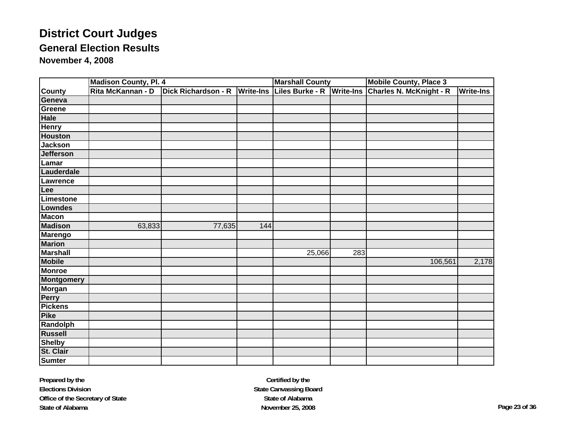|                   | <b>Madison County, Pl. 4</b> |                               |     | <b>Marshall County</b> |                  | <b>Mobile County, Place 3</b> |                  |
|-------------------|------------------------------|-------------------------------|-----|------------------------|------------------|-------------------------------|------------------|
| <b>County</b>     | Rita McKannan - D            | Dick Richardson - R Write-Ins |     | Liles Burke - R        | <b>Write-Ins</b> | Charles N. McKnight - R       | <b>Write-Ins</b> |
| Geneva            |                              |                               |     |                        |                  |                               |                  |
| Greene            |                              |                               |     |                        |                  |                               |                  |
| <b>Hale</b>       |                              |                               |     |                        |                  |                               |                  |
| <b>Henry</b>      |                              |                               |     |                        |                  |                               |                  |
| <b>Houston</b>    |                              |                               |     |                        |                  |                               |                  |
| <b>Jackson</b>    |                              |                               |     |                        |                  |                               |                  |
| <b>Jefferson</b>  |                              |                               |     |                        |                  |                               |                  |
| Lamar             |                              |                               |     |                        |                  |                               |                  |
| Lauderdale        |                              |                               |     |                        |                  |                               |                  |
| Lawrence          |                              |                               |     |                        |                  |                               |                  |
| Lee               |                              |                               |     |                        |                  |                               |                  |
| <b>Limestone</b>  |                              |                               |     |                        |                  |                               |                  |
| <b>Lowndes</b>    |                              |                               |     |                        |                  |                               |                  |
| <b>Macon</b>      |                              |                               |     |                        |                  |                               |                  |
| <b>Madison</b>    | 63,833                       | 77,635                        | 144 |                        |                  |                               |                  |
| <b>Marengo</b>    |                              |                               |     |                        |                  |                               |                  |
| <b>Marion</b>     |                              |                               |     |                        |                  |                               |                  |
| <b>Marshall</b>   |                              |                               |     | 25,066                 | 283              |                               |                  |
| <b>Mobile</b>     |                              |                               |     |                        |                  | 106,561                       | 2,178            |
| <b>Monroe</b>     |                              |                               |     |                        |                  |                               |                  |
| <b>Montgomery</b> |                              |                               |     |                        |                  |                               |                  |
| <b>Morgan</b>     |                              |                               |     |                        |                  |                               |                  |
| <b>Perry</b>      |                              |                               |     |                        |                  |                               |                  |
| <b>Pickens</b>    |                              |                               |     |                        |                  |                               |                  |
| <b>Pike</b>       |                              |                               |     |                        |                  |                               |                  |
| Randolph          |                              |                               |     |                        |                  |                               |                  |
| <b>Russell</b>    |                              |                               |     |                        |                  |                               |                  |
| <b>Shelby</b>     |                              |                               |     |                        |                  |                               |                  |
| St. Clair         |                              |                               |     |                        |                  |                               |                  |
| <b>Sumter</b>     |                              |                               |     |                        |                  |                               |                  |

**Prepared by the Elections Division Office of the Secretary of State State of Alabama**

**Certified by the State Canvassing Board State of AlabamaNovember 25, 2008 Page 23 of 36**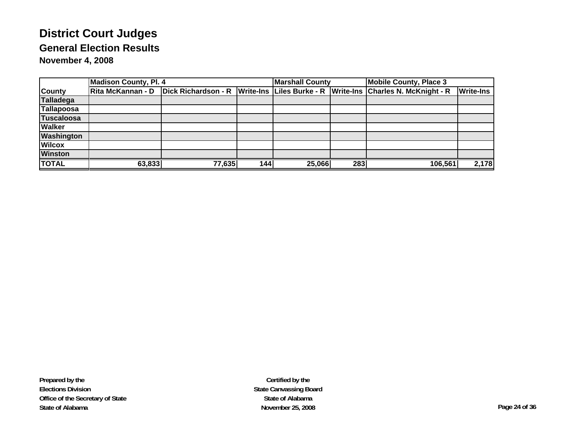|                   | <b>Madison County, Pl. 4</b> |                                         |                  | <b>Marshall County</b> |     | <b>Mobile County, Place 3</b>                         |                  |
|-------------------|------------------------------|-----------------------------------------|------------------|------------------------|-----|-------------------------------------------------------|------------------|
| <b>County</b>     |                              | Rita McKannan - D   Dick Richardson - R | <b>Write-Ins</b> |                        |     | Liles Burke - R   Write-Ins   Charles N. McKnight - R | <b>Write-Ins</b> |
| Talladega         |                              |                                         |                  |                        |     |                                                       |                  |
| Tallapoosa        |                              |                                         |                  |                        |     |                                                       |                  |
| <b>Tuscaloosa</b> |                              |                                         |                  |                        |     |                                                       |                  |
| <b>Walker</b>     |                              |                                         |                  |                        |     |                                                       |                  |
| <b>Washington</b> |                              |                                         |                  |                        |     |                                                       |                  |
| <b>Wilcox</b>     |                              |                                         |                  |                        |     |                                                       |                  |
| <b>Winston</b>    |                              |                                         |                  |                        |     |                                                       |                  |
| <b>TOTAL</b>      | 63.833                       | 77,635                                  | 144              | 25,066                 | 283 | 106,561                                               | 2,178            |

**Prepared by the Elections Division Office of the Secretary of State State of Alabama**

**Certified by the State Canvassing Board State of AlabamaNovember 25, 2008 Page 24 of 36**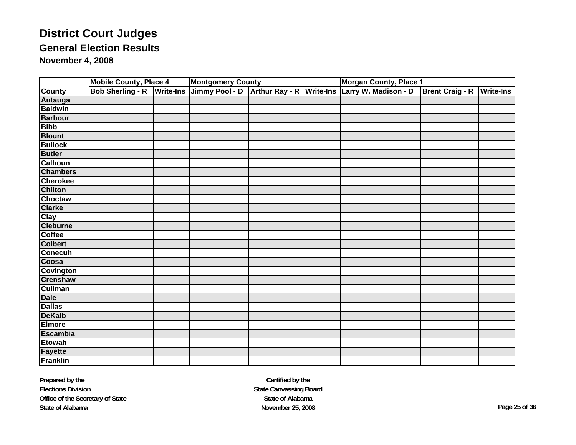|                             | <b>Mobile County, Place 4</b> |                  | <b>Montgomery County</b> |                       |                  | <b>Morgan County, Place 1</b> |                        |                  |  |
|-----------------------------|-------------------------------|------------------|--------------------------|-----------------------|------------------|-------------------------------|------------------------|------------------|--|
| County<br>Autauga           | <b>Bob Sherling - R</b>       | <b>Write-Ins</b> | Jimmy Pool - D           | <b>Arthur Ray - R</b> | <b>Write-Ins</b> | Larry W. Madison - D          | <b>Brent Craig - R</b> | <b>Write-Ins</b> |  |
|                             |                               |                  |                          |                       |                  |                               |                        |                  |  |
| <b>Baldwin</b>              |                               |                  |                          |                       |                  |                               |                        |                  |  |
|                             |                               |                  |                          |                       |                  |                               |                        |                  |  |
| Barbour<br>Bibb             |                               |                  |                          |                       |                  |                               |                        |                  |  |
| <b>Blount</b>               |                               |                  |                          |                       |                  |                               |                        |                  |  |
| <b>Bullock</b>              |                               |                  |                          |                       |                  |                               |                        |                  |  |
| <b>Butler</b>               |                               |                  |                          |                       |                  |                               |                        |                  |  |
| Calhoun                     |                               |                  |                          |                       |                  |                               |                        |                  |  |
| <b>Chambers</b><br>Cherokee |                               |                  |                          |                       |                  |                               |                        |                  |  |
|                             |                               |                  |                          |                       |                  |                               |                        |                  |  |
| <b>Chilton</b>              |                               |                  |                          |                       |                  |                               |                        |                  |  |
|                             |                               |                  |                          |                       |                  |                               |                        |                  |  |
| Choctaw<br>Clarke           |                               |                  |                          |                       |                  |                               |                        |                  |  |
|                             |                               |                  |                          |                       |                  |                               |                        |                  |  |
|                             |                               |                  |                          |                       |                  |                               |                        |                  |  |
| Clay<br>Cleburne<br>Coffee  |                               |                  |                          |                       |                  |                               |                        |                  |  |
| <b>Colbert</b>              |                               |                  |                          |                       |                  |                               |                        |                  |  |
|                             |                               |                  |                          |                       |                  |                               |                        |                  |  |
| Conecuh                     |                               |                  |                          |                       |                  |                               |                        |                  |  |
| Covington                   |                               |                  |                          |                       |                  |                               |                        |                  |  |
|                             |                               |                  |                          |                       |                  |                               |                        |                  |  |
| Crenshaw<br>Cullman         |                               |                  |                          |                       |                  |                               |                        |                  |  |
| <b>Dale</b>                 |                               |                  |                          |                       |                  |                               |                        |                  |  |
| Dallas<br>Dallas<br>DeKalb  |                               |                  |                          |                       |                  |                               |                        |                  |  |
|                             |                               |                  |                          |                       |                  |                               |                        |                  |  |
| <b>Elmore</b>               |                               |                  |                          |                       |                  |                               |                        |                  |  |
| Escambia<br>Etowah          |                               |                  |                          |                       |                  |                               |                        |                  |  |
|                             |                               |                  |                          |                       |                  |                               |                        |                  |  |
| <b>Fayette</b>              |                               |                  |                          |                       |                  |                               |                        |                  |  |
| Franklin                    |                               |                  |                          |                       |                  |                               |                        |                  |  |

**Prepared by the Elections Division Office of the Secretary of State State of Alabama**

**Certified by the State Canvassing Board State of AlabamaNovember 25, 2008 Page 25 of 36**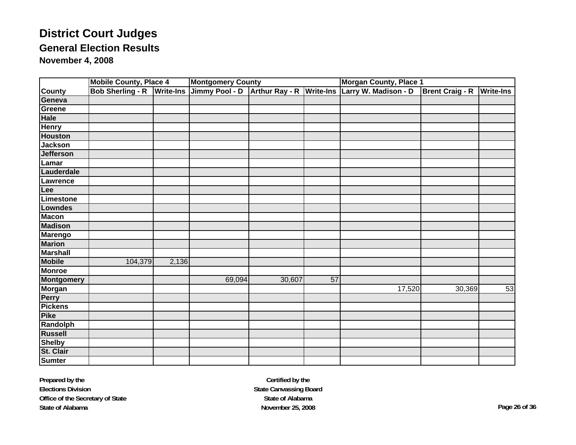|                           | <b>Mobile County, Place 4</b> |                  | <b>Montgomery County</b> |                       |                 | <b>Morgan County, Place 1</b>  |                        |                  |
|---------------------------|-------------------------------|------------------|--------------------------|-----------------------|-----------------|--------------------------------|------------------------|------------------|
|                           | <b>Bob Sherling - R</b>       | <b>Write-Ins</b> | Jimmy Pool - D           | <b>Arthur Ray - R</b> |                 | Write-Ins Larry W. Madison - D | <b>Brent Craig - R</b> | <b>Write-Ins</b> |
| County<br>Geneva          |                               |                  |                          |                       |                 |                                |                        |                  |
| Greene                    |                               |                  |                          |                       |                 |                                |                        |                  |
| Hale<br>Henry             |                               |                  |                          |                       |                 |                                |                        |                  |
|                           |                               |                  |                          |                       |                 |                                |                        |                  |
| <b>Houston</b>            |                               |                  |                          |                       |                 |                                |                        |                  |
| <b>Jackson</b>            |                               |                  |                          |                       |                 |                                |                        |                  |
| Jefferson                 |                               |                  |                          |                       |                 |                                |                        |                  |
| Lamar                     |                               |                  |                          |                       |                 |                                |                        |                  |
| Lauderdale                |                               |                  |                          |                       |                 |                                |                        |                  |
| Lawrence                  |                               |                  |                          |                       |                 |                                |                        |                  |
| Lee                       |                               |                  |                          |                       |                 |                                |                        |                  |
| Limestone                 |                               |                  |                          |                       |                 |                                |                        |                  |
| Lowndes                   |                               |                  |                          |                       |                 |                                |                        |                  |
| <b>Macon</b>              |                               |                  |                          |                       |                 |                                |                        |                  |
| <b>Madison</b>            |                               |                  |                          |                       |                 |                                |                        |                  |
| Marengo                   |                               |                  |                          |                       |                 |                                |                        |                  |
| <b>Marion</b>             |                               |                  |                          |                       |                 |                                |                        |                  |
| <b>Marshall</b><br>Mobile |                               |                  |                          |                       |                 |                                |                        |                  |
|                           | 104,379                       | 2,136            |                          |                       |                 |                                |                        |                  |
| <b>Monroe</b>             |                               |                  |                          |                       |                 |                                |                        |                  |
| Montgomery<br>Morgan      |                               |                  | 69,094                   | 30,607                | $\overline{57}$ |                                |                        |                  |
|                           |                               |                  |                          |                       |                 | 17,520                         | 30,369                 | 53               |
| <b>Perry</b>              |                               |                  |                          |                       |                 |                                |                        |                  |
| Pickens                   |                               |                  |                          |                       |                 |                                |                        |                  |
|                           |                               |                  |                          |                       |                 |                                |                        |                  |
| Randolph                  |                               |                  |                          |                       |                 |                                |                        |                  |
|                           |                               |                  |                          |                       |                 |                                |                        |                  |
| Russell<br>Shelby         |                               |                  |                          |                       |                 |                                |                        |                  |
| St. Clair                 |                               |                  |                          |                       |                 |                                |                        |                  |
|                           |                               |                  |                          |                       |                 |                                |                        |                  |

**Prepared by the Elections Division Office of the Secretary of State State of Alabama**

**Certified by the State Canvassing Board State of AlabamaNovember 25, 2008 Page 26 of 36**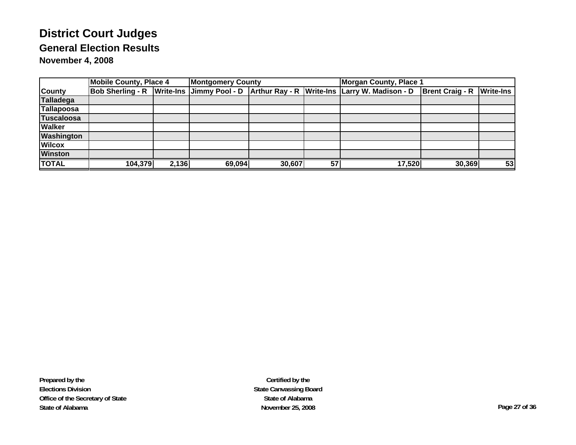|                   | <b>Mobile County, Place 4</b> |       | <b>Montgomery County</b> |        |    | <b>Morgan County, Place 1</b>                                                           |                                  |    |  |
|-------------------|-------------------------------|-------|--------------------------|--------|----|-----------------------------------------------------------------------------------------|----------------------------------|----|--|
| <b>County</b>     |                               |       |                          |        |    | Bob Sherling - R Write-Ins Jimmy Pool - D Arthur Ray - R Write-Ins Larry W. Madison - D | <b>Brent Craig - R Write-Ins</b> |    |  |
| <b>Talladega</b>  |                               |       |                          |        |    |                                                                                         |                                  |    |  |
| Tallapoosa        |                               |       |                          |        |    |                                                                                         |                                  |    |  |
| <b>Tuscaloosa</b> |                               |       |                          |        |    |                                                                                         |                                  |    |  |
| <b>Walker</b>     |                               |       |                          |        |    |                                                                                         |                                  |    |  |
| <b>Washington</b> |                               |       |                          |        |    |                                                                                         |                                  |    |  |
| <b>Wilcox</b>     |                               |       |                          |        |    |                                                                                         |                                  |    |  |
| <b>Winston</b>    |                               |       |                          |        |    |                                                                                         |                                  |    |  |
| <b>TOTAL</b>      | 104,379                       | 2,136 | 69,094                   | 30,607 | 57 | 17,520                                                                                  | 30,369                           | 53 |  |

**Certified by the State Canvassing Board State of AlabamaNovember 25, 2008 Page 27 of 36**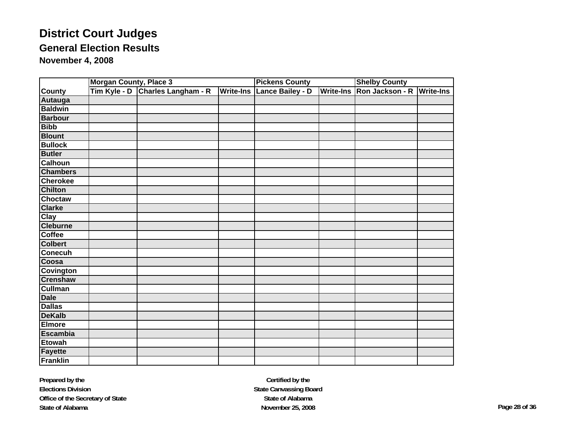|                  | <b>Morgan County, Place 3</b> |                            |                  | <b>Pickens County</b> |                  | <b>Shelby County</b> |                  |  |
|------------------|-------------------------------|----------------------------|------------------|-----------------------|------------------|----------------------|------------------|--|
| <b>County</b>    | Tim Kyle - D                  | <b>Charles Langham - R</b> | <b>Write-Ins</b> | Lance Bailey - D      | <b>Write-Ins</b> | Ron Jackson - R      | <b>Write-Ins</b> |  |
| Autauga          |                               |                            |                  |                       |                  |                      |                  |  |
| <b>Baldwin</b>   |                               |                            |                  |                       |                  |                      |                  |  |
| <b>Barbour</b>   |                               |                            |                  |                       |                  |                      |                  |  |
| <b>Bibb</b>      |                               |                            |                  |                       |                  |                      |                  |  |
| <b>Blount</b>    |                               |                            |                  |                       |                  |                      |                  |  |
| <b>Bullock</b>   |                               |                            |                  |                       |                  |                      |                  |  |
| <b>Butler</b>    |                               |                            |                  |                       |                  |                      |                  |  |
| <b>Calhoun</b>   |                               |                            |                  |                       |                  |                      |                  |  |
| <b>Chambers</b>  |                               |                            |                  |                       |                  |                      |                  |  |
| Cherokee         |                               |                            |                  |                       |                  |                      |                  |  |
| <b>Chilton</b>   |                               |                            |                  |                       |                  |                      |                  |  |
| <b>Choctaw</b>   |                               |                            |                  |                       |                  |                      |                  |  |
| <b>Clarke</b>    |                               |                            |                  |                       |                  |                      |                  |  |
| Clay             |                               |                            |                  |                       |                  |                      |                  |  |
| <b>Cleburne</b>  |                               |                            |                  |                       |                  |                      |                  |  |
| Coffee           |                               |                            |                  |                       |                  |                      |                  |  |
| <b>Colbert</b>   |                               |                            |                  |                       |                  |                      |                  |  |
| <b>Conecuh</b>   |                               |                            |                  |                       |                  |                      |                  |  |
| Coosa            |                               |                            |                  |                       |                  |                      |                  |  |
| <b>Covington</b> |                               |                            |                  |                       |                  |                      |                  |  |
| <b>Crenshaw</b>  |                               |                            |                  |                       |                  |                      |                  |  |
| <b>Cullman</b>   |                               |                            |                  |                       |                  |                      |                  |  |
| <b>Dale</b>      |                               |                            |                  |                       |                  |                      |                  |  |
| <b>Dallas</b>    |                               |                            |                  |                       |                  |                      |                  |  |
| <b>DeKalb</b>    |                               |                            |                  |                       |                  |                      |                  |  |
| <b>Elmore</b>    |                               |                            |                  |                       |                  |                      |                  |  |
| <b>Escambia</b>  |                               |                            |                  |                       |                  |                      |                  |  |
| <b>Etowah</b>    |                               |                            |                  |                       |                  |                      |                  |  |
| <b>Fayette</b>   |                               |                            |                  |                       |                  |                      |                  |  |
| Franklin         |                               |                            |                  |                       |                  |                      |                  |  |

**Certified by the State Canvassing Board State of AlabamaNovember 25, 2008 Page 28 of 36**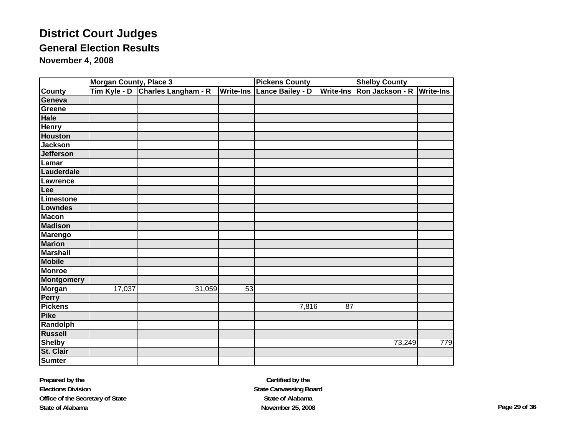|                   | <b>Morgan County, Place 3</b> |                     |                  | <b>Pickens County</b>   |    | <b>Shelby County</b>      |                  |  |
|-------------------|-------------------------------|---------------------|------------------|-------------------------|----|---------------------------|------------------|--|
| <b>County</b>     | Tim Kyle - D                  | Charles Langham - R | <b>Write-Ins</b> | <b>Lance Bailey - D</b> |    | Write-Ins Ron Jackson - R | <b>Write-Ins</b> |  |
| Geneva            |                               |                     |                  |                         |    |                           |                  |  |
| Greene            |                               |                     |                  |                         |    |                           |                  |  |
| <b>Hale</b>       |                               |                     |                  |                         |    |                           |                  |  |
| <b>Henry</b>      |                               |                     |                  |                         |    |                           |                  |  |
| <b>Houston</b>    |                               |                     |                  |                         |    |                           |                  |  |
| <b>Jackson</b>    |                               |                     |                  |                         |    |                           |                  |  |
| <b>Jefferson</b>  |                               |                     |                  |                         |    |                           |                  |  |
| Lamar             |                               |                     |                  |                         |    |                           |                  |  |
| Lauderdale        |                               |                     |                  |                         |    |                           |                  |  |
| Lawrence          |                               |                     |                  |                         |    |                           |                  |  |
| Lee               |                               |                     |                  |                         |    |                           |                  |  |
| <b>Limestone</b>  |                               |                     |                  |                         |    |                           |                  |  |
| <b>Lowndes</b>    |                               |                     |                  |                         |    |                           |                  |  |
| <b>Macon</b>      |                               |                     |                  |                         |    |                           |                  |  |
| <b>Madison</b>    |                               |                     |                  |                         |    |                           |                  |  |
| <b>Marengo</b>    |                               |                     |                  |                         |    |                           |                  |  |
| <b>Marion</b>     |                               |                     |                  |                         |    |                           |                  |  |
| <b>Marshall</b>   |                               |                     |                  |                         |    |                           |                  |  |
| <b>Mobile</b>     |                               |                     |                  |                         |    |                           |                  |  |
| <b>Monroe</b>     |                               |                     |                  |                         |    |                           |                  |  |
| <b>Montgomery</b> |                               |                     |                  |                         |    |                           |                  |  |
| <b>Morgan</b>     | 17,037                        | 31,059              | 53               |                         |    |                           |                  |  |
| Perry             |                               |                     |                  |                         |    |                           |                  |  |
| <b>Pickens</b>    |                               |                     |                  | 7,816                   | 87 |                           |                  |  |
| <b>Pike</b>       |                               |                     |                  |                         |    |                           |                  |  |
| <b>Randolph</b>   |                               |                     |                  |                         |    |                           |                  |  |
| <b>Russell</b>    |                               |                     |                  |                         |    |                           |                  |  |
| <b>Shelby</b>     |                               |                     |                  |                         |    | 73,249                    | 779              |  |
| St. Clair         |                               |                     |                  |                         |    |                           |                  |  |
| <b>Sumter</b>     |                               |                     |                  |                         |    |                           |                  |  |

**Prepared by the Elections Division Office of the Secretary of State State of Alabama**

**Certified by the State Canvassing Board State of AlabamaNovember 25, 2008 Page 29 of 36**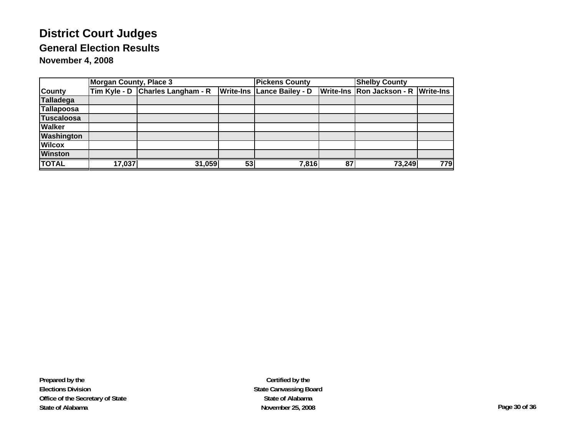|                   | <b>Morgan County, Place 3</b> |                                  |                  | <b>Pickens County</b> |    | <b>Shelby County</b>                |     |  |
|-------------------|-------------------------------|----------------------------------|------------------|-----------------------|----|-------------------------------------|-----|--|
| <b>County</b>     |                               | Tim Kyle - D Charles Langham - R | <b>Write-Ins</b> | Lance Bailey - D      |    | Write-Ins Ron Jackson - R Write-Ins |     |  |
| Talladega         |                               |                                  |                  |                       |    |                                     |     |  |
| Tallapoosa        |                               |                                  |                  |                       |    |                                     |     |  |
| Tuscaloosa        |                               |                                  |                  |                       |    |                                     |     |  |
| <b>Walker</b>     |                               |                                  |                  |                       |    |                                     |     |  |
| <b>Washington</b> |                               |                                  |                  |                       |    |                                     |     |  |
| <b>Wilcox</b>     |                               |                                  |                  |                       |    |                                     |     |  |
| <b>Winston</b>    |                               |                                  |                  |                       |    |                                     |     |  |
| <b>TOTAL</b>      | 17,037                        | 31,059                           | 53               | 7,816                 | 87 | 73,249                              | 779 |  |

**Prepared by the Elections Division Office of the Secretary of State State of Alabama**

**Certified by the State Canvassing Board State of AlabamaNovember 25, 2008 Page 30 of 36**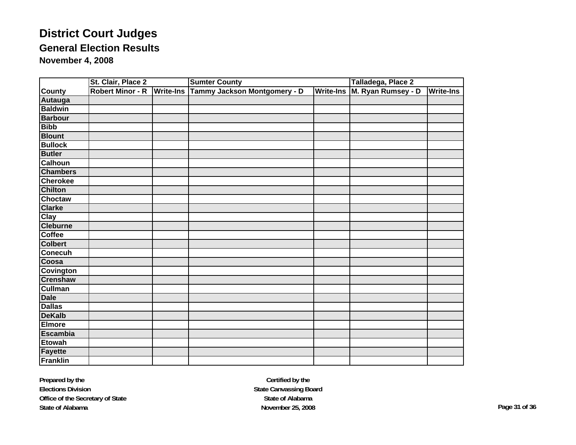|                  | St. Clair, Place 2 | <b>Sumter County</b>                                        | Talladega, Place 2 |                    |                  |
|------------------|--------------------|-------------------------------------------------------------|--------------------|--------------------|------------------|
| <b>County</b>    |                    | Robert Minor - R   Write-Ins   Tammy Jackson Montgomery - D | <b>Write-Ins</b>   | M. Ryan Rumsey - D | <b>Write-Ins</b> |
| Autauga          |                    |                                                             |                    |                    |                  |
| <b>Baldwin</b>   |                    |                                                             |                    |                    |                  |
| <b>Barbour</b>   |                    |                                                             |                    |                    |                  |
| <b>Bibb</b>      |                    |                                                             |                    |                    |                  |
| <b>Blount</b>    |                    |                                                             |                    |                    |                  |
| <b>Bullock</b>   |                    |                                                             |                    |                    |                  |
| <b>Butler</b>    |                    |                                                             |                    |                    |                  |
| <b>Calhoun</b>   |                    |                                                             |                    |                    |                  |
| <b>Chambers</b>  |                    |                                                             |                    |                    |                  |
| <b>Cherokee</b>  |                    |                                                             |                    |                    |                  |
| <b>Chilton</b>   |                    |                                                             |                    |                    |                  |
| <b>Choctaw</b>   |                    |                                                             |                    |                    |                  |
| <b>Clarke</b>    |                    |                                                             |                    |                    |                  |
| Clay             |                    |                                                             |                    |                    |                  |
| <b>Cleburne</b>  |                    |                                                             |                    |                    |                  |
| <b>Coffee</b>    |                    |                                                             |                    |                    |                  |
| <b>Colbert</b>   |                    |                                                             |                    |                    |                  |
| <b>Conecuh</b>   |                    |                                                             |                    |                    |                  |
| Coosa            |                    |                                                             |                    |                    |                  |
| <b>Covington</b> |                    |                                                             |                    |                    |                  |
| <b>Crenshaw</b>  |                    |                                                             |                    |                    |                  |
| <b>Cullman</b>   |                    |                                                             |                    |                    |                  |
| <b>Dale</b>      |                    |                                                             |                    |                    |                  |
| <b>Dallas</b>    |                    |                                                             |                    |                    |                  |
| <b>DeKalb</b>    |                    |                                                             |                    |                    |                  |
| <b>Elmore</b>    |                    |                                                             |                    |                    |                  |
| <b>Escambia</b>  |                    |                                                             |                    |                    |                  |
| <b>Etowah</b>    |                    |                                                             |                    |                    |                  |
| Fayette          |                    |                                                             |                    |                    |                  |
| Franklin         |                    |                                                             |                    |                    |                  |

**Prepared by the Elections Division Office of the Secretary of State State of Alabama**

**Certified by the State Canvassing Board State of AlabamaNovember 25, 2008 Page 31 of 36**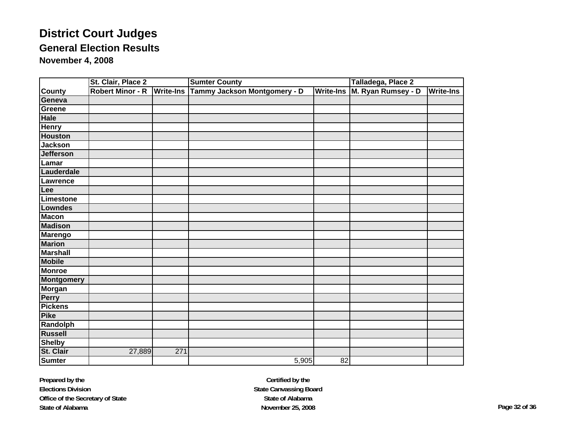|                   | St. Clair, Place 2      |                  | <b>Sumter County</b>         | Talladega, Place 2 |                    |           |
|-------------------|-------------------------|------------------|------------------------------|--------------------|--------------------|-----------|
| <b>County</b>     | <b>Robert Minor - R</b> | <b>Write-Ins</b> | Tammy Jackson Montgomery - D | <b>Write-Ins</b>   | M. Ryan Rumsey - D | Write-Ins |
| Geneva            |                         |                  |                              |                    |                    |           |
| Greene            |                         |                  |                              |                    |                    |           |
| <b>Hale</b>       |                         |                  |                              |                    |                    |           |
| <b>Henry</b>      |                         |                  |                              |                    |                    |           |
| <b>Houston</b>    |                         |                  |                              |                    |                    |           |
| <b>Jackson</b>    |                         |                  |                              |                    |                    |           |
| <b>Jefferson</b>  |                         |                  |                              |                    |                    |           |
| Lamar             |                         |                  |                              |                    |                    |           |
| Lauderdale        |                         |                  |                              |                    |                    |           |
| Lawrence          |                         |                  |                              |                    |                    |           |
| Lee               |                         |                  |                              |                    |                    |           |
| Limestone         |                         |                  |                              |                    |                    |           |
| <b>Lowndes</b>    |                         |                  |                              |                    |                    |           |
| <b>Macon</b>      |                         |                  |                              |                    |                    |           |
| <b>Madison</b>    |                         |                  |                              |                    |                    |           |
| <b>Marengo</b>    |                         |                  |                              |                    |                    |           |
| <b>Marion</b>     |                         |                  |                              |                    |                    |           |
| <b>Marshall</b>   |                         |                  |                              |                    |                    |           |
| <b>Mobile</b>     |                         |                  |                              |                    |                    |           |
| <b>Monroe</b>     |                         |                  |                              |                    |                    |           |
| <b>Montgomery</b> |                         |                  |                              |                    |                    |           |
| <b>Morgan</b>     |                         |                  |                              |                    |                    |           |
| <b>Perry</b>      |                         |                  |                              |                    |                    |           |
| <b>Pickens</b>    |                         |                  |                              |                    |                    |           |
| <b>Pike</b>       |                         |                  |                              |                    |                    |           |
| Randolph          |                         |                  |                              |                    |                    |           |
| <b>Russell</b>    |                         |                  |                              |                    |                    |           |
| <b>Shelby</b>     |                         |                  |                              |                    |                    |           |
| St. Clair         | 27,889                  | 271              |                              |                    |                    |           |
| <b>Sumter</b>     |                         |                  | 5,905                        | 82                 |                    |           |

**Prepared by the Elections Division Office of the Secretary of State State of Alabama**

**Certified by the State Canvassing Board State of AlabamaNovember 25, 2008 Page 32 of 36**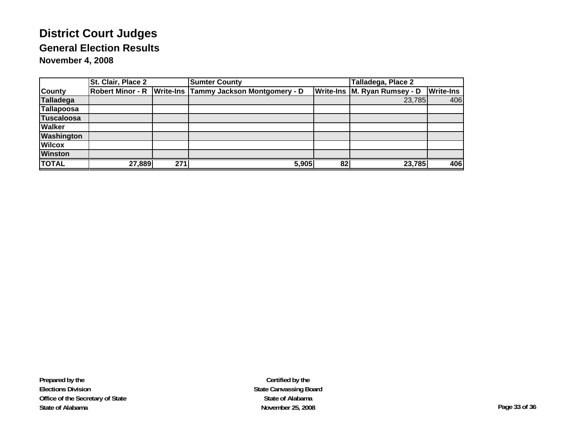|                   | St. Clair, Place 2 |     | <b>Sumter County</b>                                    | Talladega, Place 2 |                              |                  |
|-------------------|--------------------|-----|---------------------------------------------------------|--------------------|------------------------------|------------------|
| <b>County</b>     |                    |     | Robert Minor - R Write-Ins Tammy Jackson Montgomery - D |                    | Write-Ins M. Ryan Rumsey - D | <b>Write-Ins</b> |
| <b>Talladega</b>  |                    |     |                                                         |                    | 23,785                       | 406              |
| Tallapoosa        |                    |     |                                                         |                    |                              |                  |
| Tuscaloosa        |                    |     |                                                         |                    |                              |                  |
| <b>Walker</b>     |                    |     |                                                         |                    |                              |                  |
| <b>Washington</b> |                    |     |                                                         |                    |                              |                  |
| <b>Wilcox</b>     |                    |     |                                                         |                    |                              |                  |
| <b>Winston</b>    |                    |     |                                                         |                    |                              |                  |
| <b>TOTAL</b>      | 27,889             | 271 | 5,905                                                   | 82                 | 23,785                       | 406              |

**Certified by the State Canvassing Board State of AlabamaNovember 25, 2008 Page 33 of 36**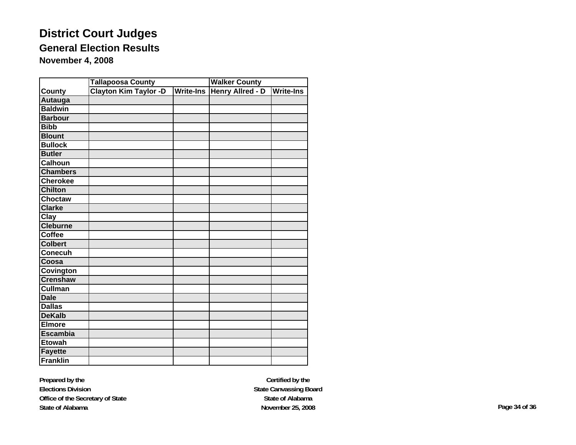|                 | <b>Tallapoosa County</b>     |                  | <b>Walker County</b>    |           |  |  |
|-----------------|------------------------------|------------------|-------------------------|-----------|--|--|
| County          | <b>Clayton Kim Taylor -D</b> | <b>Write-Ins</b> | <b>Henry Allred - D</b> | Write-Ins |  |  |
| <b>Autauga</b>  |                              |                  |                         |           |  |  |
| <b>Baldwin</b>  |                              |                  |                         |           |  |  |
| <b>Barbour</b>  |                              |                  |                         |           |  |  |
| <b>Bibb</b>     |                              |                  |                         |           |  |  |
| <b>Blount</b>   |                              |                  |                         |           |  |  |
| <b>Bullock</b>  |                              |                  |                         |           |  |  |
| <b>Butler</b>   |                              |                  |                         |           |  |  |
| <b>Calhoun</b>  |                              |                  |                         |           |  |  |
| <b>Chambers</b> |                              |                  |                         |           |  |  |
| <b>Cherokee</b> |                              |                  |                         |           |  |  |
| <b>Chilton</b>  |                              |                  |                         |           |  |  |
| <b>Choctaw</b>  |                              |                  |                         |           |  |  |
| Clarke          |                              |                  |                         |           |  |  |
| Clay            |                              |                  |                         |           |  |  |
| <b>Cleburne</b> |                              |                  |                         |           |  |  |
| <b>Coffee</b>   |                              |                  |                         |           |  |  |
| <b>Colbert</b>  |                              |                  |                         |           |  |  |
| <b>Conecuh</b>  |                              |                  |                         |           |  |  |
| Coosa           |                              |                  |                         |           |  |  |
| Covington       |                              |                  |                         |           |  |  |
| <b>Crenshaw</b> |                              |                  |                         |           |  |  |
| <b>Cullman</b>  |                              |                  |                         |           |  |  |
| <b>Dale</b>     |                              |                  |                         |           |  |  |
| <b>Dallas</b>   |                              |                  |                         |           |  |  |
| <b>DeKalb</b>   |                              |                  |                         |           |  |  |
| Elmore          |                              |                  |                         |           |  |  |
| <b>Escambia</b> |                              |                  |                         |           |  |  |
| <b>Etowah</b>   |                              |                  |                         |           |  |  |
| <b>Fayette</b>  |                              |                  |                         |           |  |  |
| <b>Franklin</b> |                              |                  |                         |           |  |  |

**Prepared by the Elections Division Office of the Secretary of State State of Alabama**

**Certified by the State Canvassing Board State of AlabamaNovember 25, 2008 Page 34 of 36**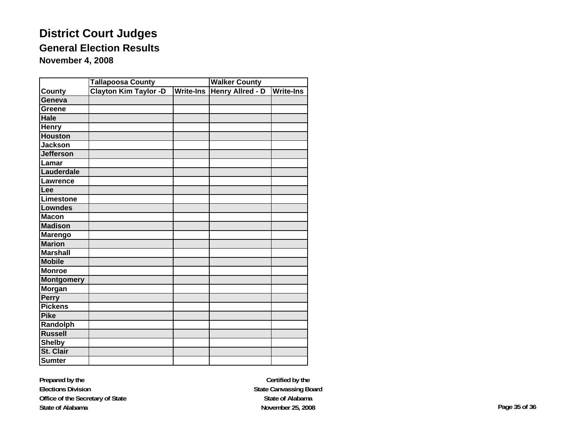|                   | <b>Tallapoosa County</b>     |                  | <b>Walker County</b>    |                  |  |  |
|-------------------|------------------------------|------------------|-------------------------|------------------|--|--|
| <b>County</b>     | <b>Clayton Kim Taylor -D</b> | <b>Write-Ins</b> | <b>Henry Allred - D</b> | <b>Write-Ins</b> |  |  |
| Geneva            |                              |                  |                         |                  |  |  |
| Greene            |                              |                  |                         |                  |  |  |
| <b>Hale</b>       |                              |                  |                         |                  |  |  |
| <b>Henry</b>      |                              |                  |                         |                  |  |  |
| <b>Houston</b>    |                              |                  |                         |                  |  |  |
| <b>Jackson</b>    |                              |                  |                         |                  |  |  |
| <b>Jefferson</b>  |                              |                  |                         |                  |  |  |
| Lamar             |                              |                  |                         |                  |  |  |
| Lauderdale        |                              |                  |                         |                  |  |  |
| Lawrence          |                              |                  |                         |                  |  |  |
| Lee               |                              |                  |                         |                  |  |  |
| Limestone         |                              |                  |                         |                  |  |  |
| <b>Lowndes</b>    |                              |                  |                         |                  |  |  |
| <b>Macon</b>      |                              |                  |                         |                  |  |  |
| <b>Madison</b>    |                              |                  |                         |                  |  |  |
| <b>Marengo</b>    |                              |                  |                         |                  |  |  |
| <b>Marion</b>     |                              |                  |                         |                  |  |  |
| <b>Marshall</b>   |                              |                  |                         |                  |  |  |
| <b>Mobile</b>     |                              |                  |                         |                  |  |  |
| <b>Monroe</b>     |                              |                  |                         |                  |  |  |
| <b>Montgomery</b> |                              |                  |                         |                  |  |  |
| Morgan            |                              |                  |                         |                  |  |  |
| Perry             |                              |                  |                         |                  |  |  |
| <b>Pickens</b>    |                              |                  |                         |                  |  |  |
| <b>Pike</b>       |                              |                  |                         |                  |  |  |
| Randolph          |                              |                  |                         |                  |  |  |
| <b>Russell</b>    |                              |                  |                         |                  |  |  |
| <b>Shelby</b>     |                              |                  |                         |                  |  |  |
| St. Clair         |                              |                  |                         |                  |  |  |
| <b>Sumter</b>     |                              |                  |                         |                  |  |  |

**Prepared by the Elections Division Office of the Secretary of State State of Alabama**

**Certified by the State Canvassing Board State of AlabamaNovember 25, 2008 Page 35 of 36**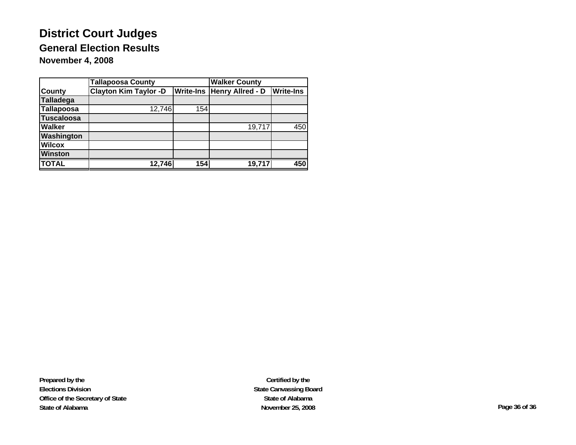|                   | <b>Tallapoosa County</b>     |     | <b>Walker County</b>              |                  |  |  |
|-------------------|------------------------------|-----|-----------------------------------|------------------|--|--|
| <b>County</b>     | <b>Clayton Kim Taylor -D</b> |     | <b>Write-Ins Henry Allred - D</b> | <b>Write-Ins</b> |  |  |
| Talladega         |                              |     |                                   |                  |  |  |
| <b>Tallapoosa</b> | 12,746                       | 154 |                                   |                  |  |  |
| <b>Tuscaloosa</b> |                              |     |                                   |                  |  |  |
| <b>Walker</b>     |                              |     | 19,717                            | 450              |  |  |
| Washington        |                              |     |                                   |                  |  |  |
| <b>Wilcox</b>     |                              |     |                                   |                  |  |  |
| <b>Winston</b>    |                              |     |                                   |                  |  |  |
| <b>TOTAL</b>      | 12,746                       | 154 | 19,717                            | $\overline{450}$ |  |  |

**Prepared by the Elections Division Office of the Secretary of State State of Alabama**

**Certified by the State Canvassing Board State of AlabamaNovember 25, 2008 Page 36 of 36**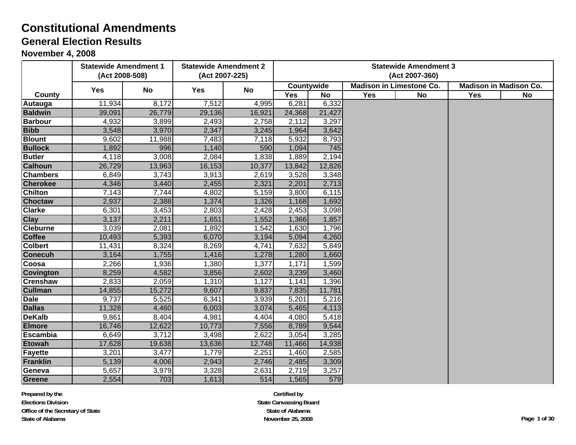#### **November 4, 2008**

|                  | <b>Statewide Amendment 1</b><br>(Act 2008-508) |        | <b>Statewide Amendment 2</b><br>(Act 2007-225) |           |                   |           |     | <b>Statewide Amendment 3</b><br>(Act 2007-360) |     |                               |
|------------------|------------------------------------------------|--------|------------------------------------------------|-----------|-------------------|-----------|-----|------------------------------------------------|-----|-------------------------------|
|                  | <b>Yes</b>                                     | No     | Yes                                            | <b>No</b> | <b>Countywide</b> |           |     | <b>Madison in Limestone Co.</b>                |     | <b>Madison in Madison Co.</b> |
| County           |                                                |        |                                                |           | <b>Yes</b>        | <b>No</b> | Yes | No                                             | Yes | No                            |
| <b>Autauga</b>   | 11,934                                         | 8,172  | 7,512                                          | 4,995     | 6,281             | 6,332     |     |                                                |     |                               |
| <b>Baldwin</b>   | 39,091                                         | 26,779 | 29,136                                         | 16,921    | 24,368            | 21,427    |     |                                                |     |                               |
| <b>Barbour</b>   | 4,932                                          | 3,899  | 2,493                                          | 2,758     | 2,112             | 3,297     |     |                                                |     |                               |
| <b>Bibb</b>      | 3,548                                          | 3,970  | 2,347                                          | 3,245     | 1,964             | 3,642     |     |                                                |     |                               |
| <b>Blount</b>    | 9,602                                          | 11,988 | 7,483                                          | 7,118     | 5,932             | 8,793     |     |                                                |     |                               |
| <b>Bullock</b>   | 1,892                                          | 996    | 1,140                                          | 590       | 1,094             | 745       |     |                                                |     |                               |
| <b>Butler</b>    | 4,118                                          | 3,008  | 2,084                                          | 1,838     | 1,889             | 2,194     |     |                                                |     |                               |
| <b>Calhoun</b>   | 26,729                                         | 13,963 | 16,153                                         | 10,377    | 13,842            | 12,826    |     |                                                |     |                               |
| <b>Chambers</b>  | 6,849                                          | 3,743  | 3,913                                          | 2,619     | 3,528             | 3,348     |     |                                                |     |                               |
| <b>Cherokee</b>  | 4,346                                          | 3,440  | 2,455                                          | 2,321     | 2,201             | 2,713     |     |                                                |     |                               |
| <b>Chilton</b>   | 7,143                                          | 7,744  | 4,802                                          | 5,159     | 3,800             | 6,115     |     |                                                |     |                               |
| <b>Choctaw</b>   | 2,937                                          | 2,388  | 1,374                                          | 1,326     | 1,168             | 1,692     |     |                                                |     |                               |
| <b>Clarke</b>    | 6,301                                          | 3,453  | 2,803                                          | 2,428     | 2,453             | 3,098     |     |                                                |     |                               |
| <b>Clay</b>      | 3,137                                          | 2,211  | 1,651                                          | 1,552     | 1,366             | 1,857     |     |                                                |     |                               |
| <b>Cleburne</b>  | 3,039                                          | 2,081  | 1,892                                          | 1,542     | 1,630             | 1,796     |     |                                                |     |                               |
| <b>Coffee</b>    | 10,493                                         | 5,393  | 6,070                                          | 3,194     | 5,094             | 4,260     |     |                                                |     |                               |
| <b>Colbert</b>   | 11,431                                         | 8,324  | 8,269                                          | 4,741     | 7,632             | 5,849     |     |                                                |     |                               |
| <b>Conecuh</b>   | 3,164                                          | 1,755  | 1,416                                          | 1,278     | 1,280             | 1,660     |     |                                                |     |                               |
| Coosa            | 2,266                                          | 1,936  | 1,380                                          | 1,377     | 1,171             | 1,599     |     |                                                |     |                               |
| <b>Covington</b> | 8,259                                          | 4,582  | 3,856                                          | 2,602     | 3,239             | 3,460     |     |                                                |     |                               |
| <b>Crenshaw</b>  | 2,833                                          | 2,059  | 1,310                                          | 1,127     | 1,141             | 1,396     |     |                                                |     |                               |
| <b>Cullman</b>   | 14,855                                         | 15,272 | 9,607                                          | 9,837     | 7,835             | 11,781    |     |                                                |     |                               |
| <b>Dale</b>      | 9,737                                          | 5,525  | 6,341                                          | 3,939     | 5,201             | 5,216     |     |                                                |     |                               |
| <b>Dallas</b>    | 11,328                                         | 4,460  | 6,003                                          | 3,074     | 5,465             | 4,113     |     |                                                |     |                               |
| <b>DeKalb</b>    | 9,861                                          | 8,404  | 4,981                                          | 4,404     | 4,080             | 5,418     |     |                                                |     |                               |
| <b>Elmore</b>    | 16,746                                         | 12,622 | 10,773                                         | 7,556     | 8,789             | 9,544     |     |                                                |     |                               |
| <b>Escambia</b>  | 6,649                                          | 3,712  | 3,498                                          | 2,622     | 3,054             | 3,285     |     |                                                |     |                               |
| <b>Etowah</b>    | 17,628                                         | 19,638 | 13,636                                         | 12,748    | 11,466            | 14,938    |     |                                                |     |                               |
| <b>Fayette</b>   | 3,201                                          | 3,477  | 1,779                                          | 2,251     | 1,460             | 2,585     |     |                                                |     |                               |
| Franklin         | 5,139                                          | 4,006  | 2,943                                          | 2,746     | 2,485             | 3,309     |     |                                                |     |                               |
| Geneva           | 5,657                                          | 3,979  | 3,328                                          | 2,631     | 2,719             | 3,257     |     |                                                |     |                               |
| Greene           | 2,554                                          | 703    | 1,613                                          | 514       | 1,565             | 579       |     |                                                |     |                               |

**Prepared by the Elections DivisionOffice of the Secretary of State State of Alabama**

**Certified by State Canvassing Board State of Alabama November 25, 2008 Page 1 of 30**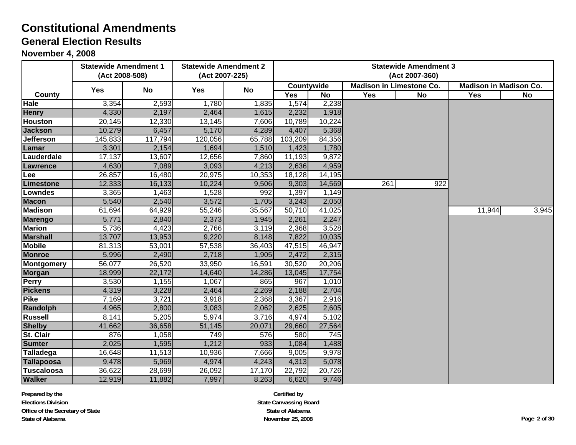#### **November 4, 2008**

|                   | <b>Statewide Amendment 1</b><br>(Act 2008-508) |         | <b>Statewide Amendment 2</b><br>(Act 2007-225) |           | <b>Statewide Amendment 3</b><br>(Act 2007-360) |                  |     |                                 |                               |       |
|-------------------|------------------------------------------------|---------|------------------------------------------------|-----------|------------------------------------------------|------------------|-----|---------------------------------|-------------------------------|-------|
|                   | <b>Yes</b>                                     | No      | Yes                                            | <b>No</b> | <b>Countywide</b>                              |                  |     | <b>Madison in Limestone Co.</b> | <b>Madison in Madison Co.</b> |       |
| County            |                                                |         |                                                |           | <b>Yes</b>                                     | <b>No</b>        | Yes | No                              | <b>Yes</b>                    | No    |
| Hale              | 3,354                                          | 2,593   | 1,780                                          | 1,835     | 1,574                                          | 2,238            |     |                                 |                               |       |
| <b>Henry</b>      | 4,330                                          | 2,197   | 2,464                                          | 1,615     | 2,232                                          | 1,918            |     |                                 |                               |       |
| <b>Houston</b>    | 20,145                                         | 12,330  | 13,145                                         | 7,606     | 10,789                                         | 10,224           |     |                                 |                               |       |
| <b>Jackson</b>    | 10,279                                         | 6,457   | 5,170                                          | 4,289     | 4,407                                          | 5,368            |     |                                 |                               |       |
| <b>Jefferson</b>  | 145,833                                        | 117,794 | 120,056                                        | 65,788    | 103,209                                        | 84,356           |     |                                 |                               |       |
| Lamar             | 3,301                                          | 2,154   | 1,694                                          | 1,510     | 1,423                                          | 1,780            |     |                                 |                               |       |
| Lauderdale        | 17,137                                         | 13,607  | 12,656                                         | 7,860     | 11,193                                         | 9,872            |     |                                 |                               |       |
| <b>Lawrence</b>   | 4,630                                          | 7,089   | 3,093                                          | 4,213     | 2,636                                          | 4,959            |     |                                 |                               |       |
| Lee               | 26,857                                         | 16,480  | 20,975                                         | 10,353    | 18,128                                         | 14,195           |     |                                 |                               |       |
| Limestone         | 12,333                                         | 16,133  | 10,224                                         | 9,506     | 9,303                                          | 14,569           | 261 | 922                             |                               |       |
| <b>Lowndes</b>    | 3,365                                          | 1,463   | 1,528                                          | 992       | 1,397                                          | 1,149            |     |                                 |                               |       |
| <b>Macon</b>      | 5,540                                          | 2,540   | 3,572                                          | 1,705     | 3,243                                          | 2,050            |     |                                 |                               |       |
| <b>Madison</b>    | 61,694                                         | 64,929  | 55,246                                         | 35,567    | 50,710                                         | 41,025           |     |                                 | 11,944                        | 3,945 |
| <b>Marengo</b>    | 5,771                                          | 2,840   | 2,373                                          | 1,945     | 2,261                                          | 2,247            |     |                                 |                               |       |
| <b>Marion</b>     | 5,736                                          | 4,423   | 2,766                                          | 3,119     | 2,368                                          | 3,528            |     |                                 |                               |       |
| <b>Marshall</b>   | 13,707                                         | 13,953  | 9,220                                          | 8,148     | 7,822                                          | 10,035           |     |                                 |                               |       |
| <b>Mobile</b>     | 81,313                                         | 53,001  | 57,538                                         | 36,403    | 47,515                                         | 46,947           |     |                                 |                               |       |
| <b>Monroe</b>     | 5,996                                          | 2,490   | 2,718                                          | 1,905     | 2,472                                          | 2,315            |     |                                 |                               |       |
| Montgomery        | 56,077                                         | 26,520  | 33,950                                         | 16,591    | 30,520                                         | 20,206           |     |                                 |                               |       |
| <b>Morgan</b>     | 18,999                                         | 22,172  | 14,640                                         | 14,286    | 13,045                                         | 17,754           |     |                                 |                               |       |
| <b>Perry</b>      | 3,530                                          | 1,155   | 1,067                                          | 865       | 967                                            | 1,010            |     |                                 |                               |       |
| <b>Pickens</b>    | 4,319                                          | 3,228   | 2,464                                          | 2,269     | 2,188                                          | 2,704            |     |                                 |                               |       |
| <b>Pike</b>       | 7,169                                          | 3,721   | 3,918                                          | 2,368     | 3,367                                          | 2,916            |     |                                 |                               |       |
| Randolph          | 4,965                                          | 2,800   | 3,083                                          | 2,062     | 2,625                                          | 2,605            |     |                                 |                               |       |
| <b>Russell</b>    | 8,141                                          | 5,205   | 5,974                                          | 3,716     | 4,974                                          | 5,102            |     |                                 |                               |       |
| <b>Shelby</b>     | 41,662                                         | 36,658  | 51,145                                         | 20,071    | 29,660                                         | 27,564           |     |                                 |                               |       |
| <b>St. Clair</b>  | 876                                            | 1,058   | 749                                            | 576       | 580                                            | $\overline{745}$ |     |                                 |                               |       |
| <b>Sumter</b>     | 2,025                                          | 1,595   | 1,212                                          | 933       | 1,084                                          | 1,488            |     |                                 |                               |       |
| Talladega         | 16,648                                         | 11,513  | 10,936                                         | 7,666     | 9,005                                          | 9,978            |     |                                 |                               |       |
| Tallapoosa        | 9,478                                          | 5,969   | 4,974                                          | 4,243     | 4,313                                          | 5,078            |     |                                 |                               |       |
| <b>Tuscaloosa</b> | 36,622                                         | 28,699  | 26,092                                         | 17,170    | 22,792                                         | 20,726           |     |                                 |                               |       |
| <b>Walker</b>     | 12,919                                         | 11,882  | 7,997                                          | 8,263     | 6,620                                          | 9,746            |     |                                 |                               |       |

**Prepared by the Elections DivisionOffice of the Secretary of State State of Alabama**

**Certified by State Canvassing Board State of Alabama November 25, 2008 Page 2 of 30**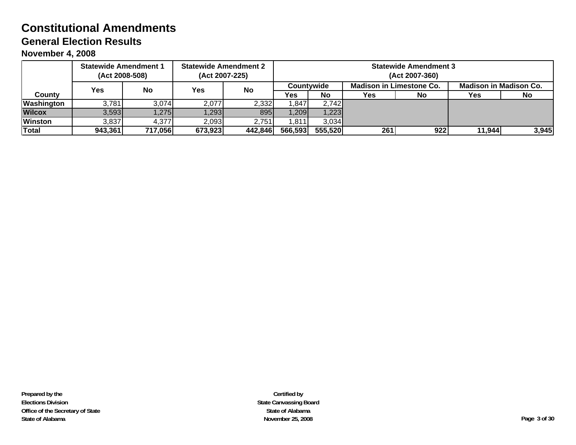**November 4, 2008**

|                | <b>Statewide Amendment 1</b> | (Act 2008-508) |            | <b>Statewide Amendment 2</b><br>(Act 2007-225) | <b>Statewide Amendment 3</b><br>(Act 2007-360) |                                               |                  |     |        |                               |  |  |
|----------------|------------------------------|----------------|------------|------------------------------------------------|------------------------------------------------|-----------------------------------------------|------------------|-----|--------|-------------------------------|--|--|
|                | <b>Yes</b>                   | No             | <b>Yes</b> | <b>No</b>                                      |                                                | <b>Madison in Limestone Co.</b><br>Countvwide |                  |     |        | <b>Madison in Madison Co.</b> |  |  |
| Countv         |                              |                |            |                                                | Yes                                            | No                                            | <b>Yes</b><br>No |     | Yes    | <b>No</b>                     |  |  |
| Washington     | 3,781                        | 3,074          | 2,077      | 2,332                                          | ,847                                           | 2,742                                         |                  |     |        |                               |  |  |
| <b>Wilcox</b>  | 3,593                        | 1,275          | ,293       | 895                                            | ,209                                           | 1,223                                         |                  |     |        |                               |  |  |
| <b>Winston</b> | 3,837                        | 4,377          | 2,093      | 2,751                                          | ,811                                           | 3,034                                         |                  |     |        |                               |  |  |
| Total          | 943,361                      | 717,056        | 673,923    | 442,846                                        | 566,593                                        | 555,520                                       | 261              | 922 | 11,944 | 3,945                         |  |  |

**Certified by State Canvassing Board State of Alabama November 25, 2008 Page 3 of 30**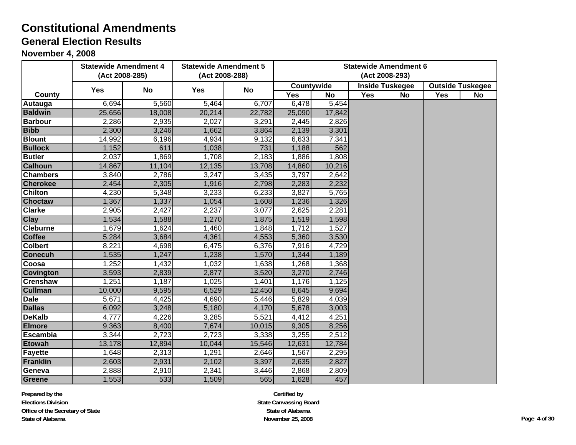#### **November 4, 2008**

|                  |            | <b>Statewide Amendment 4</b> |            | <b>Statewide Amendment 5</b> | <b>Statewide Amendment 6</b> |           |                |                        |     |                         |
|------------------|------------|------------------------------|------------|------------------------------|------------------------------|-----------|----------------|------------------------|-----|-------------------------|
|                  |            | (Act 2008-285)               |            | (Act 2008-288)               |                              |           | (Act 2008-293) |                        |     |                         |
|                  | <b>Yes</b> | <b>No</b>                    | <b>Yes</b> | <b>No</b>                    | Countywide                   |           |                | <b>Inside Tuskegee</b> |     | <b>Outside Tuskegee</b> |
| County           |            |                              |            |                              | Yes                          | <b>No</b> | <b>Yes</b>     | <b>No</b>              | Yes | No                      |
| <b>Autauga</b>   | 6,694      | 5,560                        | 5,464      | 6,707                        | 6,478                        | 5,454     |                |                        |     |                         |
| <b>Baldwin</b>   | 25,656     | 18,008                       | 20,214     | 22,782                       | 25,090                       | 17,842    |                |                        |     |                         |
| <b>Barbour</b>   | 2,286      | 2,935                        | 2,027      | 3,291                        | 2,445                        | 2,826     |                |                        |     |                         |
| <b>Bibb</b>      | 2,300      | 3,246                        | 1,662      | 3,864                        | 2,139                        | 3,301     |                |                        |     |                         |
| <b>Blount</b>    | 14,992     | 6,196                        | 4,934      | 9,132                        | 6,633                        | 7,341     |                |                        |     |                         |
| <b>Bullock</b>   | 1,152      | 611                          | 1,038      | 731                          | 1,188                        | 562       |                |                        |     |                         |
| <b>Butler</b>    | 2,037      | 1,869                        | 1,708      | 2,183                        | 1,886                        | 1,808     |                |                        |     |                         |
| <b>Calhoun</b>   | 14,867     | 11,104                       | 12,135     | 13,708                       | 14,860                       | 10,216    |                |                        |     |                         |
| <b>Chambers</b>  | 3,840      | 2,786                        | 3,247      | 3,435                        | 3,797                        | 2,642     |                |                        |     |                         |
| <b>Cherokee</b>  | 2,454      | 2,305                        | 1,916      | 2,798                        | 2,283                        | 2,232     |                |                        |     |                         |
| <b>Chilton</b>   | 4,230      | 5,348                        | 3,233      | 6,233                        | 3,827                        | 5,765     |                |                        |     |                         |
| <b>Choctaw</b>   | 1,367      | 1,337                        | 1,054      | 1,608                        | 1,236                        | 1,326     |                |                        |     |                         |
| <b>Clarke</b>    | 2,905      | 2,427                        | 2,237      | 3,077                        | 2,625                        | 2,281     |                |                        |     |                         |
| <b>Clay</b>      | 1,534      | 1,588                        | 1,270      | 1,875                        | 1,519                        | 1,598     |                |                        |     |                         |
| <b>Cleburne</b>  | 1,679      | 1,624                        | 1,460      | 1,848                        | 1,712                        | 1,527     |                |                        |     |                         |
| <b>Coffee</b>    | 5,284      | 3,684                        | 4,361      | 4,553                        | 5,360                        | 3,530     |                |                        |     |                         |
| <b>Colbert</b>   | 8,221      | 4,698                        | 6,475      | 6,376                        | 7,916                        | 4,729     |                |                        |     |                         |
| <b>Conecuh</b>   | 1,535      | 1,247                        | 1,238      | 1,570                        | 1,344                        | 1,189     |                |                        |     |                         |
| Coosa            | 1,252      | 1,432                        | 1,032      | 1,638                        | 1,268                        | 1,368     |                |                        |     |                         |
| <b>Covington</b> | 3,593      | 2,839                        | 2,877      | 3,520                        | 3,270                        | 2,746     |                |                        |     |                         |
| <b>Crenshaw</b>  | 1,251      | 1,187                        | 1,025      | 1,401                        | 1,176                        | 1,125     |                |                        |     |                         |
| <b>Cullman</b>   | 10,000     | 9,595                        | 6,529      | 12,450                       | 8,645                        | 9,694     |                |                        |     |                         |
| <b>Dale</b>      | 5,671      | 4,425                        | 4,690      | 5,446                        | 5,829                        | 4,039     |                |                        |     |                         |
| <b>Dallas</b>    | 6,092      | 3,248                        | 5,180      | 4,170                        | 5,678                        | 3,003     |                |                        |     |                         |
| <b>DeKalb</b>    | 4,777      | 4,226                        | 3,285      | 5,521                        | 4,412                        | 4,251     |                |                        |     |                         |
| <b>Elmore</b>    | 9,363      | 8,400                        | 7,674      | 10,015                       | 9,305                        | 8,256     |                |                        |     |                         |
| <b>Escambia</b>  | 3,344      | 2,723                        | 2,723      | 3,338                        | 3,255                        | 2,512     |                |                        |     |                         |
| <b>Etowah</b>    | 13,178     | 12,894                       | 10,044     | 15,546                       | 12,631                       | 12,784    |                |                        |     |                         |
| <b>Fayette</b>   | 1,648      | 2,313                        | 1,291      | 2,646                        | 1,567                        | 2,295     |                |                        |     |                         |
| <b>Franklin</b>  | 2,603      | 2,931                        | 2,102      | 3,397                        | 2,635                        | 2,827     |                |                        |     |                         |
| Geneva           | 2,888      | 2,910                        | 2,341      | 3,446                        | 2,868                        | 2,809     |                |                        |     |                         |
| <b>Greene</b>    | 1,553      | 533                          | 1,509      | 565                          | 1,628                        | 457       |                |                        |     |                         |

**Prepared by the Elections DivisionOffice of the Secretary of State State of Alabama**

**Certified by State Canvassing Board State of Alabama November 25, 2008 Page 4 of 30**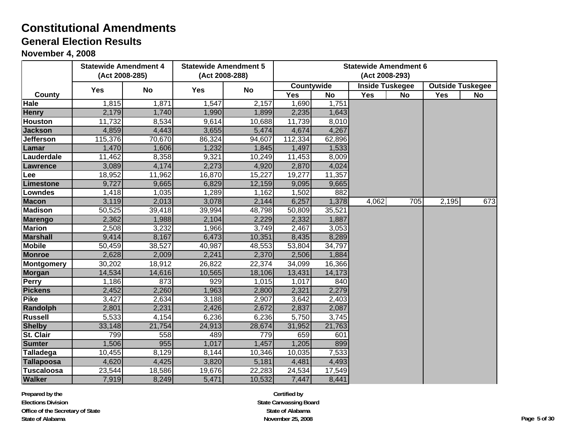#### **November 4, 2008**

|                   | <b>Statewide Amendment 4</b><br><b>Statewide Amendment 5</b> |           |            |                |            |           | <b>Statewide Amendment 6</b> |     |            |                         |
|-------------------|--------------------------------------------------------------|-----------|------------|----------------|------------|-----------|------------------------------|-----|------------|-------------------------|
|                   | (Act 2008-285)                                               |           |            | (Act 2008-288) |            |           | (Act 2008-293)               |     |            |                         |
|                   | <b>Yes</b>                                                   | <b>No</b> | <b>Yes</b> | No             | Countywide |           | <b>Inside Tuskegee</b>       |     |            | <b>Outside Tuskegee</b> |
| County            |                                                              |           |            |                | <b>Yes</b> | <b>No</b> | Yes                          | No  | <b>Yes</b> | No                      |
| <b>Hale</b>       | 1,815                                                        | 1,871     | 1,547      | 2,157          | 1,690      | 1,751     |                              |     |            |                         |
| <b>Henry</b>      | 2,179                                                        | 1,740     | 1,990      | 1,899          | 2,235      | 1,643     |                              |     |            |                         |
| <b>Houston</b>    | 11,732                                                       | 8,534     | 9,614      | 10,688         | 11,739     | 8,010     |                              |     |            |                         |
| <b>Jackson</b>    | 4,859                                                        | 4,443     | 3,655      | 5,474          | 4,674      | 4,267     |                              |     |            |                         |
| Jefferson         | 115,376                                                      | 70,670    | 86,324     | 94,607         | 112,334    | 62,896    |                              |     |            |                         |
| Lamar             | 1,470                                                        | 1,606     | 1,232      | 1,845          | 1,497      | 1,533     |                              |     |            |                         |
| Lauderdale        | 11,462                                                       | 8,358     | 9,321      | 10,249         | 11,453     | 8,009     |                              |     |            |                         |
| <b>Lawrence</b>   | 3,089                                                        | 4,174     | 2,273      | 4,920          | 2,870      | 4,024     |                              |     |            |                         |
| Lee               | 18,952                                                       | 11,962    | 16,870     | 15,227         | 19,277     | 11,357    |                              |     |            |                         |
| Limestone         | 9,727                                                        | 9,665     | 6,829      | 12,159         | 9,095      | 9,665     |                              |     |            |                         |
| <b>Lowndes</b>    | 1,418                                                        | 1,035     | 1,289      | 1,162          | 1,502      | 882       |                              |     |            |                         |
| <b>Macon</b>      | 3,119                                                        | 2,013     | 3,078      | 2,144          | 6,257      | 1,378     | 4,062                        | 705 | 2,195      | 673                     |
| <b>Madison</b>    | 50,525                                                       | 39,418    | 39,994     | 48,798         | 50,809     | 35,521    |                              |     |            |                         |
| <b>Marengo</b>    | 2,362                                                        | 1,988     | 2,104      | 2,229          | 2,332      | 1,887     |                              |     |            |                         |
| <b>Marion</b>     | 2,508                                                        | 3,232     | 1,966      | 3,749          | 2,467      | 3,053     |                              |     |            |                         |
| <b>Marshall</b>   | 9,414                                                        | 8,167     | 6,473      | 10,351         | 8,435      | 8,289     |                              |     |            |                         |
| <b>Mobile</b>     | 50,459                                                       | 38,527    | 40,987     | 48,553         | 53,804     | 34,797    |                              |     |            |                         |
| <b>Monroe</b>     | 2,628                                                        | 2,009     | 2,241      | 2,370          | 2,506      | 1,884     |                              |     |            |                         |
| Montgomery        | 30,202                                                       | 18,912    | 26,822     | 22,374         | 34,099     | 16,366    |                              |     |            |                         |
| <b>Morgan</b>     | 14,534                                                       | 14,616    | 10,565     | 18,106         | 13,431     | 14,173    |                              |     |            |                         |
| <b>Perry</b>      | 1,186                                                        | 873       | 929        | 1,015          | 1,017      | 840       |                              |     |            |                         |
| <b>Pickens</b>    | 2,452                                                        | 2,260     | 1,963      | 2,800          | 2,321      | 2,279     |                              |     |            |                         |
| <b>Pike</b>       | 3,427                                                        | 2,634     | 3,188      | 2,907          | 3,642      | 2,403     |                              |     |            |                         |
| Randolph          | 2,801                                                        | 2,231     | 2,426      | 2,672          | 2,837      | 2,087     |                              |     |            |                         |
| <b>Russell</b>    | 5,533                                                        | 4,154     | 6,236      | 6,236          | 5,750      | 3,745     |                              |     |            |                         |
| <b>Shelby</b>     | 33,148                                                       | 21,754    | 24,913     | 28,674         | 31,952     | 21,763    |                              |     |            |                         |
| <b>St. Clair</b>  | 799                                                          | 558       | 489        | 779            | 659        | 601       |                              |     |            |                         |
| <b>Sumter</b>     | 1,506                                                        | 955       | 1,017      | 1,457          | 1,205      | 899       |                              |     |            |                         |
| Talladega         | 10,455                                                       | 8,129     | 8,144      | 10,346         | 10,035     | 7,533     |                              |     |            |                         |
| Tallapoosa        | 4,620                                                        | 4,425     | 3,820      | 5,181          | 4,481      | 4,493     |                              |     |            |                         |
| <b>Tuscaloosa</b> | 23,544                                                       | 18,586    | 19,676     | 22,283         | 24,534     | 17,549    |                              |     |            |                         |
| <b>Walker</b>     | 7,919                                                        | 8,249     | 5,471      | 10,532         | 7,447      | 8,441     |                              |     |            |                         |

**Prepared by the Elections DivisionOffice of the Secretary of State State of Alabama**

**Certified by State Canvassing Board State of Alabama November 25, 2008 Page 5 of 30**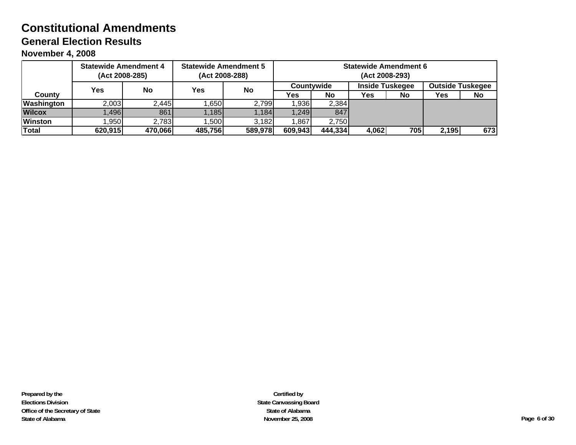**November 4, 2008**

|                | <b>Statewide Amendment 4</b><br>(Act 2008-285) |         | <b>Statewide Amendment 5</b><br>(Act 2008-288) |         | <b>Statewide Amendment 6</b><br>(Act 2008-293) |         |                        |     |                         |     |  |
|----------------|------------------------------------------------|---------|------------------------------------------------|---------|------------------------------------------------|---------|------------------------|-----|-------------------------|-----|--|
|                | Yes                                            | No      | Yes<br><b>No</b>                               |         | <b>Countvwide</b>                              |         | <b>Inside Tuskegee</b> |     | <b>Outside Tuskegee</b> |     |  |
| County         |                                                |         |                                                |         | Yes                                            | No      | Yes                    | No  | Yes                     | No  |  |
| Washington     | 2,003                                          | 2,445   | .650                                           | 2,799   | 1,936                                          | 2,384   |                        |     |                         |     |  |
| <b>Wilcox</b>  | .496                                           | 861     | 1.185                                          | 1.184   | 1,249                                          | 847     |                        |     |                         |     |  |
| <b>Winston</b> | l.950                                          | 2,783   | ,500                                           | 3,182   | 1,867                                          | 2,750   |                        |     |                         |     |  |
| Total          | 620,915                                        | 470,066 | 485,756                                        | 589,978 | 609,943                                        | 444,334 | 4,062                  | 705 | 2,195                   | 673 |  |

**Certified by State Canvassing Board State of Alabama November 25, 2008 Page 6 of 30**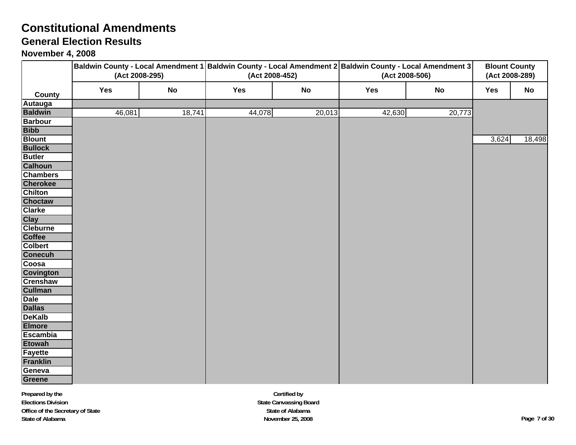## **General Election Results**

|                                  | Baldwin County - Local Amendment 1 Baldwin County - Local Amendment 2 Baldwin County - Local Amendment 3<br>(Act 2008-295) |        | (Act 2008-452) |           | (Act 2008-506) | <b>Blount County</b><br>(Act 2008-289) |       |        |
|----------------------------------|----------------------------------------------------------------------------------------------------------------------------|--------|----------------|-----------|----------------|----------------------------------------|-------|--------|
|                                  | Yes                                                                                                                        | No     | Yes            | <b>No</b> | Yes            | No                                     | Yes   | No     |
| County                           |                                                                                                                            |        |                |           |                |                                        |       |        |
| <b>Autauga</b><br><b>Baldwin</b> | 46,081                                                                                                                     | 18,741 | 44,078         | 20,013    | 42,630         | 20,773                                 |       |        |
| <b>Barbour</b>                   |                                                                                                                            |        |                |           |                |                                        |       |        |
| <b>Bibb</b>                      |                                                                                                                            |        |                |           |                |                                        |       |        |
| <b>Blount</b>                    |                                                                                                                            |        |                |           |                |                                        | 3,624 | 18,498 |
| <b>Bullock</b>                   |                                                                                                                            |        |                |           |                |                                        |       |        |
| <b>Butler</b>                    |                                                                                                                            |        |                |           |                |                                        |       |        |
| <b>Calhoun</b>                   |                                                                                                                            |        |                |           |                |                                        |       |        |
| <b>Chambers</b>                  |                                                                                                                            |        |                |           |                |                                        |       |        |
| <b>Cherokee</b>                  |                                                                                                                            |        |                |           |                |                                        |       |        |
| <b>Chilton</b>                   |                                                                                                                            |        |                |           |                |                                        |       |        |
| <b>Choctaw</b>                   |                                                                                                                            |        |                |           |                |                                        |       |        |
| <b>Clarke</b>                    |                                                                                                                            |        |                |           |                |                                        |       |        |
| <b>Clay</b>                      |                                                                                                                            |        |                |           |                |                                        |       |        |
| <b>Cleburne</b>                  |                                                                                                                            |        |                |           |                |                                        |       |        |
| <b>Coffee</b>                    |                                                                                                                            |        |                |           |                |                                        |       |        |
| <b>Colbert</b>                   |                                                                                                                            |        |                |           |                |                                        |       |        |
| <b>Conecuh</b>                   |                                                                                                                            |        |                |           |                |                                        |       |        |
| Coosa                            |                                                                                                                            |        |                |           |                |                                        |       |        |
| <b>Covington</b>                 |                                                                                                                            |        |                |           |                |                                        |       |        |
| <b>Crenshaw</b>                  |                                                                                                                            |        |                |           |                |                                        |       |        |
| <b>Cullman</b>                   |                                                                                                                            |        |                |           |                |                                        |       |        |
| <b>Dale</b>                      |                                                                                                                            |        |                |           |                |                                        |       |        |
| <b>Dallas</b>                    |                                                                                                                            |        |                |           |                |                                        |       |        |
| <b>DeKalb</b>                    |                                                                                                                            |        |                |           |                |                                        |       |        |
| <b>Elmore</b>                    |                                                                                                                            |        |                |           |                |                                        |       |        |
| <b>Escambia</b>                  |                                                                                                                            |        |                |           |                |                                        |       |        |
| <b>Etowah</b>                    |                                                                                                                            |        |                |           |                |                                        |       |        |
| <b>Fayette</b>                   |                                                                                                                            |        |                |           |                |                                        |       |        |
| <b>Franklin</b>                  |                                                                                                                            |        |                |           |                |                                        |       |        |
| Geneva<br>Greene                 |                                                                                                                            |        |                |           |                |                                        |       |        |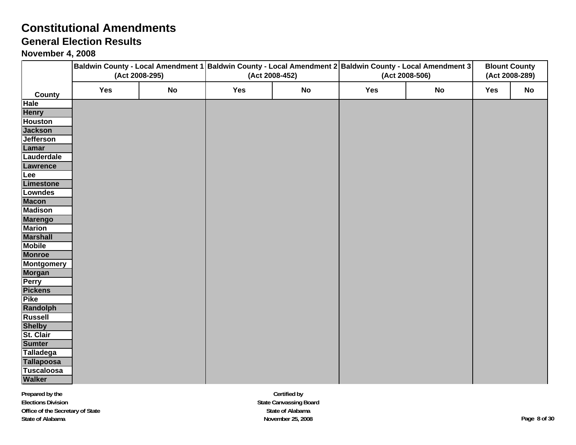### **General Election Results**

#### **November 4, 2008**

|                                  | Baldwin County - Local Amendment 1 Baldwin County - Local Amendment 2 Baldwin County - Local Amendment 3<br>(Act 2008-295) |           | (Act 2008-452) |           |     | <b>Blount County</b><br>(Act 2008-289) |     |           |
|----------------------------------|----------------------------------------------------------------------------------------------------------------------------|-----------|----------------|-----------|-----|----------------------------------------|-----|-----------|
|                                  |                                                                                                                            |           |                |           |     | (Act 2008-506)                         |     |           |
| County                           | Yes                                                                                                                        | <b>No</b> | Yes            | <b>No</b> | Yes | <b>No</b>                              | Yes | <b>No</b> |
| Hale                             |                                                                                                                            |           |                |           |     |                                        |     |           |
| <b>Henry</b>                     |                                                                                                                            |           |                |           |     |                                        |     |           |
| <b>Houston</b>                   |                                                                                                                            |           |                |           |     |                                        |     |           |
| <b>Jackson</b>                   |                                                                                                                            |           |                |           |     |                                        |     |           |
| <b>Jefferson</b>                 |                                                                                                                            |           |                |           |     |                                        |     |           |
| Lamar                            |                                                                                                                            |           |                |           |     |                                        |     |           |
| Lauderdale                       |                                                                                                                            |           |                |           |     |                                        |     |           |
| Lawrence                         |                                                                                                                            |           |                |           |     |                                        |     |           |
| Lee                              |                                                                                                                            |           |                |           |     |                                        |     |           |
| Limestone                        |                                                                                                                            |           |                |           |     |                                        |     |           |
| <b>Lowndes</b>                   |                                                                                                                            |           |                |           |     |                                        |     |           |
| <b>Macon</b>                     |                                                                                                                            |           |                |           |     |                                        |     |           |
| <b>Madison</b>                   |                                                                                                                            |           |                |           |     |                                        |     |           |
| <b>Marengo</b>                   |                                                                                                                            |           |                |           |     |                                        |     |           |
| <b>Marion</b>                    |                                                                                                                            |           |                |           |     |                                        |     |           |
| <b>Marshall</b><br><b>Mobile</b> |                                                                                                                            |           |                |           |     |                                        |     |           |
| <b>Monroe</b>                    |                                                                                                                            |           |                |           |     |                                        |     |           |
| <b>Montgomery</b>                |                                                                                                                            |           |                |           |     |                                        |     |           |
| <b>Morgan</b>                    |                                                                                                                            |           |                |           |     |                                        |     |           |
| <b>Perry</b>                     |                                                                                                                            |           |                |           |     |                                        |     |           |
| <b>Pickens</b>                   |                                                                                                                            |           |                |           |     |                                        |     |           |
| <b>Pike</b>                      |                                                                                                                            |           |                |           |     |                                        |     |           |
| Randolph                         |                                                                                                                            |           |                |           |     |                                        |     |           |
| <b>Russell</b>                   |                                                                                                                            |           |                |           |     |                                        |     |           |
| <b>Shelby</b>                    |                                                                                                                            |           |                |           |     |                                        |     |           |
| St. Clair                        |                                                                                                                            |           |                |           |     |                                        |     |           |
| <b>Sumter</b>                    |                                                                                                                            |           |                |           |     |                                        |     |           |
| <b>Talladega</b>                 |                                                                                                                            |           |                |           |     |                                        |     |           |
| <b>Tallapoosa</b>                |                                                                                                                            |           |                |           |     |                                        |     |           |
| <b>Tuscaloosa</b>                |                                                                                                                            |           |                |           |     |                                        |     |           |
| <b>Walker</b>                    |                                                                                                                            |           |                |           |     |                                        |     |           |

**Certified by State Canvassing Board State of Alabama November 25, 2008 Page 8 of 30**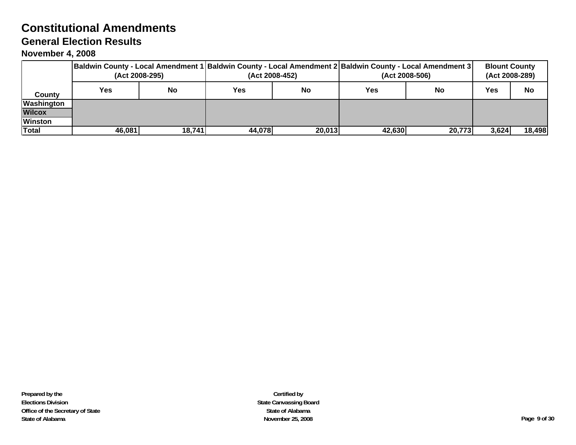# **General Election Results**

|                | Baldwin County - Local Amendment 1 Baldwin County - Local Amendment 2 Baldwin County - Local Amendment 3 <br>(Act 2008-295) |        |            | (Act 2008-452) | (Act 2008-506) | <b>Blount County</b><br>(Act 2008-289) |       |           |
|----------------|-----------------------------------------------------------------------------------------------------------------------------|--------|------------|----------------|----------------|----------------------------------------|-------|-----------|
| Countv         | Yes                                                                                                                         | No     | <b>Yes</b> | <b>No</b>      | Yes            | No                                     | Yes   | <b>No</b> |
| Washington     |                                                                                                                             |        |            |                |                |                                        |       |           |
| <b>Wilcox</b>  |                                                                                                                             |        |            |                |                |                                        |       |           |
| <b>Winston</b> |                                                                                                                             |        |            |                |                |                                        |       |           |
| Total          | 46,081                                                                                                                      | 18,741 | 44,078     | 20,013         | 42,630         | 20,773                                 | 3,624 | 18,498    |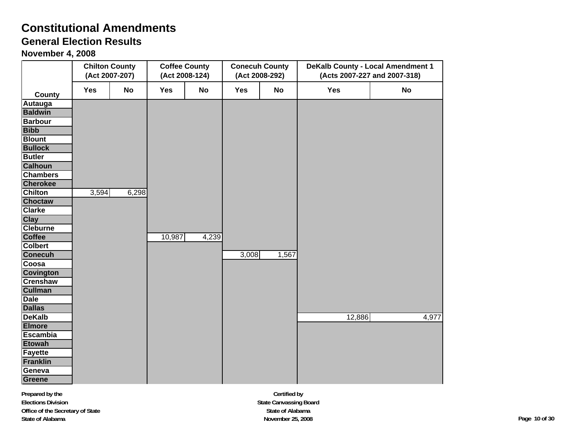# **General Election Results**

**November 4, 2008**

|                              |       | <b>Chilton County</b><br>(Act 2007-207) |        | <b>Coffee County</b><br>(Act 2008-124) |       | <b>Conecuh County</b><br>(Act 2008-292) | <b>DeKalb County - Local Amendment 1</b><br>(Acts 2007-227 and 2007-318) |       |  |
|------------------------------|-------|-----------------------------------------|--------|----------------------------------------|-------|-----------------------------------------|--------------------------------------------------------------------------|-------|--|
| <b>County</b>                | Yes   | <b>No</b>                               | Yes    | <b>No</b>                              | Yes   | <b>No</b>                               | Yes                                                                      | No    |  |
| Autauga                      |       |                                         |        |                                        |       |                                         |                                                                          |       |  |
| <b>Baldwin</b>               |       |                                         |        |                                        |       |                                         |                                                                          |       |  |
| <b>Barbour</b>               |       |                                         |        |                                        |       |                                         |                                                                          |       |  |
| <b>Bibb</b>                  |       |                                         |        |                                        |       |                                         |                                                                          |       |  |
| <b>Blount</b>                |       |                                         |        |                                        |       |                                         |                                                                          |       |  |
| <b>Bullock</b>               |       |                                         |        |                                        |       |                                         |                                                                          |       |  |
| <b>Butler</b>                |       |                                         |        |                                        |       |                                         |                                                                          |       |  |
| <b>Calhoun</b>               |       |                                         |        |                                        |       |                                         |                                                                          |       |  |
| <b>Chambers</b>              |       |                                         |        |                                        |       |                                         |                                                                          |       |  |
| <b>Cherokee</b>              |       |                                         |        |                                        |       |                                         |                                                                          |       |  |
| <b>Chilton</b>               | 3,594 | 6,298                                   |        |                                        |       |                                         |                                                                          |       |  |
| <b>Choctaw</b>               |       |                                         |        |                                        |       |                                         |                                                                          |       |  |
| <b>Clarke</b>                |       |                                         |        |                                        |       |                                         |                                                                          |       |  |
| <b>Clay</b>                  |       |                                         |        |                                        |       |                                         |                                                                          |       |  |
| <b>Cleburne</b>              |       |                                         |        |                                        |       |                                         |                                                                          |       |  |
| <b>Coffee</b>                |       |                                         | 10,987 | 4,239                                  |       |                                         |                                                                          |       |  |
| <b>Colbert</b>               |       |                                         |        |                                        |       |                                         |                                                                          |       |  |
| <b>Conecuh</b>               |       |                                         |        |                                        | 3,008 | 1,567                                   |                                                                          |       |  |
| Coosa                        |       |                                         |        |                                        |       |                                         |                                                                          |       |  |
| Covington<br><b>Crenshaw</b> |       |                                         |        |                                        |       |                                         |                                                                          |       |  |
| <b>Cullman</b>               |       |                                         |        |                                        |       |                                         |                                                                          |       |  |
| <b>Dale</b>                  |       |                                         |        |                                        |       |                                         |                                                                          |       |  |
| <b>Dallas</b>                |       |                                         |        |                                        |       |                                         |                                                                          |       |  |
| <b>DeKalb</b>                |       |                                         |        |                                        |       |                                         | 12,886                                                                   | 4,977 |  |
| <b>Elmore</b>                |       |                                         |        |                                        |       |                                         |                                                                          |       |  |
| <b>Escambia</b>              |       |                                         |        |                                        |       |                                         |                                                                          |       |  |
| <b>Etowah</b>                |       |                                         |        |                                        |       |                                         |                                                                          |       |  |
| <b>Fayette</b>               |       |                                         |        |                                        |       |                                         |                                                                          |       |  |
| <b>Franklin</b>              |       |                                         |        |                                        |       |                                         |                                                                          |       |  |
| Geneva                       |       |                                         |        |                                        |       |                                         |                                                                          |       |  |
| Greene                       |       |                                         |        |                                        |       |                                         |                                                                          |       |  |

**Certified by State Canvassing Board State of Alabama November 25, 2008 Page 10 of 30**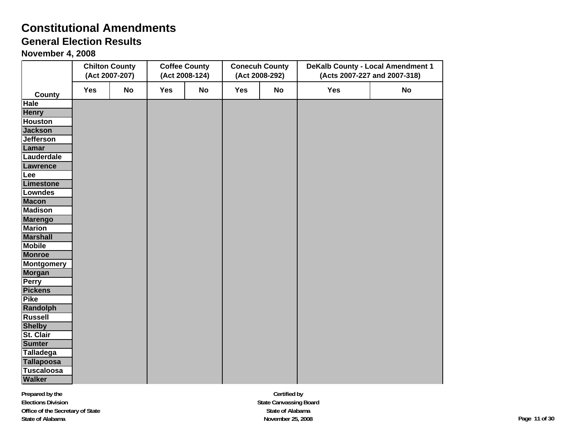# **General Election Results**

|                             |     | <b>Chilton County</b><br>(Act 2007-207) |     | <b>Coffee County</b><br>(Act 2008-124) |     | <b>Conecuh County</b><br>(Act 2008-292) | <b>DeKalb County - Local Amendment 1</b><br>(Acts 2007-227 and 2007-318) |           |  |
|-----------------------------|-----|-----------------------------------------|-----|----------------------------------------|-----|-----------------------------------------|--------------------------------------------------------------------------|-----------|--|
| <b>County</b>               | Yes | <b>No</b>                               | Yes | <b>No</b>                              | Yes | <b>No</b>                               | Yes                                                                      | <b>No</b> |  |
| Hale                        |     |                                         |     |                                        |     |                                         |                                                                          |           |  |
| <b>Henry</b>                |     |                                         |     |                                        |     |                                         |                                                                          |           |  |
| <b>Houston</b>              |     |                                         |     |                                        |     |                                         |                                                                          |           |  |
| <b>Jackson</b>              |     |                                         |     |                                        |     |                                         |                                                                          |           |  |
| <b>Jefferson</b>            |     |                                         |     |                                        |     |                                         |                                                                          |           |  |
| Lamar                       |     |                                         |     |                                        |     |                                         |                                                                          |           |  |
| Lauderdale                  |     |                                         |     |                                        |     |                                         |                                                                          |           |  |
| Lawrence                    |     |                                         |     |                                        |     |                                         |                                                                          |           |  |
| Lee                         |     |                                         |     |                                        |     |                                         |                                                                          |           |  |
| Limestone                   |     |                                         |     |                                        |     |                                         |                                                                          |           |  |
| Lowndes                     |     |                                         |     |                                        |     |                                         |                                                                          |           |  |
| <b>Macon</b>                |     |                                         |     |                                        |     |                                         |                                                                          |           |  |
| <b>Madison</b>              |     |                                         |     |                                        |     |                                         |                                                                          |           |  |
| <b>Marengo</b>              |     |                                         |     |                                        |     |                                         |                                                                          |           |  |
| <b>Marion</b>               |     |                                         |     |                                        |     |                                         |                                                                          |           |  |
| <b>Marshall</b>             |     |                                         |     |                                        |     |                                         |                                                                          |           |  |
| <b>Mobile</b>               |     |                                         |     |                                        |     |                                         |                                                                          |           |  |
| <b>Monroe</b>               |     |                                         |     |                                        |     |                                         |                                                                          |           |  |
| <b>Montgomery</b><br>Morgan |     |                                         |     |                                        |     |                                         |                                                                          |           |  |
| Perry                       |     |                                         |     |                                        |     |                                         |                                                                          |           |  |
| <b>Pickens</b>              |     |                                         |     |                                        |     |                                         |                                                                          |           |  |
| <b>Pike</b>                 |     |                                         |     |                                        |     |                                         |                                                                          |           |  |
| Randolph                    |     |                                         |     |                                        |     |                                         |                                                                          |           |  |
| <b>Russell</b>              |     |                                         |     |                                        |     |                                         |                                                                          |           |  |
| <b>Shelby</b>               |     |                                         |     |                                        |     |                                         |                                                                          |           |  |
| St. Clair                   |     |                                         |     |                                        |     |                                         |                                                                          |           |  |
| <b>Sumter</b>               |     |                                         |     |                                        |     |                                         |                                                                          |           |  |
| Talladega                   |     |                                         |     |                                        |     |                                         |                                                                          |           |  |
| <b>Tallapoosa</b>           |     |                                         |     |                                        |     |                                         |                                                                          |           |  |
| <b>Tuscaloosa</b>           |     |                                         |     |                                        |     |                                         |                                                                          |           |  |
| <b>Walker</b>               |     |                                         |     |                                        |     |                                         |                                                                          |           |  |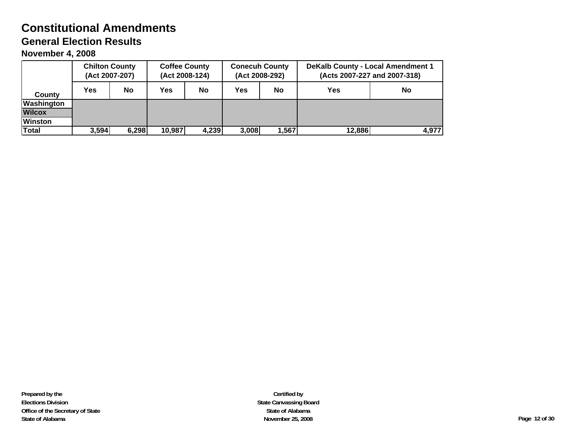|                   | <b>Chilton County</b><br>(Act 2007-207) |           | <b>Coffee County</b><br>(Act 2008-124) |           | <b>Conecuh County</b><br>(Act 2008-292) |           | <b>DeKalb County - Local Amendment 1</b><br>(Acts 2007-227 and 2007-318) |           |  |
|-------------------|-----------------------------------------|-----------|----------------------------------------|-----------|-----------------------------------------|-----------|--------------------------------------------------------------------------|-----------|--|
| County            | <b>Yes</b>                              | <b>No</b> | Yes                                    | <b>No</b> | Yes                                     | <b>No</b> | <b>Yes</b>                                                               | <b>No</b> |  |
| <b>Washington</b> |                                         |           |                                        |           |                                         |           |                                                                          |           |  |
| <b>Wilcox</b>     |                                         |           |                                        |           |                                         |           |                                                                          |           |  |
| <b>Winston</b>    |                                         |           |                                        |           |                                         |           |                                                                          |           |  |
| Total             | 3,594                                   | 6,298     | 10,987                                 | 4,239     | 3,008                                   | 1,567     | 12,886                                                                   | 4,977     |  |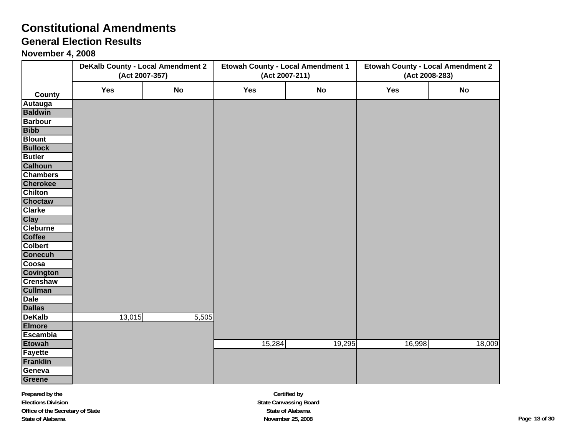### **General Election Results**

|                              | <b>DeKalb County - Local Amendment 2</b><br>(Act 2007-357) |       | <b>Etowah County - Local Amendment 1</b><br>(Act 2007-211) |        | <b>Etowah County - Local Amendment 2</b><br>(Act 2008-283) |           |  |
|------------------------------|------------------------------------------------------------|-------|------------------------------------------------------------|--------|------------------------------------------------------------|-----------|--|
| County                       | Yes                                                        | No    | Yes                                                        | No     | Yes                                                        | <b>No</b> |  |
| Autauga                      |                                                            |       |                                                            |        |                                                            |           |  |
| <b>Baldwin</b>               |                                                            |       |                                                            |        |                                                            |           |  |
| <b>Barbour</b>               |                                                            |       |                                                            |        |                                                            |           |  |
| <b>Bibb</b>                  |                                                            |       |                                                            |        |                                                            |           |  |
| <b>Blount</b>                |                                                            |       |                                                            |        |                                                            |           |  |
| <b>Bullock</b>               |                                                            |       |                                                            |        |                                                            |           |  |
| <b>Butler</b>                |                                                            |       |                                                            |        |                                                            |           |  |
| <b>Calhoun</b>               |                                                            |       |                                                            |        |                                                            |           |  |
| <b>Chambers</b>              |                                                            |       |                                                            |        |                                                            |           |  |
| <b>Cherokee</b>              |                                                            |       |                                                            |        |                                                            |           |  |
| <b>Chilton</b>               |                                                            |       |                                                            |        |                                                            |           |  |
| <b>Choctaw</b>               |                                                            |       |                                                            |        |                                                            |           |  |
| <b>Clarke</b>                |                                                            |       |                                                            |        |                                                            |           |  |
| <b>Clay</b>                  |                                                            |       |                                                            |        |                                                            |           |  |
| <b>Cleburne</b>              |                                                            |       |                                                            |        |                                                            |           |  |
| Coffee                       |                                                            |       |                                                            |        |                                                            |           |  |
| <b>Colbert</b>               |                                                            |       |                                                            |        |                                                            |           |  |
| <b>Conecuh</b>               |                                                            |       |                                                            |        |                                                            |           |  |
| Coosa                        |                                                            |       |                                                            |        |                                                            |           |  |
| <b>Covington</b>             |                                                            |       |                                                            |        |                                                            |           |  |
| <b>Crenshaw</b>              |                                                            |       |                                                            |        |                                                            |           |  |
| <b>Cullman</b>               |                                                            |       |                                                            |        |                                                            |           |  |
| <b>Dale</b><br><b>Dallas</b> |                                                            |       |                                                            |        |                                                            |           |  |
| <b>DeKalb</b>                | 13,015                                                     | 5,505 |                                                            |        |                                                            |           |  |
| <b>Elmore</b>                |                                                            |       |                                                            |        |                                                            |           |  |
| <b>Escambia</b>              |                                                            |       |                                                            |        |                                                            |           |  |
| <b>Etowah</b>                |                                                            |       | 15,284                                                     | 19,295 | 16,998                                                     | 18,009    |  |
| <b>Fayette</b>               |                                                            |       |                                                            |        |                                                            |           |  |
| <b>Franklin</b>              |                                                            |       |                                                            |        |                                                            |           |  |
| Geneva                       |                                                            |       |                                                            |        |                                                            |           |  |
| Greene                       |                                                            |       |                                                            |        |                                                            |           |  |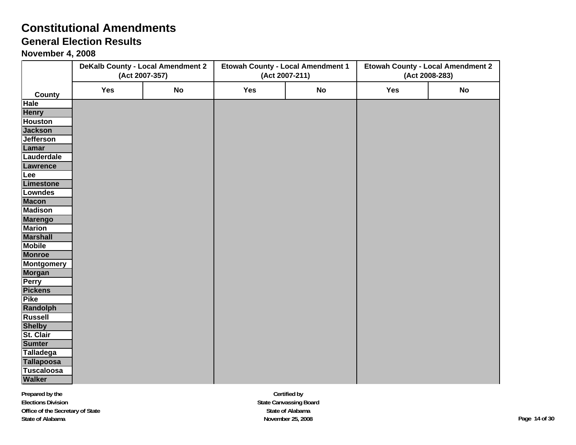## **General Election Results**

|                   |     | <b>DeKalb County - Local Amendment 2</b><br>(Act 2007-357) | <b>Etowah County - Local Amendment 1</b><br>(Act 2007-211) |           | <b>Etowah County - Local Amendment 2</b><br>(Act 2008-283) |           |  |
|-------------------|-----|------------------------------------------------------------|------------------------------------------------------------|-----------|------------------------------------------------------------|-----------|--|
| County            | Yes | No                                                         | Yes                                                        | <b>No</b> | Yes                                                        | <b>No</b> |  |
| <b>Hale</b>       |     |                                                            |                                                            |           |                                                            |           |  |
| <b>Henry</b>      |     |                                                            |                                                            |           |                                                            |           |  |
| <b>Houston</b>    |     |                                                            |                                                            |           |                                                            |           |  |
| <b>Jackson</b>    |     |                                                            |                                                            |           |                                                            |           |  |
| <b>Jefferson</b>  |     |                                                            |                                                            |           |                                                            |           |  |
| Lamar             |     |                                                            |                                                            |           |                                                            |           |  |
| Lauderdale        |     |                                                            |                                                            |           |                                                            |           |  |
| Lawrence          |     |                                                            |                                                            |           |                                                            |           |  |
| Lee               |     |                                                            |                                                            |           |                                                            |           |  |
| Limestone         |     |                                                            |                                                            |           |                                                            |           |  |
| <b>Lowndes</b>    |     |                                                            |                                                            |           |                                                            |           |  |
| <b>Macon</b>      |     |                                                            |                                                            |           |                                                            |           |  |
| <b>Madison</b>    |     |                                                            |                                                            |           |                                                            |           |  |
| <b>Marengo</b>    |     |                                                            |                                                            |           |                                                            |           |  |
| <b>Marion</b>     |     |                                                            |                                                            |           |                                                            |           |  |
| <b>Marshall</b>   |     |                                                            |                                                            |           |                                                            |           |  |
| <b>Mobile</b>     |     |                                                            |                                                            |           |                                                            |           |  |
| <b>Monroe</b>     |     |                                                            |                                                            |           |                                                            |           |  |
| <b>Montgomery</b> |     |                                                            |                                                            |           |                                                            |           |  |
| <b>Morgan</b>     |     |                                                            |                                                            |           |                                                            |           |  |
| <b>Perry</b>      |     |                                                            |                                                            |           |                                                            |           |  |
| <b>Pickens</b>    |     |                                                            |                                                            |           |                                                            |           |  |
| <b>Pike</b>       |     |                                                            |                                                            |           |                                                            |           |  |
| <b>Randolph</b>   |     |                                                            |                                                            |           |                                                            |           |  |
| <b>Russell</b>    |     |                                                            |                                                            |           |                                                            |           |  |
| <b>Shelby</b>     |     |                                                            |                                                            |           |                                                            |           |  |
| St. Clair         |     |                                                            |                                                            |           |                                                            |           |  |
| <b>Sumter</b>     |     |                                                            |                                                            |           |                                                            |           |  |
| <b>Talladega</b>  |     |                                                            |                                                            |           |                                                            |           |  |
| <b>Tallapoosa</b> |     |                                                            |                                                            |           |                                                            |           |  |
| <b>Tuscaloosa</b> |     |                                                            |                                                            |           |                                                            |           |  |
| <b>Walker</b>     |     |                                                            |                                                            |           |                                                            |           |  |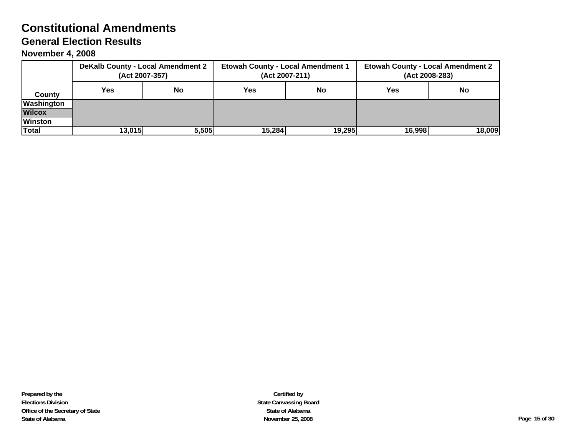|                |        | <b>DeKalb County - Local Amendment 2</b><br>(Act 2007-357) | <b>Etowah County - Local Amendment 1</b> | (Act 2007-211) | <b>Etowah County - Local Amendment 2</b><br>(Act 2008-283) |           |  |
|----------------|--------|------------------------------------------------------------|------------------------------------------|----------------|------------------------------------------------------------|-----------|--|
| County         | Yes.   | No                                                         | Yes                                      | No             | Yes                                                        | <b>No</b> |  |
| Washington     |        |                                                            |                                          |                |                                                            |           |  |
| <b>Wilcox</b>  |        |                                                            |                                          |                |                                                            |           |  |
| <b>Winston</b> |        |                                                            |                                          |                |                                                            |           |  |
| Total          | 13,015 | 5,505                                                      | 15,284                                   | 19,295         | 16,998<br>18,009                                           |           |  |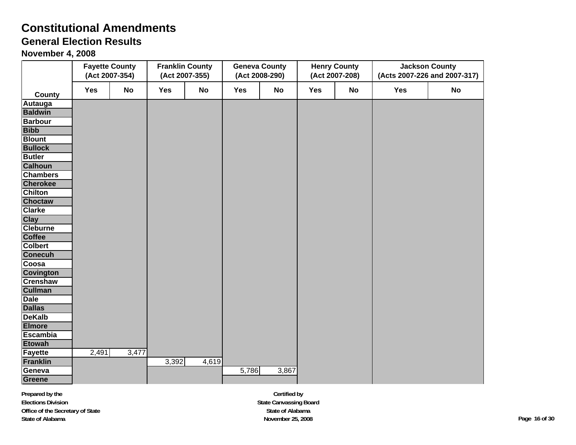# **General Election Results**

**November 4, 2008**

|                  |       | <b>Fayette County</b><br>(Act 2007-354) |       | <b>Franklin County</b><br>(Act 2007-355) |       | <b>Geneva County</b><br>(Act 2008-290) |     | <b>Henry County</b><br>(Act 2007-208) |     | <b>Jackson County</b><br>(Acts 2007-226 and 2007-317) |
|------------------|-------|-----------------------------------------|-------|------------------------------------------|-------|----------------------------------------|-----|---------------------------------------|-----|-------------------------------------------------------|
| County           | Yes   | <b>No</b>                               | Yes   | No                                       | Yes   | No                                     | Yes | No                                    | Yes | No                                                    |
| Autauga          |       |                                         |       |                                          |       |                                        |     |                                       |     |                                                       |
| <b>Baldwin</b>   |       |                                         |       |                                          |       |                                        |     |                                       |     |                                                       |
| <b>Barbour</b>   |       |                                         |       |                                          |       |                                        |     |                                       |     |                                                       |
| <b>Bibb</b>      |       |                                         |       |                                          |       |                                        |     |                                       |     |                                                       |
| <b>Blount</b>    |       |                                         |       |                                          |       |                                        |     |                                       |     |                                                       |
| <b>Bullock</b>   |       |                                         |       |                                          |       |                                        |     |                                       |     |                                                       |
| <b>Butler</b>    |       |                                         |       |                                          |       |                                        |     |                                       |     |                                                       |
| <b>Calhoun</b>   |       |                                         |       |                                          |       |                                        |     |                                       |     |                                                       |
| <b>Chambers</b>  |       |                                         |       |                                          |       |                                        |     |                                       |     |                                                       |
| <b>Cherokee</b>  |       |                                         |       |                                          |       |                                        |     |                                       |     |                                                       |
| <b>Chilton</b>   |       |                                         |       |                                          |       |                                        |     |                                       |     |                                                       |
| <b>Choctaw</b>   |       |                                         |       |                                          |       |                                        |     |                                       |     |                                                       |
| <b>Clarke</b>    |       |                                         |       |                                          |       |                                        |     |                                       |     |                                                       |
| <b>Clay</b>      |       |                                         |       |                                          |       |                                        |     |                                       |     |                                                       |
| <b>Cleburne</b>  |       |                                         |       |                                          |       |                                        |     |                                       |     |                                                       |
| <b>Coffee</b>    |       |                                         |       |                                          |       |                                        |     |                                       |     |                                                       |
| <b>Colbert</b>   |       |                                         |       |                                          |       |                                        |     |                                       |     |                                                       |
| <b>Conecuh</b>   |       |                                         |       |                                          |       |                                        |     |                                       |     |                                                       |
| Coosa            |       |                                         |       |                                          |       |                                        |     |                                       |     |                                                       |
| <b>Covington</b> |       |                                         |       |                                          |       |                                        |     |                                       |     |                                                       |
| <b>Crenshaw</b>  |       |                                         |       |                                          |       |                                        |     |                                       |     |                                                       |
| <b>Cullman</b>   |       |                                         |       |                                          |       |                                        |     |                                       |     |                                                       |
| <b>Dale</b>      |       |                                         |       |                                          |       |                                        |     |                                       |     |                                                       |
| <b>Dallas</b>    |       |                                         |       |                                          |       |                                        |     |                                       |     |                                                       |
| <b>DeKalb</b>    |       |                                         |       |                                          |       |                                        |     |                                       |     |                                                       |
| <b>Elmore</b>    |       |                                         |       |                                          |       |                                        |     |                                       |     |                                                       |
| <b>Escambia</b>  |       |                                         |       |                                          |       |                                        |     |                                       |     |                                                       |
| <b>Etowah</b>    |       |                                         |       |                                          |       |                                        |     |                                       |     |                                                       |
| <b>Fayette</b>   | 2,491 | 3,477                                   |       |                                          |       |                                        |     |                                       |     |                                                       |
| <b>Franklin</b>  |       |                                         | 3,392 | 4,619                                    |       |                                        |     |                                       |     |                                                       |
| Geneva           |       |                                         |       |                                          | 5,786 | 3,867                                  |     |                                       |     |                                                       |
| <b>Greene</b>    |       |                                         |       |                                          |       |                                        |     |                                       |     |                                                       |

**Certified by State Canvassing Board State of Alabama November 25, 2008 Page 16 of 30**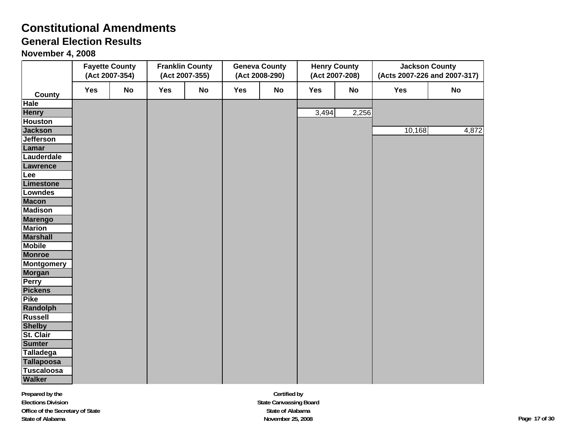# **General Election Results**

|                   |     | <b>Fayette County</b><br>(Act 2007-354) |     | <b>Franklin County</b><br>(Act 2007-355) |     | <b>Geneva County</b><br>(Act 2008-290) |       | <b>Henry County</b><br>(Act 2007-208) |        | <b>Jackson County</b><br>(Acts 2007-226 and 2007-317) |
|-------------------|-----|-----------------------------------------|-----|------------------------------------------|-----|----------------------------------------|-------|---------------------------------------|--------|-------------------------------------------------------|
| <b>County</b>     | Yes | <b>No</b>                               | Yes | No                                       | Yes | <b>No</b>                              | Yes   | No                                    | Yes    | <b>No</b>                                             |
| Hale              |     |                                         |     |                                          |     |                                        |       |                                       |        |                                                       |
| <b>Henry</b>      |     |                                         |     |                                          |     |                                        | 3,494 | 2,256                                 |        |                                                       |
| <b>Houston</b>    |     |                                         |     |                                          |     |                                        |       |                                       |        |                                                       |
| <b>Jackson</b>    |     |                                         |     |                                          |     |                                        |       |                                       | 10,168 | 4,872                                                 |
| <b>Jefferson</b>  |     |                                         |     |                                          |     |                                        |       |                                       |        |                                                       |
| Lamar             |     |                                         |     |                                          |     |                                        |       |                                       |        |                                                       |
| Lauderdale        |     |                                         |     |                                          |     |                                        |       |                                       |        |                                                       |
| Lawrence          |     |                                         |     |                                          |     |                                        |       |                                       |        |                                                       |
| Lee               |     |                                         |     |                                          |     |                                        |       |                                       |        |                                                       |
| Limestone         |     |                                         |     |                                          |     |                                        |       |                                       |        |                                                       |
| <b>Lowndes</b>    |     |                                         |     |                                          |     |                                        |       |                                       |        |                                                       |
| <b>Macon</b>      |     |                                         |     |                                          |     |                                        |       |                                       |        |                                                       |
| <b>Madison</b>    |     |                                         |     |                                          |     |                                        |       |                                       |        |                                                       |
| <b>Marengo</b>    |     |                                         |     |                                          |     |                                        |       |                                       |        |                                                       |
| <b>Marion</b>     |     |                                         |     |                                          |     |                                        |       |                                       |        |                                                       |
| <b>Marshall</b>   |     |                                         |     |                                          |     |                                        |       |                                       |        |                                                       |
| <b>Mobile</b>     |     |                                         |     |                                          |     |                                        |       |                                       |        |                                                       |
| <b>Monroe</b>     |     |                                         |     |                                          |     |                                        |       |                                       |        |                                                       |
| <b>Montgomery</b> |     |                                         |     |                                          |     |                                        |       |                                       |        |                                                       |
| <b>Morgan</b>     |     |                                         |     |                                          |     |                                        |       |                                       |        |                                                       |
| <b>Perry</b>      |     |                                         |     |                                          |     |                                        |       |                                       |        |                                                       |
| <b>Pickens</b>    |     |                                         |     |                                          |     |                                        |       |                                       |        |                                                       |
| <b>Pike</b>       |     |                                         |     |                                          |     |                                        |       |                                       |        |                                                       |
| Randolph          |     |                                         |     |                                          |     |                                        |       |                                       |        |                                                       |
| <b>Russell</b>    |     |                                         |     |                                          |     |                                        |       |                                       |        |                                                       |
| <b>Shelby</b>     |     |                                         |     |                                          |     |                                        |       |                                       |        |                                                       |
| St. Clair         |     |                                         |     |                                          |     |                                        |       |                                       |        |                                                       |
| <b>Sumter</b>     |     |                                         |     |                                          |     |                                        |       |                                       |        |                                                       |
| <b>Talladega</b>  |     |                                         |     |                                          |     |                                        |       |                                       |        |                                                       |
| <b>Tallapoosa</b> |     |                                         |     |                                          |     |                                        |       |                                       |        |                                                       |
| <b>Tuscaloosa</b> |     |                                         |     |                                          |     |                                        |       |                                       |        |                                                       |
| <b>Walker</b>     |     |                                         |     |                                          |     |                                        |       |                                       |        |                                                       |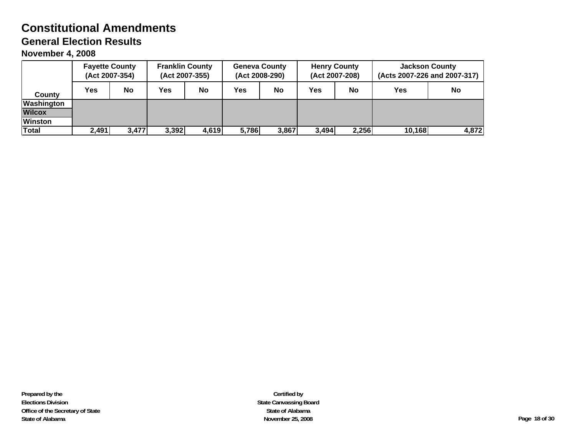|                | <b>Fayette County</b><br>(Act 2007-354) |  | <b>Franklin County</b>  | (Act 2007-355) |                | <b>Geneva County</b><br>(Act 2008-290) |                | <b>Henry County</b><br>(Act 2007-208) | <b>Jackson County</b><br>(Acts 2007-226 and 2007-317) |           |
|----------------|-----------------------------------------|--|-------------------------|----------------|----------------|----------------------------------------|----------------|---------------------------------------|-------------------------------------------------------|-----------|
| County         | <b>No</b><br>Yes                        |  | Yes                     | No             | No<br>Yes      |                                        | Yes            | No                                    | Yes                                                   | <b>No</b> |
| Washington     |                                         |  |                         |                |                |                                        |                |                                       |                                                       |           |
| <b>Wilcox</b>  |                                         |  |                         |                |                |                                        |                |                                       |                                                       |           |
| <b>Winston</b> |                                         |  |                         |                |                |                                        |                |                                       |                                                       |           |
| <b>Total</b>   | 2,491                                   |  | 3,392<br>3,477<br>4,619 |                | 5,786<br>3,867 |                                        | 2,256<br>3,494 |                                       | 10,168                                                | 4,872     |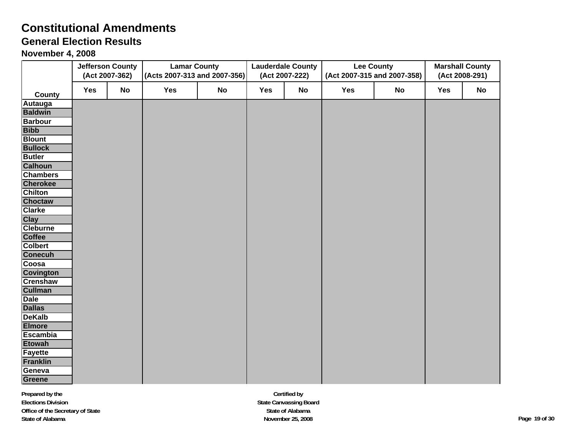# **General Election Results**

**November 4, 2008**

|                                  |     | <b>Jefferson County</b><br>(Act 2007-362) | <b>Lamar County</b><br>(Acts 2007-313 and 2007-356) |           |     | <b>Lauderdale County</b><br>(Act 2007-222) |     | <b>Lee County</b><br>(Act 2007-315 and 2007-358) |            | <b>Marshall County</b><br>(Act 2008-291) |
|----------------------------------|-----|-------------------------------------------|-----------------------------------------------------|-----------|-----|--------------------------------------------|-----|--------------------------------------------------|------------|------------------------------------------|
| County                           | Yes | <b>No</b>                                 | Yes                                                 | <b>No</b> | Yes | No                                         | Yes | <b>No</b>                                        | <b>Yes</b> | No                                       |
| Autauga                          |     |                                           |                                                     |           |     |                                            |     |                                                  |            |                                          |
| <b>Baldwin</b>                   |     |                                           |                                                     |           |     |                                            |     |                                                  |            |                                          |
| <b>Barbour</b>                   |     |                                           |                                                     |           |     |                                            |     |                                                  |            |                                          |
| <b>Bibb</b>                      |     |                                           |                                                     |           |     |                                            |     |                                                  |            |                                          |
| <b>Blount</b>                    |     |                                           |                                                     |           |     |                                            |     |                                                  |            |                                          |
| <b>Bullock</b>                   |     |                                           |                                                     |           |     |                                            |     |                                                  |            |                                          |
| <b>Butler</b>                    |     |                                           |                                                     |           |     |                                            |     |                                                  |            |                                          |
| <b>Calhoun</b>                   |     |                                           |                                                     |           |     |                                            |     |                                                  |            |                                          |
| <b>Chambers</b>                  |     |                                           |                                                     |           |     |                                            |     |                                                  |            |                                          |
| <b>Cherokee</b>                  |     |                                           |                                                     |           |     |                                            |     |                                                  |            |                                          |
| <b>Chilton</b>                   |     |                                           |                                                     |           |     |                                            |     |                                                  |            |                                          |
| <b>Choctaw</b>                   |     |                                           |                                                     |           |     |                                            |     |                                                  |            |                                          |
| <b>Clarke</b>                    |     |                                           |                                                     |           |     |                                            |     |                                                  |            |                                          |
| <b>Clay</b>                      |     |                                           |                                                     |           |     |                                            |     |                                                  |            |                                          |
| <b>Cleburne</b><br><b>Coffee</b> |     |                                           |                                                     |           |     |                                            |     |                                                  |            |                                          |
| <b>Colbert</b>                   |     |                                           |                                                     |           |     |                                            |     |                                                  |            |                                          |
| <b>Conecuh</b>                   |     |                                           |                                                     |           |     |                                            |     |                                                  |            |                                          |
| Coosa                            |     |                                           |                                                     |           |     |                                            |     |                                                  |            |                                          |
| <b>Covington</b>                 |     |                                           |                                                     |           |     |                                            |     |                                                  |            |                                          |
| <b>Crenshaw</b>                  |     |                                           |                                                     |           |     |                                            |     |                                                  |            |                                          |
| <b>Cullman</b>                   |     |                                           |                                                     |           |     |                                            |     |                                                  |            |                                          |
| <b>Dale</b>                      |     |                                           |                                                     |           |     |                                            |     |                                                  |            |                                          |
| <b>Dallas</b>                    |     |                                           |                                                     |           |     |                                            |     |                                                  |            |                                          |
| <b>DeKalb</b>                    |     |                                           |                                                     |           |     |                                            |     |                                                  |            |                                          |
| <b>Elmore</b>                    |     |                                           |                                                     |           |     |                                            |     |                                                  |            |                                          |
| <b>Escambia</b>                  |     |                                           |                                                     |           |     |                                            |     |                                                  |            |                                          |
| <b>Etowah</b>                    |     |                                           |                                                     |           |     |                                            |     |                                                  |            |                                          |
| Fayette                          |     |                                           |                                                     |           |     |                                            |     |                                                  |            |                                          |
| <b>Franklin</b>                  |     |                                           |                                                     |           |     |                                            |     |                                                  |            |                                          |
| Geneva                           |     |                                           |                                                     |           |     |                                            |     |                                                  |            |                                          |
| Greene                           |     |                                           |                                                     |           |     |                                            |     |                                                  |            |                                          |

**Certified by State Canvassing Board State of Alabama November 25, 2008 Page 19 of 30**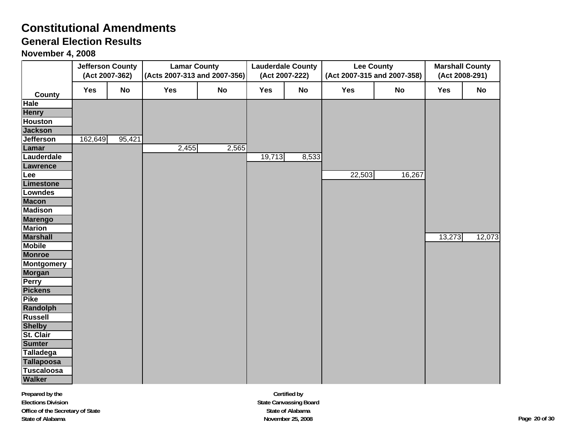# **General Election Results**

|                               | <b>Jefferson County</b><br>(Act 2007-362) |        | <b>Lamar County</b><br>(Acts 2007-313 and 2007-356) |           |            | <b>Lauderdale County</b><br>(Act 2007-222) | <b>Lee County</b> | (Act 2007-315 and 2007-358) |            | <b>Marshall County</b><br>(Act 2008-291) |
|-------------------------------|-------------------------------------------|--------|-----------------------------------------------------|-----------|------------|--------------------------------------------|-------------------|-----------------------------|------------|------------------------------------------|
|                               | <b>Yes</b>                                | No     | <b>Yes</b>                                          | <b>No</b> | <b>Yes</b> | No                                         | Yes               | <b>No</b>                   | <b>Yes</b> | <b>No</b>                                |
| <b>County</b><br>Hale         |                                           |        |                                                     |           |            |                                            |                   |                             |            |                                          |
| <b>Henry</b>                  |                                           |        |                                                     |           |            |                                            |                   |                             |            |                                          |
| <b>Houston</b>                |                                           |        |                                                     |           |            |                                            |                   |                             |            |                                          |
| <b>Jackson</b>                |                                           |        |                                                     |           |            |                                            |                   |                             |            |                                          |
| <b>Jefferson</b>              | 162,649                                   | 95,421 |                                                     |           |            |                                            |                   |                             |            |                                          |
| Lamar                         |                                           |        | 2,455                                               | 2,565     |            |                                            |                   |                             |            |                                          |
| Lauderdale                    |                                           |        |                                                     |           | 19,713     | 8,533                                      |                   |                             |            |                                          |
| Lawrence                      |                                           |        |                                                     |           |            |                                            |                   |                             |            |                                          |
| Lee                           |                                           |        |                                                     |           |            |                                            | 22,503            | 16,267                      |            |                                          |
| Limestone                     |                                           |        |                                                     |           |            |                                            |                   |                             |            |                                          |
| <b>Lowndes</b>                |                                           |        |                                                     |           |            |                                            |                   |                             |            |                                          |
| <b>Macon</b>                  |                                           |        |                                                     |           |            |                                            |                   |                             |            |                                          |
| <b>Madison</b>                |                                           |        |                                                     |           |            |                                            |                   |                             |            |                                          |
| <b>Marengo</b>                |                                           |        |                                                     |           |            |                                            |                   |                             |            |                                          |
| <b>Marion</b>                 |                                           |        |                                                     |           |            |                                            |                   |                             |            |                                          |
| <b>Marshall</b>               |                                           |        |                                                     |           |            |                                            |                   |                             | 13,273     | 12,073                                   |
| <b>Mobile</b>                 |                                           |        |                                                     |           |            |                                            |                   |                             |            |                                          |
| <b>Monroe</b>                 |                                           |        |                                                     |           |            |                                            |                   |                             |            |                                          |
| <b>Montgomery</b>             |                                           |        |                                                     |           |            |                                            |                   |                             |            |                                          |
| Morgan                        |                                           |        |                                                     |           |            |                                            |                   |                             |            |                                          |
| <b>Perry</b>                  |                                           |        |                                                     |           |            |                                            |                   |                             |            |                                          |
| <b>Pickens</b><br><b>Pike</b> |                                           |        |                                                     |           |            |                                            |                   |                             |            |                                          |
| Randolph                      |                                           |        |                                                     |           |            |                                            |                   |                             |            |                                          |
| <b>Russell</b>                |                                           |        |                                                     |           |            |                                            |                   |                             |            |                                          |
| <b>Shelby</b>                 |                                           |        |                                                     |           |            |                                            |                   |                             |            |                                          |
| St. Clair                     |                                           |        |                                                     |           |            |                                            |                   |                             |            |                                          |
| <b>Sumter</b>                 |                                           |        |                                                     |           |            |                                            |                   |                             |            |                                          |
| <b>Talladega</b>              |                                           |        |                                                     |           |            |                                            |                   |                             |            |                                          |
| <b>Tallapoosa</b>             |                                           |        |                                                     |           |            |                                            |                   |                             |            |                                          |
| <b>Tuscaloosa</b>             |                                           |        |                                                     |           |            |                                            |                   |                             |            |                                          |
| <b>Walker</b>                 |                                           |        |                                                     |           |            |                                            |                   |                             |            |                                          |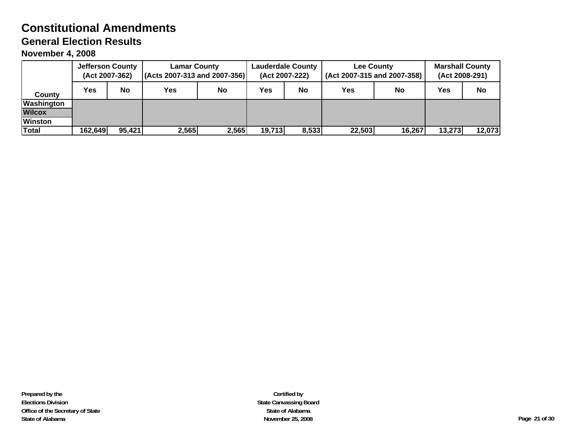|                | <b>Jefferson County</b><br>(Act 2007-362) |                 | <b>Lamar County</b><br>(Acts 2007-313 and 2007-356) |       | <b>Lauderdale County</b><br>(Act 2007-222) |    | <b>Lee County</b><br>(Act 2007-315 and 2007-358) | <b>Marshall County</b><br>(Act 2008-291) |        |        |
|----------------|-------------------------------------------|-----------------|-----------------------------------------------------|-------|--------------------------------------------|----|--------------------------------------------------|------------------------------------------|--------|--------|
| County         | <b>Yes</b>                                | No              |                                                     | No    | Yes                                        | No | Yes                                              | No                                       | Yes    | No     |
| Washington     |                                           |                 |                                                     |       |                                            |    |                                                  |                                          |        |        |
| <b>Wilcox</b>  |                                           |                 |                                                     |       |                                            |    |                                                  |                                          |        |        |
| <b>Winston</b> |                                           |                 |                                                     |       |                                            |    |                                                  |                                          |        |        |
| Total          | 162,649                                   | 2,565<br>95,421 |                                                     | 2,565 | 19,713<br>8,533                            |    | 22,503                                           | 16,267                                   | 13,273 | 12,073 |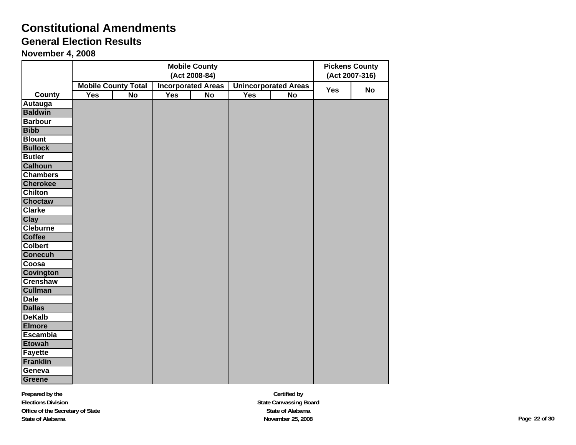## **General Election Results**

**November 4, 2008**

|                  | <b>Mobile County</b><br>(Act 2008-84) |                            |     |                           |            |                             | <b>Pickens County</b><br>(Act 2007-316) |           |
|------------------|---------------------------------------|----------------------------|-----|---------------------------|------------|-----------------------------|-----------------------------------------|-----------|
|                  |                                       | <b>Mobile County Total</b> |     | <b>Incorporated Areas</b> |            | <b>Unincorporated Areas</b> |                                         |           |
| <b>County</b>    | Yes                                   | No                         | Yes | <b>No</b>                 | <b>Yes</b> | <b>No</b>                   | Yes                                     | <b>No</b> |
| Autauga          |                                       |                            |     |                           |            |                             |                                         |           |
| <b>Baldwin</b>   |                                       |                            |     |                           |            |                             |                                         |           |
| <b>Barbour</b>   |                                       |                            |     |                           |            |                             |                                         |           |
| <b>Bibb</b>      |                                       |                            |     |                           |            |                             |                                         |           |
| <b>Blount</b>    |                                       |                            |     |                           |            |                             |                                         |           |
| <b>Bullock</b>   |                                       |                            |     |                           |            |                             |                                         |           |
| <b>Butler</b>    |                                       |                            |     |                           |            |                             |                                         |           |
| <b>Calhoun</b>   |                                       |                            |     |                           |            |                             |                                         |           |
| <b>Chambers</b>  |                                       |                            |     |                           |            |                             |                                         |           |
| <b>Cherokee</b>  |                                       |                            |     |                           |            |                             |                                         |           |
| <b>Chilton</b>   |                                       |                            |     |                           |            |                             |                                         |           |
| Choctaw          |                                       |                            |     |                           |            |                             |                                         |           |
| <b>Clarke</b>    |                                       |                            |     |                           |            |                             |                                         |           |
| <b>Clay</b>      |                                       |                            |     |                           |            |                             |                                         |           |
| <b>Cleburne</b>  |                                       |                            |     |                           |            |                             |                                         |           |
| <b>Coffee</b>    |                                       |                            |     |                           |            |                             |                                         |           |
| <b>Colbert</b>   |                                       |                            |     |                           |            |                             |                                         |           |
| <b>Conecuh</b>   |                                       |                            |     |                           |            |                             |                                         |           |
| Coosa            |                                       |                            |     |                           |            |                             |                                         |           |
| <b>Covington</b> |                                       |                            |     |                           |            |                             |                                         |           |
| <b>Crenshaw</b>  |                                       |                            |     |                           |            |                             |                                         |           |
| <b>Cullman</b>   |                                       |                            |     |                           |            |                             |                                         |           |
| <b>Dale</b>      |                                       |                            |     |                           |            |                             |                                         |           |
| <b>Dallas</b>    |                                       |                            |     |                           |            |                             |                                         |           |
| <b>DeKalb</b>    |                                       |                            |     |                           |            |                             |                                         |           |
| <b>Elmore</b>    |                                       |                            |     |                           |            |                             |                                         |           |
| <b>Escambia</b>  |                                       |                            |     |                           |            |                             |                                         |           |
| <b>Etowah</b>    |                                       |                            |     |                           |            |                             |                                         |           |
| <b>Fayette</b>   |                                       |                            |     |                           |            |                             |                                         |           |
| <b>Franklin</b>  |                                       |                            |     |                           |            |                             |                                         |           |
| Geneva           |                                       |                            |     |                           |            |                             |                                         |           |
| <b>Greene</b>    |                                       |                            |     |                           |            |                             |                                         |           |

**Certified by State Canvassing Board State of Alabama November 25, 2008 Page 22 of 30**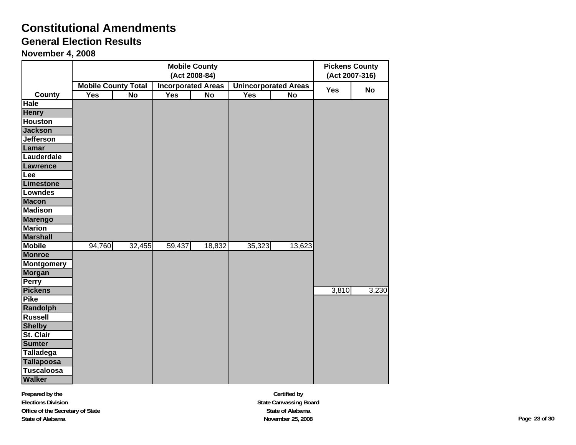### **General Election Results**

**November 4, 2008**

|                   |                            |           |            | <b>Mobile County</b><br>(Act 2008-84) |            |                             | <b>Pickens County</b><br>(Act 2007-316) |           |
|-------------------|----------------------------|-----------|------------|---------------------------------------|------------|-----------------------------|-----------------------------------------|-----------|
|                   | <b>Mobile County Total</b> |           |            | <b>Incorporated Areas</b>             |            | <b>Unincorporated Areas</b> | <b>Yes</b>                              | <b>No</b> |
| County            | <b>Yes</b>                 | <b>No</b> | <b>Yes</b> | <b>No</b>                             | <b>Yes</b> | <b>No</b>                   |                                         |           |
| <b>Hale</b>       |                            |           |            |                                       |            |                             |                                         |           |
| <b>Henry</b>      |                            |           |            |                                       |            |                             |                                         |           |
| <b>Houston</b>    |                            |           |            |                                       |            |                             |                                         |           |
| <b>Jackson</b>    |                            |           |            |                                       |            |                             |                                         |           |
| <b>Jefferson</b>  |                            |           |            |                                       |            |                             |                                         |           |
| Lamar             |                            |           |            |                                       |            |                             |                                         |           |
| Lauderdale        |                            |           |            |                                       |            |                             |                                         |           |
| Lawrence          |                            |           |            |                                       |            |                             |                                         |           |
| Lee               |                            |           |            |                                       |            |                             |                                         |           |
| Limestone         |                            |           |            |                                       |            |                             |                                         |           |
| <b>Lowndes</b>    |                            |           |            |                                       |            |                             |                                         |           |
| <b>Macon</b>      |                            |           |            |                                       |            |                             |                                         |           |
| <b>Madison</b>    |                            |           |            |                                       |            |                             |                                         |           |
| <b>Marengo</b>    |                            |           |            |                                       |            |                             |                                         |           |
| <b>Marion</b>     |                            |           |            |                                       |            |                             |                                         |           |
| <b>Marshall</b>   |                            |           |            |                                       |            |                             |                                         |           |
| <b>Mobile</b>     | 94,760                     | 32,455    | 59,437     | 18,832                                | 35,323     | 13,623                      |                                         |           |
| <b>Monroe</b>     |                            |           |            |                                       |            |                             |                                         |           |
| <b>Montgomery</b> |                            |           |            |                                       |            |                             |                                         |           |
| <b>Morgan</b>     |                            |           |            |                                       |            |                             |                                         |           |
| Perry             |                            |           |            |                                       |            |                             |                                         |           |
| <b>Pickens</b>    |                            |           |            |                                       |            |                             | 3,810                                   | 3,230     |
| <b>Pike</b>       |                            |           |            |                                       |            |                             |                                         |           |
| <b>Randolph</b>   |                            |           |            |                                       |            |                             |                                         |           |
| <b>Russell</b>    |                            |           |            |                                       |            |                             |                                         |           |
| <b>Shelby</b>     |                            |           |            |                                       |            |                             |                                         |           |
| St. Clair         |                            |           |            |                                       |            |                             |                                         |           |
| <b>Sumter</b>     |                            |           |            |                                       |            |                             |                                         |           |
| Talladega         |                            |           |            |                                       |            |                             |                                         |           |
| <b>Tallapoosa</b> |                            |           |            |                                       |            |                             |                                         |           |
| <b>Tuscaloosa</b> |                            |           |            |                                       |            |                             |                                         |           |
| <b>Walker</b>     |                            |           |            |                                       |            |                             |                                         |           |

**Certified by State Canvassing Board State of Alabama November 25, 2008 Page 23 of 30**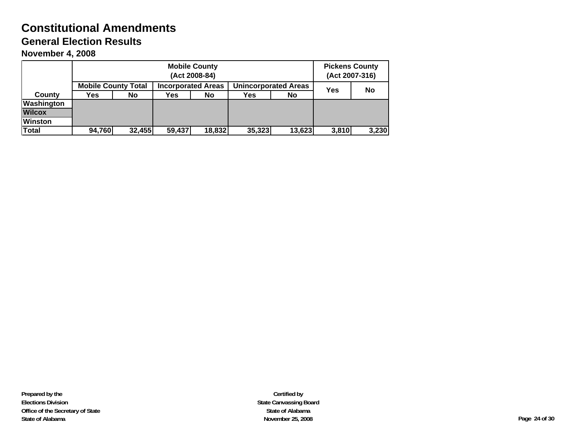**November 4, 2008**

|                |                            |                  | <b>Pickens County</b><br>(Act 2007-316) |       |    |  |  |
|----------------|----------------------------|------------------|-----------------------------------------|-------|----|--|--|
|                | <b>Mobile County Total</b> |                  | <b>Unincorporated Areas</b>             | Yes   | No |  |  |
| County         | Yes                        | <b>No</b>        |                                         |       |    |  |  |
| Washington     |                            |                  |                                         |       |    |  |  |
| <b>Wilcox</b>  |                            |                  |                                         |       |    |  |  |
| <b>Winston</b> |                            |                  |                                         |       |    |  |  |
| <b>Total</b>   | 94,760                     | 35,323<br>13,623 | 3,810                                   | 3,230 |    |  |  |

**Certified by State Canvassing Board State of Alabama November 25, 2008 Page 24 of 30**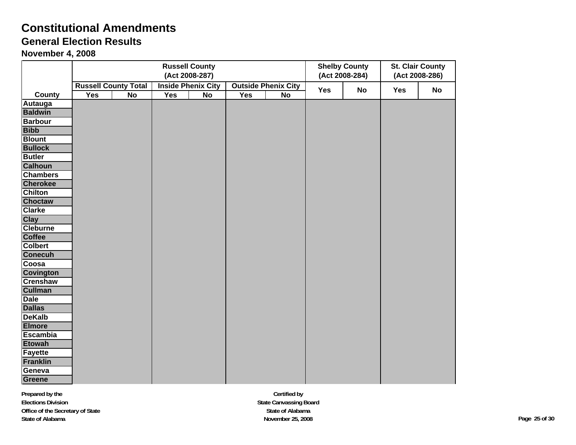### **General Election Results**

|                  |                             |                |     | <b>Russell County</b><br>(Act 2008-287) |            |                            |     | <b>Shelby County</b><br>(Act 2008-284) | <b>St. Clair County</b><br>(Act 2008-286) |           |
|------------------|-----------------------------|----------------|-----|-----------------------------------------|------------|----------------------------|-----|----------------------------------------|-------------------------------------------|-----------|
|                  | <b>Russell County Total</b> |                |     | <b>Inside Phenix City</b>               |            | <b>Outside Phenix City</b> | Yes | <b>No</b>                              | Yes                                       | <b>No</b> |
| County           | <b>Yes</b>                  | $\overline{N}$ | Yes | <b>No</b>                               | <b>Yes</b> | No                         |     |                                        |                                           |           |
| Autauga          |                             |                |     |                                         |            |                            |     |                                        |                                           |           |
| <b>Baldwin</b>   |                             |                |     |                                         |            |                            |     |                                        |                                           |           |
| <b>Barbour</b>   |                             |                |     |                                         |            |                            |     |                                        |                                           |           |
| <b>Bibb</b>      |                             |                |     |                                         |            |                            |     |                                        |                                           |           |
| <b>Blount</b>    |                             |                |     |                                         |            |                            |     |                                        |                                           |           |
| <b>Bullock</b>   |                             |                |     |                                         |            |                            |     |                                        |                                           |           |
| <b>Butler</b>    |                             |                |     |                                         |            |                            |     |                                        |                                           |           |
| <b>Calhoun</b>   |                             |                |     |                                         |            |                            |     |                                        |                                           |           |
| <b>Chambers</b>  |                             |                |     |                                         |            |                            |     |                                        |                                           |           |
| <b>Cherokee</b>  |                             |                |     |                                         |            |                            |     |                                        |                                           |           |
| <b>Chilton</b>   |                             |                |     |                                         |            |                            |     |                                        |                                           |           |
| Choctaw          |                             |                |     |                                         |            |                            |     |                                        |                                           |           |
| <b>Clarke</b>    |                             |                |     |                                         |            |                            |     |                                        |                                           |           |
| <b>Clay</b>      |                             |                |     |                                         |            |                            |     |                                        |                                           |           |
| <b>Cleburne</b>  |                             |                |     |                                         |            |                            |     |                                        |                                           |           |
| <b>Coffee</b>    |                             |                |     |                                         |            |                            |     |                                        |                                           |           |
| <b>Colbert</b>   |                             |                |     |                                         |            |                            |     |                                        |                                           |           |
| <b>Conecuh</b>   |                             |                |     |                                         |            |                            |     |                                        |                                           |           |
| Coosa            |                             |                |     |                                         |            |                            |     |                                        |                                           |           |
| <b>Covington</b> |                             |                |     |                                         |            |                            |     |                                        |                                           |           |
| <b>Crenshaw</b>  |                             |                |     |                                         |            |                            |     |                                        |                                           |           |
| <b>Cullman</b>   |                             |                |     |                                         |            |                            |     |                                        |                                           |           |
| <b>Dale</b>      |                             |                |     |                                         |            |                            |     |                                        |                                           |           |
| <b>Dallas</b>    |                             |                |     |                                         |            |                            |     |                                        |                                           |           |
| <b>DeKalb</b>    |                             |                |     |                                         |            |                            |     |                                        |                                           |           |
| <b>Elmore</b>    |                             |                |     |                                         |            |                            |     |                                        |                                           |           |
| <b>Escambia</b>  |                             |                |     |                                         |            |                            |     |                                        |                                           |           |
| <b>Etowah</b>    |                             |                |     |                                         |            |                            |     |                                        |                                           |           |
| <b>Fayette</b>   |                             |                |     |                                         |            |                            |     |                                        |                                           |           |
| <b>Franklin</b>  |                             |                |     |                                         |            |                            |     |                                        |                                           |           |
| Geneva           |                             |                |     |                                         |            |                            |     |                                        |                                           |           |
| <b>Greene</b>    |                             |                |     |                                         |            |                            |     |                                        |                                           |           |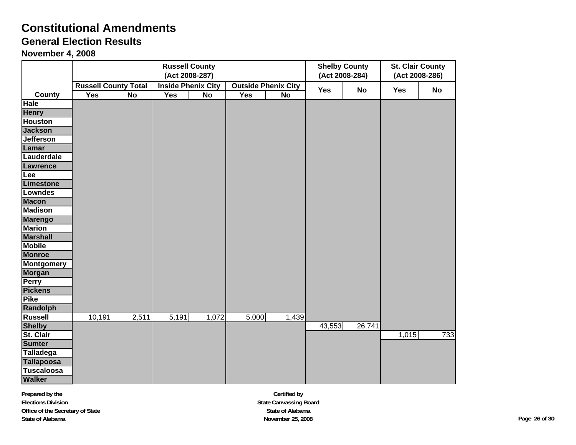### **General Election Results**

**November 4, 2008**

|                   |                             |       |       | <b>Russell County</b><br>(Act 2008-287) |       |                            |        | <b>Shelby County</b><br>(Act 2008-284) |       | <b>St. Clair County</b><br>(Act 2008-286) |
|-------------------|-----------------------------|-------|-------|-----------------------------------------|-------|----------------------------|--------|----------------------------------------|-------|-------------------------------------------|
|                   | <b>Russell County Total</b> |       |       | <b>Inside Phenix City</b>               |       | <b>Outside Phenix City</b> |        |                                        |       |                                           |
| County            | Yes                         | No    | Yes   | <b>No</b>                               | Yes   | <b>No</b>                  | Yes    | <b>No</b>                              | Yes   | No                                        |
| Hale              |                             |       |       |                                         |       |                            |        |                                        |       |                                           |
| <b>Henry</b>      |                             |       |       |                                         |       |                            |        |                                        |       |                                           |
| <b>Houston</b>    |                             |       |       |                                         |       |                            |        |                                        |       |                                           |
| <b>Jackson</b>    |                             |       |       |                                         |       |                            |        |                                        |       |                                           |
| <b>Jefferson</b>  |                             |       |       |                                         |       |                            |        |                                        |       |                                           |
| Lamar             |                             |       |       |                                         |       |                            |        |                                        |       |                                           |
| Lauderdale        |                             |       |       |                                         |       |                            |        |                                        |       |                                           |
| <b>Lawrence</b>   |                             |       |       |                                         |       |                            |        |                                        |       |                                           |
| Lee               |                             |       |       |                                         |       |                            |        |                                        |       |                                           |
| Limestone         |                             |       |       |                                         |       |                            |        |                                        |       |                                           |
| Lowndes           |                             |       |       |                                         |       |                            |        |                                        |       |                                           |
| <b>Macon</b>      |                             |       |       |                                         |       |                            |        |                                        |       |                                           |
| <b>Madison</b>    |                             |       |       |                                         |       |                            |        |                                        |       |                                           |
| <b>Marengo</b>    |                             |       |       |                                         |       |                            |        |                                        |       |                                           |
| <b>Marion</b>     |                             |       |       |                                         |       |                            |        |                                        |       |                                           |
| <b>Marshall</b>   |                             |       |       |                                         |       |                            |        |                                        |       |                                           |
| <b>Mobile</b>     |                             |       |       |                                         |       |                            |        |                                        |       |                                           |
| <b>Monroe</b>     |                             |       |       |                                         |       |                            |        |                                        |       |                                           |
| <b>Montgomery</b> |                             |       |       |                                         |       |                            |        |                                        |       |                                           |
| <b>Morgan</b>     |                             |       |       |                                         |       |                            |        |                                        |       |                                           |
| Perry             |                             |       |       |                                         |       |                            |        |                                        |       |                                           |
| <b>Pickens</b>    |                             |       |       |                                         |       |                            |        |                                        |       |                                           |
| <b>Pike</b>       |                             |       |       |                                         |       |                            |        |                                        |       |                                           |
| <b>Randolph</b>   |                             |       |       |                                         |       |                            |        |                                        |       |                                           |
| <b>Russell</b>    | 10,191                      | 2,511 | 5,191 | 1,072                                   | 5,000 | 1,439                      |        |                                        |       |                                           |
| <b>Shelby</b>     |                             |       |       |                                         |       |                            | 43,553 | 26,741                                 |       |                                           |
| St. Clair         |                             |       |       |                                         |       |                            |        |                                        | 1,015 | 733                                       |
| <b>Sumter</b>     |                             |       |       |                                         |       |                            |        |                                        |       |                                           |
| <b>Talladega</b>  |                             |       |       |                                         |       |                            |        |                                        |       |                                           |
| <b>Tallapoosa</b> |                             |       |       |                                         |       |                            |        |                                        |       |                                           |
| <b>Tuscaloosa</b> |                             |       |       |                                         |       |                            |        |                                        |       |                                           |
| <b>Walker</b>     |                             |       |       |                                         |       |                            |        |                                        |       |                                           |

**Certified by State Canvassing Board State of Alabama November 25, 2008 Page 26 of 30**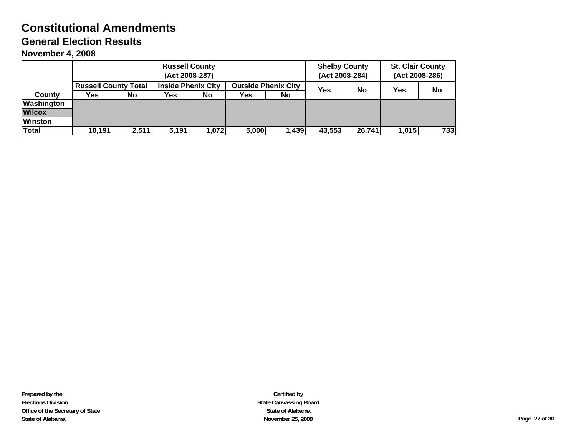### **Constitutional Amendments General Election Results**

**November 4, 2008**

|                | <b>Russell County</b><br>(Act 2008-287) |       |                                                         |           |       |       | <b>Shelby County</b><br>(Act 2008-284) |        | <b>St. Clair County</b><br>(Act 2008-286) |     |
|----------------|-----------------------------------------|-------|---------------------------------------------------------|-----------|-------|-------|----------------------------------------|--------|-------------------------------------------|-----|
|                | <b>Russell County Total</b>             |       | <b>Inside Phenix City</b><br><b>Outside Phenix City</b> |           |       | Yes   | No                                     | Yes    | <b>No</b>                                 |     |
| County         | Yes.                                    | No.   | <b>Yes</b>                                              | <b>No</b> | Yes   | No    |                                        |        |                                           |     |
| Washington     |                                         |       |                                                         |           |       |       |                                        |        |                                           |     |
| <b>Wilcox</b>  |                                         |       |                                                         |           |       |       |                                        |        |                                           |     |
| <b>Winston</b> |                                         |       |                                                         |           |       |       |                                        |        |                                           |     |
| <b>Total</b>   | 10,191                                  | 2,511 | 5.191                                                   | 1,072     | 5,000 | 1,439 | 43,553                                 | 26,741 | 1,015                                     | 733 |

**Certified by State Canvassing Board State of Alabama November 25, 2008 Page 27 of 30**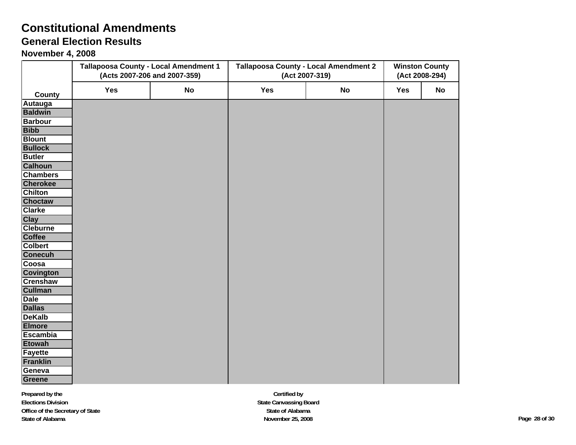# **Constitutional Amendments**

## **General Election Results**

**November 4, 2008**

|                              |            | <b>Tallapoosa County - Local Amendment 1</b><br>(Acts 2007-206 and 2007-359) | <b>Tallapoosa County - Local Amendment 2</b><br>(Act 2007-319) | <b>Winston County</b><br>(Act 2008-294) |     |           |
|------------------------------|------------|------------------------------------------------------------------------------|----------------------------------------------------------------|-----------------------------------------|-----|-----------|
|                              | <b>Yes</b> | No                                                                           | Yes                                                            | <b>No</b>                               | Yes | <b>No</b> |
| County                       |            |                                                                              |                                                                |                                         |     |           |
| Autauga                      |            |                                                                              |                                                                |                                         |     |           |
| <b>Baldwin</b>               |            |                                                                              |                                                                |                                         |     |           |
| <b>Barbour</b>               |            |                                                                              |                                                                |                                         |     |           |
| <b>Bibb</b><br><b>Blount</b> |            |                                                                              |                                                                |                                         |     |           |
| <b>Bullock</b>               |            |                                                                              |                                                                |                                         |     |           |
| <b>Butler</b>                |            |                                                                              |                                                                |                                         |     |           |
| <b>Calhoun</b>               |            |                                                                              |                                                                |                                         |     |           |
| <b>Chambers</b>              |            |                                                                              |                                                                |                                         |     |           |
| <b>Cherokee</b>              |            |                                                                              |                                                                |                                         |     |           |
| <b>Chilton</b>               |            |                                                                              |                                                                |                                         |     |           |
| Choctaw                      |            |                                                                              |                                                                |                                         |     |           |
| <b>Clarke</b>                |            |                                                                              |                                                                |                                         |     |           |
| <b>Clay</b>                  |            |                                                                              |                                                                |                                         |     |           |
| <b>Cleburne</b>              |            |                                                                              |                                                                |                                         |     |           |
| <b>Coffee</b>                |            |                                                                              |                                                                |                                         |     |           |
| <b>Colbert</b>               |            |                                                                              |                                                                |                                         |     |           |
| <b>Conecuh</b>               |            |                                                                              |                                                                |                                         |     |           |
| Coosa                        |            |                                                                              |                                                                |                                         |     |           |
| <b>Covington</b>             |            |                                                                              |                                                                |                                         |     |           |
| <b>Crenshaw</b>              |            |                                                                              |                                                                |                                         |     |           |
| <b>Cullman</b>               |            |                                                                              |                                                                |                                         |     |           |
| <b>Dale</b>                  |            |                                                                              |                                                                |                                         |     |           |
| <b>Dallas</b>                |            |                                                                              |                                                                |                                         |     |           |
| <b>DeKalb</b>                |            |                                                                              |                                                                |                                         |     |           |
| <b>Elmore</b>                |            |                                                                              |                                                                |                                         |     |           |
| <b>Escambia</b>              |            |                                                                              |                                                                |                                         |     |           |
| <b>Etowah</b>                |            |                                                                              |                                                                |                                         |     |           |
| <b>Fayette</b>               |            |                                                                              |                                                                |                                         |     |           |
| <b>Franklin</b>              |            |                                                                              |                                                                |                                         |     |           |
| Geneva                       |            |                                                                              |                                                                |                                         |     |           |
| Greene                       |            |                                                                              |                                                                |                                         |     |           |

**Certified by State Canvassing Board State of Alabama November 25, 2008 Page 28 of 30**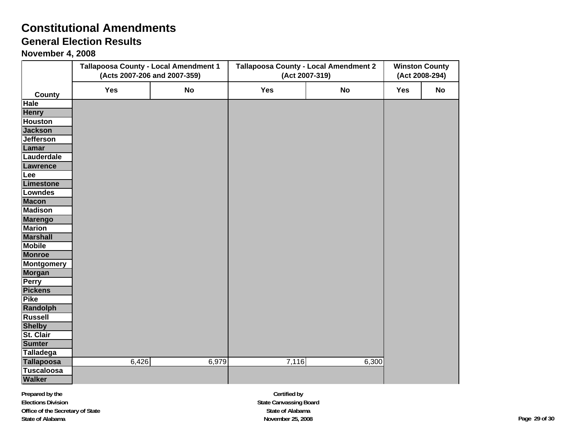# **Constitutional Amendments**

### **General Election Results**

**November 4, 2008**

|                            |       | <b>Tallapoosa County - Local Amendment 1</b><br>(Acts 2007-206 and 2007-359) | <b>Tallapoosa County - Local Amendment 2</b><br>(Act 2007-319) | <b>Winston County</b><br>(Act 2008-294) |            |    |
|----------------------------|-------|------------------------------------------------------------------------------|----------------------------------------------------------------|-----------------------------------------|------------|----|
| County                     | Yes   | No                                                                           | <b>Yes</b>                                                     | No                                      | <b>Yes</b> | No |
| <b>Hale</b>                |       |                                                                              |                                                                |                                         |            |    |
| <b>Henry</b>               |       |                                                                              |                                                                |                                         |            |    |
| <b>Houston</b>             |       |                                                                              |                                                                |                                         |            |    |
| <b>Jackson</b>             |       |                                                                              |                                                                |                                         |            |    |
| <b>Jefferson</b>           |       |                                                                              |                                                                |                                         |            |    |
| Lamar                      |       |                                                                              |                                                                |                                         |            |    |
| Lauderdale                 |       |                                                                              |                                                                |                                         |            |    |
| <b>Lawrence</b>            |       |                                                                              |                                                                |                                         |            |    |
| Lee                        |       |                                                                              |                                                                |                                         |            |    |
| Limestone                  |       |                                                                              |                                                                |                                         |            |    |
| <b>Lowndes</b>             |       |                                                                              |                                                                |                                         |            |    |
| <b>Macon</b>               |       |                                                                              |                                                                |                                         |            |    |
| <b>Madison</b>             |       |                                                                              |                                                                |                                         |            |    |
| <b>Marengo</b>             |       |                                                                              |                                                                |                                         |            |    |
| <b>Marion</b>              |       |                                                                              |                                                                |                                         |            |    |
| <b>Marshall</b>            |       |                                                                              |                                                                |                                         |            |    |
| <b>Mobile</b>              |       |                                                                              |                                                                |                                         |            |    |
| <b>Monroe</b>              |       |                                                                              |                                                                |                                         |            |    |
| <b>Montgomery</b>          |       |                                                                              |                                                                |                                         |            |    |
| Morgan                     |       |                                                                              |                                                                |                                         |            |    |
| <b>Perry</b>               |       |                                                                              |                                                                |                                         |            |    |
| <b>Pickens</b>             |       |                                                                              |                                                                |                                         |            |    |
| <b>Pike</b>                |       |                                                                              |                                                                |                                         |            |    |
| <b>Randolph</b>            |       |                                                                              |                                                                |                                         |            |    |
| <b>Russell</b>             |       |                                                                              |                                                                |                                         |            |    |
| <b>Shelby</b>              |       |                                                                              |                                                                |                                         |            |    |
| St. Clair<br><b>Sumter</b> |       |                                                                              |                                                                |                                         |            |    |
| Talladega                  |       |                                                                              |                                                                |                                         |            |    |
| <b>Tallapoosa</b>          | 6,426 | 6,979                                                                        | 7,116                                                          | 6,300                                   |            |    |
| <b>Tuscaloosa</b>          |       |                                                                              |                                                                |                                         |            |    |
| <b>Walker</b>              |       |                                                                              |                                                                |                                         |            |    |

**Certified by State Canvassing Board State of Alabama November 25, 2008 Page 29 of 30**